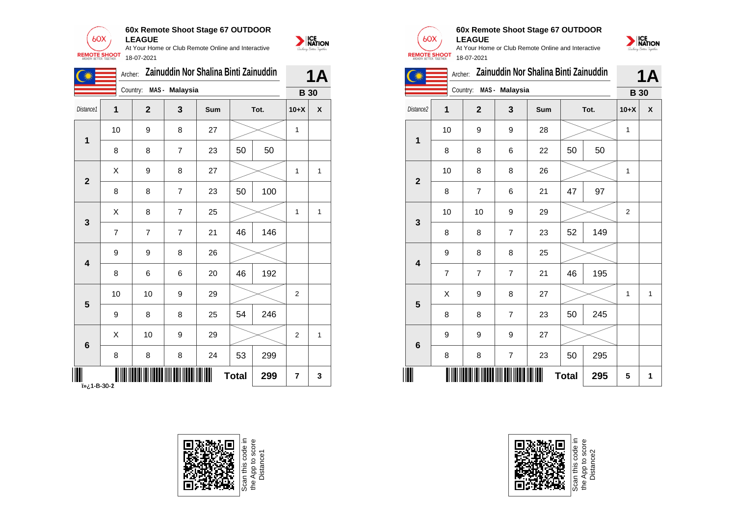

**60x Remote Shoot Stage 67 OUTDOOR**

**LEAGUE** At Your Home or Club Remote Online and Interactive 18-07-2021

|                  | Archer:        |                  |                         | Zainuddin Nor Shalina Binti Zainuddin |              |      |                         | <b>1A</b>          |
|------------------|----------------|------------------|-------------------------|---------------------------------------|--------------|------|-------------------------|--------------------|
|                  |                |                  | Country: MAS - Malaysia |                                       |              |      |                         | <b>B</b> 30        |
| Distance1        | $\mathbf{1}$   | $\overline{2}$   | $\mathbf{3}$            | Sum                                   |              | Tot. | $10+X$                  | $\pmb{\mathsf{x}}$ |
|                  | 10             | 9                | 8                       | 27                                    |              |      | $\mathbf{1}$            |                    |
| $\mathbf{1}$     | 8              | 8                | $\overline{7}$          | 23                                    | 50           | 50   |                         |                    |
|                  | X              | 9                | 8                       | 27                                    |              |      | 1                       | $\mathbf{1}$       |
| $\mathbf{2}$     | 8              | 8                | $\overline{7}$          | 23                                    | 50           | 100  |                         |                    |
|                  | $\mathsf X$    | 8                | $\overline{7}$          | 25                                    |              |      | $\mathbf{1}$            | $\mathbf{1}$       |
| $\mathbf{3}$     | $\overline{7}$ | $\overline{7}$   | $\overline{7}$          | 21                                    | 46           | 146  |                         |                    |
|                  | 9              | $\boldsymbol{9}$ | $\bf 8$                 | 26                                    |              |      |                         |                    |
| $\boldsymbol{4}$ | 8              | 6                | 6                       | 20                                    | 46           | 192  |                         |                    |
|                  | 10             | 10               | 9                       | 29                                    |              |      | $\overline{2}$          |                    |
| ${\bf 5}$        | 9              | 8                | 8                       | 25                                    | 54           | 246  |                         |                    |
|                  | $\pmb{\times}$ | 10               | 9                       | 29                                    |              |      | $\overline{2}$          | $\mathbf{1}$       |
| $\boldsymbol{6}$ | 8              | 8                | 8                       | 24                                    | 53           | 299  |                         |                    |
| 7-8-30-1، «ïٌ    |                | III              |                         | W                                     | <b>Total</b> | 299  | $\overline{\mathbf{r}}$ | $\mathbf{3}$       |





NATION

#### **60x Remote Shoot Stage 67 OUTDOOR LEAGUE**



|                         | Archer: |                |                | Zainuddin Nor Shalina Binti Zainuddin |              |      |                | <b>1A</b> |
|-------------------------|---------|----------------|----------------|---------------------------------------|--------------|------|----------------|-----------|
|                         |         | Country:       | MAS - Malaysia |                                       |              |      | <b>B</b> 30    |           |
| Distance <sub>2</sub>   | 1       | $\overline{2}$ | 3              | Sum                                   |              | Tot. | $10+X$         | X         |
| 1                       | 10      | 9              | 9              | 28                                    |              |      | $\mathbf{1}$   |           |
|                         | 8       | 8              | 6              | 22                                    | 50           | 50   |                |           |
| $\mathbf{2}$            | 10      | 8              | 8              | 26                                    |              |      | 1              |           |
|                         | 8       | $\overline{7}$ | 6              | 21                                    | 47           | 97   |                |           |
| 3                       | 10      | 10             | 9              | 29                                    |              |      | $\overline{2}$ |           |
|                         | 8       | 8              | $\overline{7}$ | 23                                    | 52           | 149  |                |           |
| $\overline{\mathbf{4}}$ | 9       | 8              | 8              | 25                                    |              |      |                |           |
|                         | 7       | $\overline{7}$ | $\overline{7}$ | 21                                    | 46           | 195  |                |           |
| 5                       | X       | 9              | 8              | 27                                    |              |      | 1              | 1         |
|                         | 8       | 8              | $\overline{7}$ | 23                                    | 50           | 245  |                |           |
| $6\phantom{1}6$         | 9       | 9              | 9              | 27                                    |              |      |                |           |
|                         | 8       | 8              | $\overline{7}$ | 23                                    | 50           | 295  |                |           |
| ║║                      |         |                |                |                                       | <b>Total</b> | 295  | 5              | 1         |



Scan this code<br>the App to sco<br>Distance2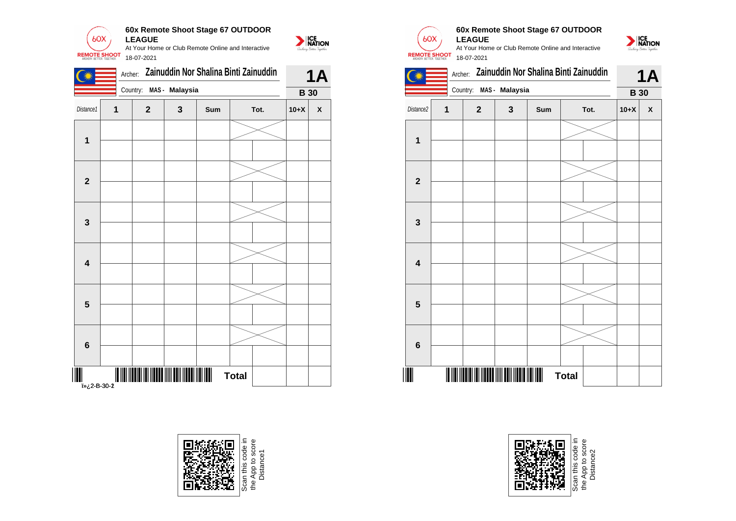

|                                            |   |                         |              |     | Archer: Zainuddin Nor Shalina Binti Zainuddin |        | <b>1A</b>    |                |   |                | Archer: Zainuddin Nor Shalina Binti Za |     |              |
|--------------------------------------------|---|-------------------------|--------------|-----|-----------------------------------------------|--------|--------------|----------------|---|----------------|----------------------------------------|-----|--------------|
|                                            |   | Country: MAS - Malaysia |              |     |                                               |        | <b>B</b> 30  |                |   |                | Country: MAS - Malaysia                |     |              |
| Distance1                                  | 1 | $\mathbf{2}$            | $\mathbf{3}$ | Sum | Tot.                                          | $10+X$ | $\pmb{\chi}$ | Distance2      | 1 | $\overline{2}$ | $\mathbf{3}$                           | Sum |              |
| $\mathbf{1}$                               |   |                         |              |     |                                               |        |              | 1              |   |                |                                        |     |              |
| $\overline{\mathbf{2}}$                    |   |                         |              |     |                                               |        |              | $\overline{2}$ |   |                |                                        |     |              |
| $\mathbf{3}$                               |   |                         |              |     |                                               |        |              | $\mathbf{3}$   |   |                |                                        |     |              |
| $\overline{\mathbf{4}}$                    |   |                         |              |     |                                               |        |              | 4              |   |                |                                        |     |              |
| $5\phantom{1}$                             |   |                         |              |     |                                               |        |              | $5\phantom{1}$ |   |                |                                        |     |              |
| $\bf 6$                                    |   |                         |              |     |                                               |        |              | $6\phantom{1}$ |   |                |                                        |     |              |
| $\overline{\mathbf{m}}$<br><br>2-8-30-2غ«i |   |                         |              |     | <b>Total</b>                                  |        |              |                |   |                |                                        |     | <b>Total</b> |







#### **60x Remote Shoot Stage 67 OUTDOOR LEAGUE**







App to score<br>Distance2 the App to score Distance2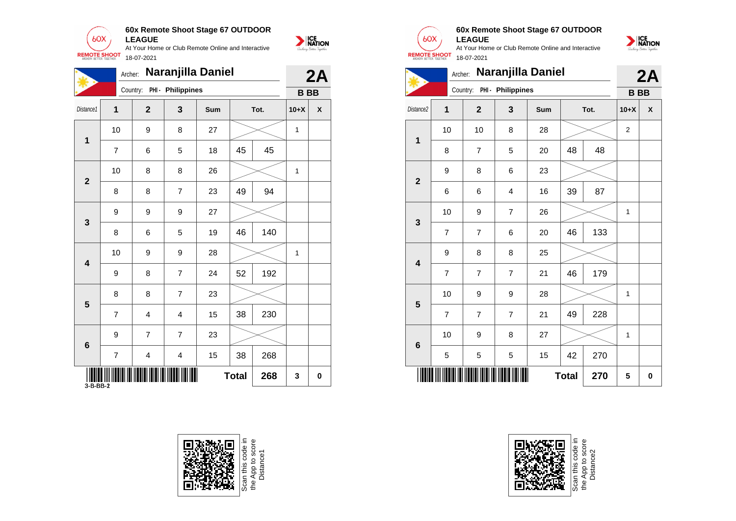

**60x Remote Shoot Stage 67 OUTDOOR**

NATION

|                      |                |                | Archer: Naranjilla Daniel  |     |              |      |              | 2A           |
|----------------------|----------------|----------------|----------------------------|-----|--------------|------|--------------|--------------|
|                      |                |                | Country: PHI - Philippines |     |              |      | <b>BBB</b>   |              |
| Distance1            | 1              | $2^{\circ}$    | $\overline{\mathbf{3}}$    | Sum |              | Tot. | $10+X$       | $\pmb{\chi}$ |
|                      | 10             | 9              | 8                          | 27  |              |      | $\mathbf{1}$ |              |
| $\mathbf 1$          | $\overline{7}$ | $\,6\,$        | 5                          | 18  | 45           | 45   |              |              |
|                      | 10             | 8              | 8                          | 26  |              |      | $\mathbf{1}$ |              |
| $\overline{2}$       | 8              | 8              | $\overline{7}$             | 23  | 49           | 94   |              |              |
|                      | 9              | 9              | 9                          | 27  |              |      |              |              |
| $\mathbf{3}$         | 8              | $\,6\,$        | 5                          | 19  | 46           | 140  |              |              |
|                      | 10             | 9              | 9                          | 28  |              |      | $\mathbf{1}$ |              |
| 4                    | 9              | 8              | $\overline{7}$             | 24  | 52           | 192  |              |              |
|                      | 8              | 8              | $\overline{7}$             | 23  |              |      |              |              |
| 5                    | $\overline{7}$ | $\overline{4}$ | 4                          | 15  | 38           | 230  |              |              |
|                      | 9              | $\overline{7}$ | $\overline{7}$             | 23  |              |      |              |              |
| $6\phantom{1}$       | $\overline{7}$ | $\overline{4}$ | 4                          | 15  | 38           | 268  |              |              |
| $\frac{1}{3-B-BB-2}$ |                |                |                            |     | <b>Total</b> | 268  | $\mathbf{3}$ | 0            |





Scan this code<br>the App to sco<br>Distance2



|                         | Archer:        |                |                            | Naranjilla Daniel |              |      |                | 2A |
|-------------------------|----------------|----------------|----------------------------|-------------------|--------------|------|----------------|----|
|                         |                |                | Country: PHI - Philippines |                   |              |      | <b>BBB</b>     |    |
| Distance <sub>2</sub>   | 1              | $\mathbf{2}$   | 3                          | Sum               |              | Tot. | $10+X$         | X  |
| 1                       | 10             | 10             | 8                          | 28                |              |      | $\overline{2}$ |    |
|                         | 8              | $\overline{7}$ | 5                          | 20                | 48           | 48   |                |    |
| $\overline{2}$          | 9              | 8              | 6                          | 23                |              |      |                |    |
|                         | 6              | 6              | $\overline{4}$             | 16                | 39           | 87   |                |    |
| 3                       | 10             | 9              | $\overline{7}$             | 26                |              |      | 1              |    |
|                         | $\overline{7}$ | $\overline{7}$ | 6                          | 20                | 46           | 133  |                |    |
| $\overline{\mathbf{4}}$ | 9              | 8              | 8                          | 25                |              |      |                |    |
|                         | 7              | $\overline{7}$ | $\overline{7}$             | 21                | 46           | 179  |                |    |
| 5                       | 10             | 9              | 9                          | 28                |              |      | 1              |    |
|                         | $\overline{7}$ | $\overline{7}$ | $\overline{7}$             | 21                | 49           | 228  |                |    |
| 6                       | 10             | 9              | 8                          | 27                |              |      | 1              |    |
|                         | 5              | 5              | 5                          | 15                | 42           | 270  |                |    |
|                         |                |                |                            |                   | <b>Total</b> | 270  | 5              | 0  |

**60x Remote Shoot Stage 67 OUTDOOR**

At Your Home or Club Remote Online and Interactive

**LEAGUE**

 $60X$ 

**REMOTE SHOOT** 

18-07-2021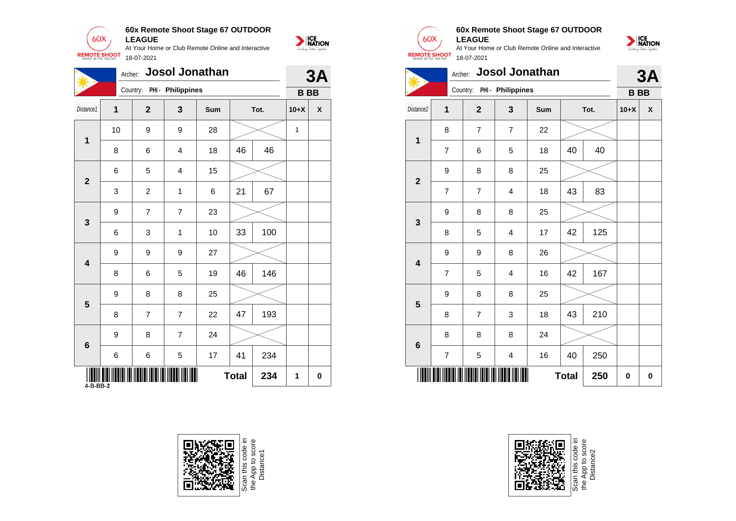

**60x Remote Shoot Stage 67 OUTDOOR LEAGUE**

At Your Home or Club Remote Online and Interactive 18-07-2021

|           |                      |                | Archer: Josol Jonathan     |      |              |      |              | 3A           |
|-----------|----------------------|----------------|----------------------------|------|--------------|------|--------------|--------------|
|           |                      |                | Country: PHI - Philippines |      |              |      |              | $B$ $B$      |
| Distance1 | $\mathbf{1}$         | $\overline{2}$ | $\overline{\mathbf{3}}$    | Sum  |              | Tot. | $10+X$       | $\pmb{\chi}$ |
| 1         | 10                   | 9              | 9                          | 28   |              |      | $\mathbf{1}$ |              |
|           | 8                    | $\,6$          | 4                          | 18   | 46           | 46   |              |              |
|           | 6                    | 5              | 4                          | 15   |              |      |              |              |
|           | 3                    | $\overline{2}$ | $\mathbf{1}$               | 6    | 21           | 67   |              |              |
|           | 9                    | $\overline{7}$ | $\overline{7}$             | 23   |              |      |              |              |
|           | 6                    | $\mathbf{3}$   | $\mathbf{1}$               | $10$ | 33           | 100  |              |              |
|           | 9                    | 9              | 9                          | 27   |              |      |              |              |
|           | 8                    | 6              | 5                          | 19   | 46           | 146  |              |              |
|           | 9                    | 8              | 8                          | 25   |              |      |              |              |
|           | 8                    | $\overline{7}$ | $\overline{7}$             | 22   | 47           | 193  |              |              |
|           | 9                    | 8              | $\overline{7}$             | 24   |              |      |              |              |
|           | 6                    | $\,6$          | 5                          | 17   | 41           | 234  |              |              |
|           | $\frac{1}{4-B-BB-2}$ |                |                            |      | <b>Total</b> | 234  | $\mathbf{1}$ | $\mathbf 0$  |





NATION

#### **60x Remote Shoot Stage 67 OUTDOOR LEAGUE**

NATION

At Your Home or Club Remote Online and Interactive 18-07-2021





Scan this code in<br>the App to score<br>Distance2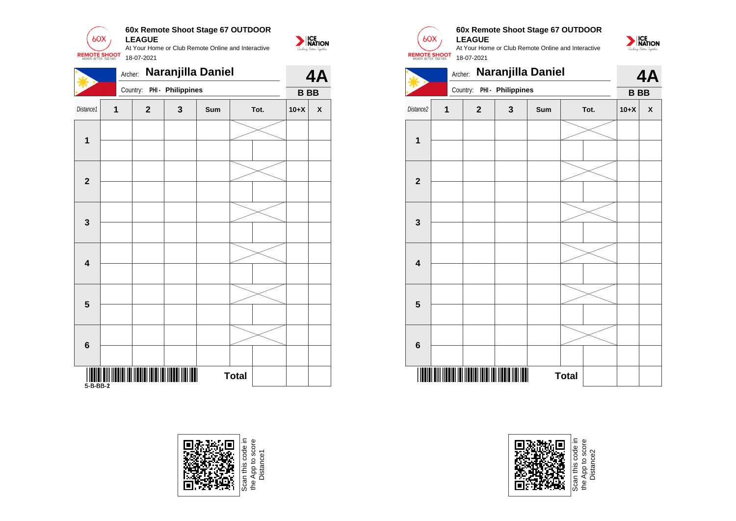

|                         |   | Archer:                    |              | Naranjilla Daniel |              |      |           | 4A                        |                         |   |                | Archer: Naranjilla Daniel  |     |              |
|-------------------------|---|----------------------------|--------------|-------------------|--------------|------|-----------|---------------------------|-------------------------|---|----------------|----------------------------|-----|--------------|
|                         |   | Country: PHI - Philippines |              |                   |              |      | <b>BB</b> |                           |                         |   |                | Country: PHI - Philippines |     |              |
| Distance1               | 1 | $\mathbf{2}$               | $\mathbf{3}$ | Sum               |              | Tot. | $10+X$    | $\boldsymbol{\mathsf{x}}$ | Distance2               | 1 | $\overline{2}$ | $\mathbf{3}$               | Sum |              |
| $\mathbf{1}$            |   |                            |              |                   |              |      |           |                           | 1                       |   |                |                            |     |              |
| $\overline{2}$          |   |                            |              |                   |              |      |           |                           | $\overline{2}$          |   |                |                            |     |              |
| $\mathbf{3}$            |   |                            |              |                   |              |      |           |                           | 3                       |   |                |                            |     |              |
| $\overline{\mathbf{4}}$ |   |                            |              |                   |              |      |           |                           | $\overline{\mathbf{4}}$ |   |                |                            |     |              |
| 5                       |   |                            |              |                   |              |      |           |                           | $5\phantom{1}$          |   |                |                            |     |              |
| $6\phantom{1}6$         |   |                            |              |                   |              |      |           |                           | $6\phantom{1}$          |   |                |                            |     |              |
|                         |   |                            |              |                   | <b>Total</b> |      |           |                           |                         |   |                |                            |     | <b>Total</b> |



e App to score<br>Distance 1



NATION

#### **60x Remote Shoot Stage 67 OUTDOOR LEAGUE**

At Your Home or Club Remote Online and Interactive 18-07-2021







Scan this code in<br>the App to score<br>Distance2 the App to score Distance2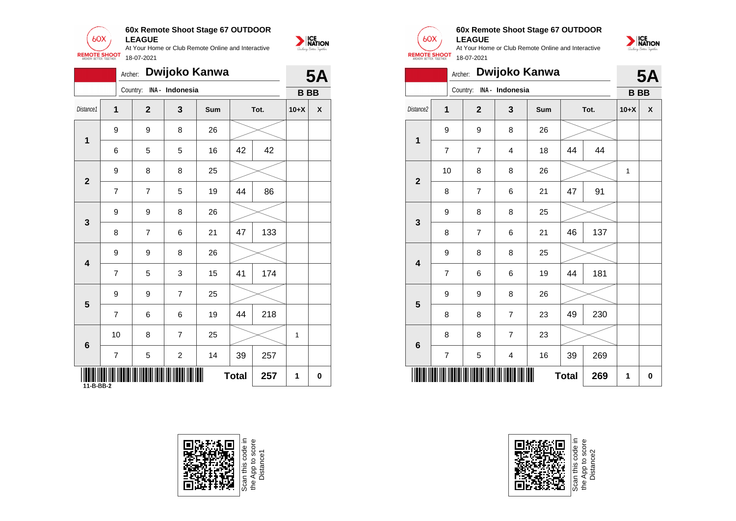

|                  | Dwijoko Kanwa<br>Archer:<br>Country: INA - Indonesia |                |                |     |              |      |              | <b>5A</b>    |                         |                  | Archer: Dwijoko Kanwa                     |                |     |              |      |              | 5/                        |
|------------------|------------------------------------------------------|----------------|----------------|-----|--------------|------|--------------|--------------|-------------------------|------------------|-------------------------------------------|----------------|-----|--------------|------|--------------|---------------------------|
|                  |                                                      |                |                |     |              |      |              | $B$ BB       |                         |                  | Country: INA - Indonesia                  |                |     |              |      |              | <b>BBB</b>                |
| Distance1        | $\mathbf{1}$                                         | $\mathbf{2}$   | $\mathbf{3}$   | Sum |              | Tot. | $10+X$       | $\pmb{\chi}$ | Distance2               | $\mathbf 1$      | $\mathbf{2}$                              | $\mathbf{3}$   | Sum |              | Tot. | $10+X$       | $\boldsymbol{\mathsf{x}}$ |
| $\mathbf{1}$     | 9                                                    | 9              | 8              | 26  |              |      |              |              |                         | 9                | 9                                         | 8              | 26  |              |      |              |                           |
|                  | 6                                                    | 5              | 5              | 16  | 42           | 42   |              |              | $\mathbf 1$             | $\overline{7}$   | $\overline{7}$                            | $\overline{4}$ | 18  | 44           | 44   |              |                           |
|                  | 9                                                    | 8              | 8              | 25  |              |      |              |              |                         | 10               | $\bf 8$                                   | $\bf8$         | 26  |              |      | $\mathbf{1}$ |                           |
| $\boldsymbol{2}$ | $\overline{7}$                                       | $\overline{7}$ | 5              | 19  | 44           | 86   |              |              | $\overline{\mathbf{2}}$ | $\bf 8$          | $\boldsymbol{7}$                          | 6              | 21  | 47           | 91   |              |                           |
|                  | 9                                                    | 9              | 8              | 26  |              |      |              |              |                         | 9                | $\bf 8$                                   | $\bf 8$        | 25  |              |      |              |                           |
| $\mathbf{3}$     | 8                                                    | $\overline{7}$ | $\,6$          | 21  | 47           | 133  |              |              | $\mathbf{3}$            | $\bf 8$          | $\overline{7}$                            | $\,6\,$        | 21  | 46           | 137  |              |                           |
|                  | $\boldsymbol{9}$                                     | 9              | 8              | 26  |              |      |              |              |                         | $\boldsymbol{9}$ | 8                                         | $\bf8$         | 25  |              |      |              |                           |
| 4                | $\overline{7}$                                       | 5              | 3              | 15  | 41           | 174  |              |              | $\overline{\mathbf{4}}$ | $\overline{7}$   | 6                                         | 6              | 19  | 44           | 181  |              |                           |
| $5\phantom{1}$   | $\boldsymbol{9}$                                     | 9              | $\overline{7}$ | 25  |              |      |              |              | 5                       | $\boldsymbol{9}$ | $\boldsymbol{9}$                          | $\bf8$         | 26  |              |      |              |                           |
|                  | $\overline{7}$                                       | 6              | 6              | 19  | 44           | 218  |              |              |                         | $\bf 8$          | $\bf 8$                                   | $\overline{7}$ | 23  | 49           | 230  |              |                           |
| 6                | 10                                                   | 8              | $\overline{7}$ | 25  |              |      | $\mathbf{1}$ |              | $6\phantom{1}6$         | $\bf 8$          | $\bf 8$                                   | $\overline{7}$ | 23  |              |      |              |                           |
|                  | $\overline{7}$                                       | 5              | $\overline{2}$ | 14  | 39           | 257  |              |              |                         | $\overline{7}$   | 5                                         | 4              | 16  | 39           | 269  |              |                           |
| 11-B-BB-2        |                                                      |                |                |     | <b>Total</b> | 257  | $\mathbf 1$  | $\mathbf 0$  |                         |                  | <u> III IIIIII IIII III IIIII III III</u> |                |     | <b>Total</b> | 269  | $\mathbf{1}$ | 0                         |



Scan this code in<br>the App to score<br>Distance1



NATION

#### **60x Remote Shoot Stage 67 OUTDOOR LEAGUE**

At Your Home or Club Remote Online and Interactive 18-07-2021



|                         |                | Archer:        |                 | Dwijoko Kanwa |              |      |           | <b>5A</b>          |
|-------------------------|----------------|----------------|-----------------|---------------|--------------|------|-----------|--------------------|
|                         |                | Country:       | INA - Indonesia |               |              |      | <b>BB</b> |                    |
| Distance2               | $\overline{1}$ | $\overline{2}$ | 3               | Sum           |              | Tot. | $10+X$    | $\pmb{\mathsf{X}}$ |
| $\mathbf 1$             | 9              | 9              | 8               | 26            |              |      |           |                    |
|                         | $\overline{7}$ | $\overline{7}$ | $\overline{4}$  | 18            | 44           | 44   |           |                    |
| $\overline{\mathbf{2}}$ | 10             | 8              | 8               | 26            |              |      | 1         |                    |
|                         | 8              | $\overline{7}$ | 6               | 21            | 47           | 91   |           |                    |
|                         | 9              | 8              | 8               | 25            |              |      |           |                    |
| 3                       | 8              | $\overline{7}$ | 6               | 21            | 46           | 137  |           |                    |
| $\overline{\mathbf{4}}$ | 9              | 8              | 8               | 25            |              |      |           |                    |
|                         | 7              | 6              | 6               | 19            | 44           | 181  |           |                    |
|                         | 9              | 9              | 8               | 26            |              |      |           |                    |
| 5                       | 8              | 8              | $\overline{7}$  | 23            | 49           | 230  |           |                    |
|                         | 8              | 8              | $\overline{7}$  | 23            |              |      |           |                    |
| $6\phantom{1}6$         | 7              | 5              | 4               | 16            | 39           | 269  |           |                    |
|                         |                |                |                 |               | <b>Total</b> | 269  | 1         | 0                  |



Scan this code<br>the App to sco<br>Distance2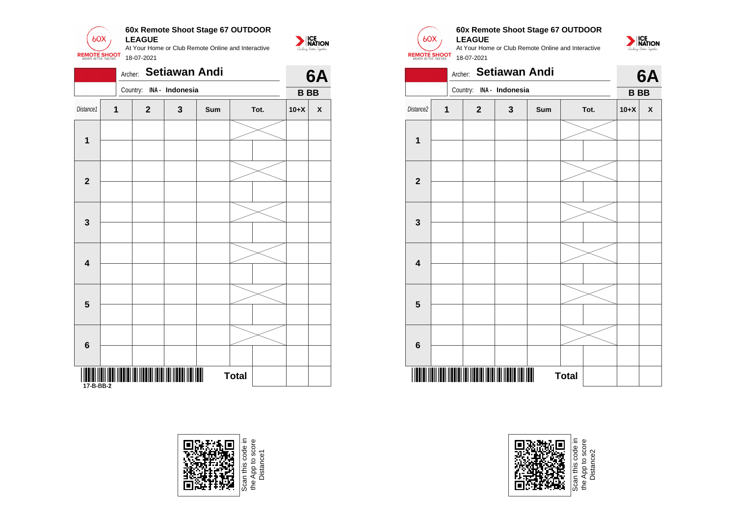

|                         |   | Archer:                  |              | <b>Setiawan Andi</b> |              |        | 6A                 |                 |              | Archer:                                                  |              | <b>Setiawan Andi</b> |              |
|-------------------------|---|--------------------------|--------------|----------------------|--------------|--------|--------------------|-----------------|--------------|----------------------------------------------------------|--------------|----------------------|--------------|
|                         |   | Country: INA - Indonesia |              |                      |              | $B$ BB |                    |                 |              | Country: INA - Indonesia                                 |              |                      |              |
| Distance1               | 1 | $\overline{2}$           | $\mathbf{3}$ | Sum                  | Tot.         | $10+X$ | $\pmb{\mathsf{x}}$ | Distance2       | $\mathbf{1}$ | $\overline{2}$                                           | $\mathbf{3}$ | Sum                  |              |
| $\mathbf{1}$            |   |                          |              |                      |              |        |                    | 1               |              |                                                          |              |                      |              |
| $\overline{2}$          |   |                          |              |                      |              |        |                    | $\overline{2}$  |              |                                                          |              |                      |              |
| $\mathbf{3}$            |   |                          |              |                      |              |        |                    | $\mathbf{3}$    |              |                                                          |              |                      |              |
| $\overline{\mathbf{4}}$ |   |                          |              |                      |              |        |                    | 4               |              |                                                          |              |                      |              |
| $\overline{\mathbf{5}}$ |   |                          |              |                      |              |        |                    | 5               |              |                                                          |              |                      |              |
| $6\phantom{1}6$         |   |                          |              |                      |              |        |                    | $6\phantom{1}6$ |              |                                                          |              |                      |              |
|                         |   |                          |              |                      | <b>Total</b> |        |                    |                 |              | THE REAL PROPERTY IN THE REAL PROPERTY OF REAL PROPERTY. |              |                      | <b>Total</b> |







#### **60x Remote Shoot Stage 67 OUTDOOR LEAGUE**

NATION

At Your Home or Club Remote Online and Interactive 18-07-2021





Scan this code in<br>the App to score<br>Distance2 the App to score Distance2e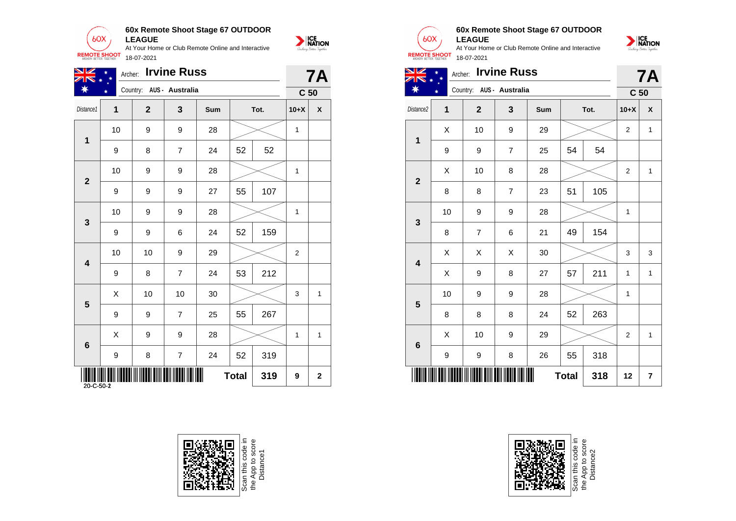

| NK<br>$Z\mathbb{N}$ * | $\ast$                    | Archer: Irvine Russ      |                    |     |              |      |                | <b>7A</b>                 |
|-----------------------|---------------------------|--------------------------|--------------------|-----|--------------|------|----------------|---------------------------|
| ☀                     |                           | Country: AUS - Australia |                    |     |              |      |                | C <sub>50</sub>           |
| Distance1             | 1                         | $\overline{2}$           | $\mathbf{3}$       | Sum |              | Tot. | $10+X$         | $\boldsymbol{\mathsf{X}}$ |
|                       | 10                        | 9                        | 9                  | 28  |              |      | $\mathbf{1}$   |                           |
| $\mathbf 1$           | 9                         | 8                        | $\overline{7}$     | 24  | 52           | 52   |                |                           |
|                       | 10                        | 9                        | 9                  | 28  |              |      | $\mathbf{1}$   |                           |
| $\overline{2}$        | 9                         | 9                        | 9                  | 27  | 55           | 107  |                |                           |
| $\mathbf{3}$          | 10                        | 9                        | 9                  | 28  |              |      | $\mathbf{1}$   |                           |
|                       | 9                         | 9                        | 6                  | 24  | 52           | 159  |                |                           |
| $\boldsymbol{4}$      | 10                        | 10                       | 9                  | 29  |              |      | $\overline{2}$ |                           |
|                       | 9                         | 8                        | $\overline{7}$     | 24  | 53           | 212  |                |                           |
| $5\phantom{1}$        | $\boldsymbol{\mathsf{X}}$ | 10                       | 10                 | 30  |              |      | 3              | $\mathbf{1}$              |
|                       | 9                         | 9                        | $\overline{7}$     | 25  | 55           | 267  |                |                           |
| 6                     | $\boldsymbol{\mathsf{X}}$ | 9                        | 9                  | 28  |              |      | $\mathbf{1}$   | $\overline{1}$            |
|                       | 9                         | 8                        | $\overline{7}$     | 24  | 52           | 319  |                |                           |
| $20 - C - 50 - 2$     | W                         |                          | III IIIIIII IIIIII |     | <b>Total</b> | 319  | 9              | $\mathbf{2}$              |







**ALLA** Т

NATION

#### **60x Remote Shoot Stage 67 OUTDOOR LEAGUE**



| V<br>ZN<br>$\bigstar$                      |               | Archer: Irvine Russ<br>Country: AUS - Australia |                |     |    |      | C <sub>50</sub> | <b>7A</b>    |
|--------------------------------------------|---------------|-------------------------------------------------|----------------|-----|----|------|-----------------|--------------|
|                                            |               |                                                 |                |     |    |      |                 |              |
|                                            | 1             | $\mathbf{2}$                                    | 3              | Sum |    | Tot. | $10+X$          | X            |
| Distance <sub>2</sub><br>1<br>$\mathbf{2}$ | X             | 10                                              | 9              | 29  |    |      | 2               | $\mathbf{1}$ |
|                                            | 9             | 9                                               | $\overline{7}$ | 25  | 54 | 54   |                 |              |
|                                            | X             | 10                                              | 8              | 28  |    |      | 2               | 1            |
|                                            | 8             | 8                                               | 7              | 23  | 51 | 105  |                 |              |
| $\mathbf{3}$                               | 10            | 9                                               | 9              | 28  |    |      | 1               |              |
|                                            | 8             | $\overline{7}$                                  | 6              | 21  | 49 | 154  |                 |              |
|                                            | X             | Χ                                               | X              | 30  |    |      | 3               | 3            |
| $\overline{\mathbf{4}}$                    | $\sim$ $\sim$ |                                                 |                |     |    |      |                 |              |





Scan this code in<br>the App to score<br>Distance2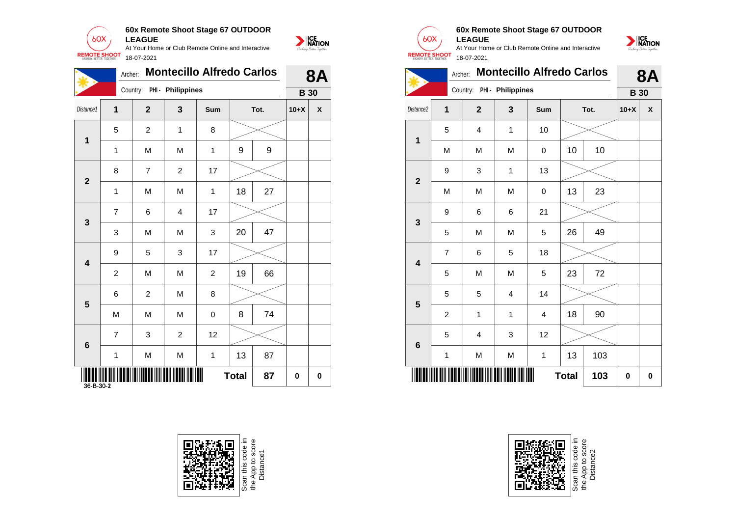

|                         |                | Archer:                    | <b>Montecillo Alfredo Carlos</b> |                |              |                  |        | <b>8A</b>    |                         |                  | Archer:                    |                         | <b>Montecillo Alfredo Carlos</b> |              |      |             | 8/                        |
|-------------------------|----------------|----------------------------|----------------------------------|----------------|--------------|------------------|--------|--------------|-------------------------|------------------|----------------------------|-------------------------|----------------------------------|--------------|------|-------------|---------------------------|
|                         |                | Country: PHI - Philippines |                                  |                |              |                  |        | <b>B</b> 30  |                         |                  | Country: PHI - Philippines |                         |                                  |              |      |             | <b>B</b> 30               |
| Distance1               | 1              | $\overline{2}$             | $\mathbf{3}$                     | Sum            |              | Tot.             | $10+X$ | $\pmb{\chi}$ | Distance2               | $\mathbf{1}$     | $\overline{2}$             | $\mathbf{3}$            | Sum                              |              | Tot. | $10+X$      | $\boldsymbol{\mathsf{x}}$ |
|                         | 5              | $\overline{2}$             | $\mathbf{1}$                     | 8              |              |                  |        |              |                         | 5                | $\overline{4}$             | $\mathbf{1}$            | 10                               |              |      |             |                           |
| $\mathbf 1$             | 1              | M                          | M                                | $\mathbf{1}$   | 9            | $\boldsymbol{9}$ |        |              | $\mathbf 1$             | M                | ${\sf M}$                  | M                       | $\mathbf 0$                      | 10           | 10   |             |                           |
|                         | 8              | $\overline{7}$             | $\overline{2}$                   | 17             |              |                  |        |              |                         | $\boldsymbol{9}$ | 3                          | $\mathbf{1}$            | 13                               |              |      |             |                           |
| $\mathbf{2}$            | 1              | M                          | M                                | $\mathbf{1}$   | 18           | 27               |        |              | $\mathbf{2}$            | M                | M                          | M                       | $\mathbf 0$                      | 13           | 23   |             |                           |
| $\mathbf{3}$            | $\overline{7}$ | 6                          | 4                                | 17             |              |                  |        |              | $\mathbf{3}$            | 9                | $\,6\,$                    | 6                       | 21                               |              |      |             |                           |
|                         | 3              | M                          | M                                | 3              | 20           | 47               |        |              |                         | 5                | ${\sf M}$                  | ${\sf M}$               | 5                                | 26           | 49   |             |                           |
| $\overline{\mathbf{4}}$ | 9              | 5                          | 3                                | 17             |              |                  |        |              | $\overline{\mathbf{4}}$ | $\overline{7}$   | $\,6$                      | 5                       | 18                               |              |      |             |                           |
|                         | $\overline{2}$ | M                          | M                                | $\overline{a}$ | 19           | 66               |        |              |                         | 5                | M                          | M                       | 5                                | 23           | 72   |             |                           |
| $5\phantom{.0}$         | 6              | $\overline{2}$             | M                                | 8              |              |                  |        |              | $5\phantom{1}$          | 5                | $\overline{5}$             | $\overline{\mathbf{4}}$ | 14                               |              |      |             |                           |
|                         | M              | M                          | M                                | $\mathbf 0$    | 8            | 74               |        |              |                         | $\overline{c}$   | $\mathbf{1}$               | $\mathbf{1}$            | 4                                | 18           | 90   |             |                           |
| $\bf 6$                 | $\overline{7}$ | 3                          | $\overline{2}$                   | 12             |              |                  |        |              | $\boldsymbol{6}$        | 5                | 4                          | 3                       | 12                               |              |      |             |                           |
|                         | $\mathbf{1}$   | M                          | M                                | $\mathbf{1}$   | 13           | 87               |        |              |                         | $\mathbf{1}$     | ${\sf M}$                  | M                       | $\mathbf{1}$                     | 13           | 103  |             |                           |
| 36-B-30-2               |                | ║                          |                                  |                | <b>Total</b> | 87               | 0      | $\bf{0}$     |                         |                  |                            | ║                       |                                  | <b>Total</b> | 103  | $\mathbf 0$ | 0                         |







### **60x Remote Shoot Stage 67 OUTDOOR LEAGUE**

At Your Home or Club Remote Online and Interactive 18-07-2021



|                         | Archer:        |                         | <b>Montecillo Alfredo Carlos</b> | <b>8A</b> |              |      |             |   |
|-------------------------|----------------|-------------------------|----------------------------------|-----------|--------------|------|-------------|---|
|                         |                | Country:                | PHI - Philippines                |           |              |      | <b>B</b> 30 |   |
| Distance2               | 1              | $\mathbf{2}$            | 3                                | Sum       |              | Tot. | $10+X$      | X |
| 1                       | 5              | 4                       | 1                                | 10        |              |      |             |   |
|                         | M              | M                       | M                                | 0         | 10           | 10   |             |   |
| $\overline{2}$          | 9              | 3                       | 1                                | 13        |              |      |             |   |
|                         | M              | M                       | M                                | 0         | 13           | 23   |             |   |
| 3                       | 9              | 6                       | 6                                | 21        |              |      |             |   |
|                         | 5              | M                       | M                                | 5         | 26           | 49   |             |   |
| $\overline{\mathbf{4}}$ | 7              | 6                       | 5                                | 18        |              |      |             |   |
|                         | 5              | M                       | M                                | 5         | 23           | 72   |             |   |
| 5                       | 5              | 5                       | $\overline{\mathbf{4}}$          | 14        |              |      |             |   |
|                         | $\overline{2}$ | 1                       | 1                                | 4         | 18           | 90   |             |   |
| 6                       | 5              | $\overline{\mathbf{4}}$ | 3                                | 12        |              |      |             |   |
|                         | 1              | M                       | M                                | 1         | 13           | 103  |             |   |
|                         |                |                         |                                  |           | <b>Total</b> | 103  | 0           | 0 |



Scan this code<br>the App to sco<br>Distance2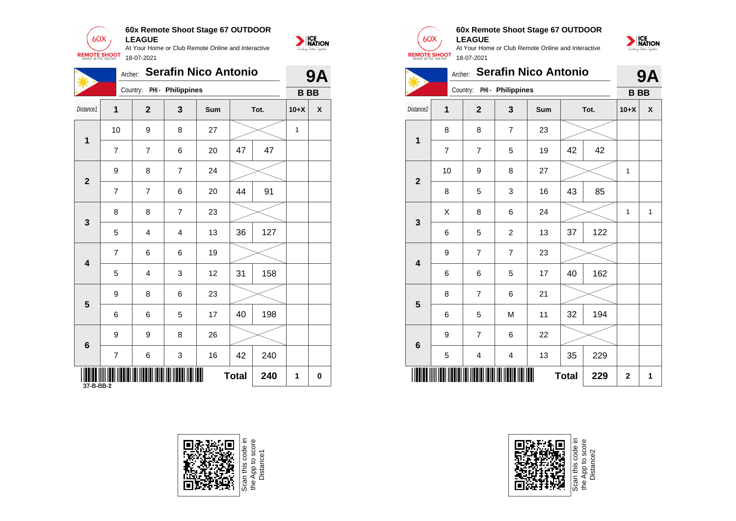

At Your Home or Club Remote Online and Interactive



| 業              | Archer:        |                            |                | <b>Serafin Nico Antonio</b> |              |      |              | <b>9A</b>                 |                         |                | Archer: Serafin Nico Antonio |                   |     |              |      | 9/           |
|----------------|----------------|----------------------------|----------------|-----------------------------|--------------|------|--------------|---------------------------|-------------------------|----------------|------------------------------|-------------------|-----|--------------|------|--------------|
|                |                | Country: PHI - Philippines |                |                             |              |      |              | <b>BBB</b>                |                         |                | Country:                     | PHI - Philippines |     |              |      | <b>BBB</b>   |
| Distance1      | 1              | $\overline{2}$             | 3              | Sum                         |              | Tot. | $10+X$       | $\boldsymbol{\mathsf{x}}$ | Distance2               | $\mathbf{1}$   | $\mathbf{2}$                 | $\mathbf{3}$      | Sum |              | Tot. | $10+X$       |
|                | 10             | 9                          | 8              | 27                          |              |      | $\mathbf{1}$ |                           |                         | 8              | $\bf 8$                      | $\overline{7}$    | 23  |              |      |              |
| $\mathbf 1$    | $\overline{7}$ | $\overline{7}$             | 6              | 20                          | 47           | 47   |              |                           | $\mathbf 1$             | $\overline{7}$ | $\overline{7}$               | $\sqrt{5}$        | 19  | 42           | 42   |              |
|                | 9              | 8                          | $\overline{7}$ | 24                          |              |      |              |                           |                         | 10             | $\boldsymbol{9}$             | $\, 8$            | 27  |              |      | $\mathbf{1}$ |
| $\overline{2}$ | $\overline{7}$ | $\overline{7}$             | 6              | 20                          | 44           | 91   |              |                           | $\overline{2}$          | 8              | $\sqrt{5}$                   | 3                 | 16  | 43           | 85   |              |
| $\mathbf{3}$   | 8              | 8                          | $\overline{7}$ | 23                          |              |      |              |                           |                         | $\pmb{\times}$ | 8                            | 6                 | 24  |              |      | $\mathbf{1}$ |
|                | 5              | $\overline{4}$             | 4              | 13                          | 36           | 127  |              |                           | $\mathbf{3}$            | 6              | 5                            | $\overline{2}$    | 13  | 37           | 122  |              |
|                | $\overline{7}$ | $\,6\,$                    | 6              | 19                          |              |      |              |                           |                         | 9              | $\overline{7}$               | $\overline{7}$    | 23  |              |      |              |
| 4              | 5              | 4                          | 3              | 12                          | 31           | 158  |              |                           | $\overline{\mathbf{4}}$ | 6              | $\,6\,$                      | $\mathbf 5$       | 17  | 40           | 162  |              |
|                | 9              | 8                          | 6              | 23                          |              |      |              |                           |                         | 8              | $\overline{7}$               | 6                 | 21  |              |      |              |
| 5              | 6              | 6                          | 5              | 17                          | 40           | 198  |              |                           | 5                       | 6              | $\sqrt{5}$                   | ${\sf M}$         | 11  | 32           | 194  |              |
|                | 9              | 9                          | 8              | 26                          |              |      |              |                           |                         | 9              | $\overline{7}$               | 6                 | 22  |              |      |              |
| 6              | $\overline{7}$ | 6                          | 3              | 16                          | 42           | 240  |              |                           | $6\phantom{1}6$         | 5              | 4                            | $\overline{4}$    | 13  | 35           | 229  |              |
| 37-B-BB-2      |                |                            |                | ▓▓                          | <b>Total</b> | 240  | 1            | 0                         |                         |                | IIII                         |                   |     | <b>Total</b> | 229  | $\mathbf{2}$ |





#### **60x Remote Shoot Stage 67 OUTDOOR LEAGUE**

NATION

At Your Home or Club Remote Online and Interactive 18-07-2021





Scan this code in<br>the App to score<br>Distance2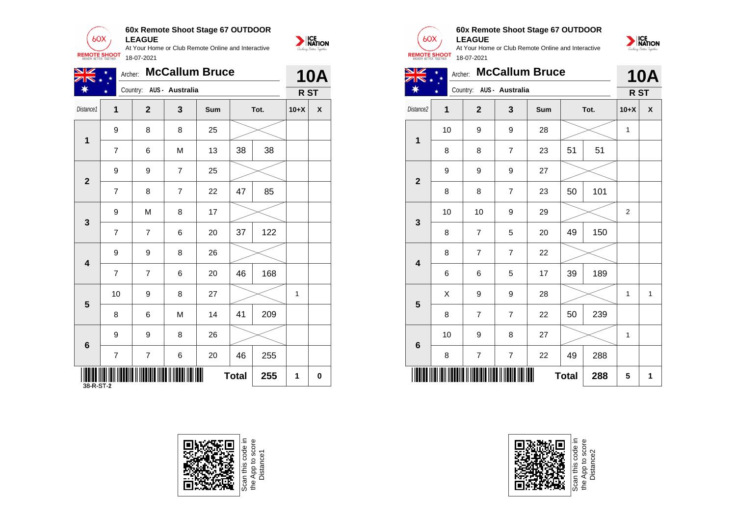

| XK *                                           | $\ast$         |                |                          | Archer: McCallum Bruce |              |      |              | <b>10A</b>                |
|------------------------------------------------|----------------|----------------|--------------------------|------------------------|--------------|------|--------------|---------------------------|
| ☀                                              |                |                | Country: AUS - Australia |                        |              |      |              | R ST                      |
| Distance1                                      | 1              | $\overline{2}$ | $\mathbf{3}$             | Sum                    |              | Tot. | $10+X$       | $\boldsymbol{\mathsf{x}}$ |
|                                                | 9              | 8              | 8                        | 25                     |              |      |              |                           |
| $\mathbf{1}$                                   | $\overline{7}$ | 6              | ${\sf M}$                | 13                     | 38           | 38   |              |                           |
|                                                | 9              | 9              | $\overline{7}$           | 25                     |              |      |              |                           |
| $\overline{2}$                                 | $\overline{7}$ | 8              | $\overline{7}$           | 22                     | 47           | 85   |              |                           |
|                                                | 9              | ${\sf M}$      | 8                        | 17                     |              |      |              |                           |
| $\mathbf{3}$                                   | $\overline{7}$ | $\overline{7}$ | 6                        | 20                     | 37           | 122  |              |                           |
|                                                | 9              | 9              | 8                        | 26                     |              |      |              |                           |
| 4                                              | $\overline{7}$ | $\overline{7}$ | 6                        | 20                     | 46           | 168  |              |                           |
| $5\phantom{1}$                                 | 10             | 9              | 8                        | 27                     |              |      | $\mathbf{1}$ |                           |
|                                                | 8              | 6              | ${\sf M}$                | 14                     | 41           | 209  |              |                           |
|                                                | 9              | 9              | 8                        | 26                     |              |      |              |                           |
| $6\phantom{1}$                                 | $\overline{7}$ | $\overline{7}$ | 6                        | 20                     | 46           | 255  |              |                           |
| $\parallel$<br><b>THEFT THEFT</b><br>38-R-ST-2 |                |                | <b>TII III TALLITTU</b>  |                        | <b>Total</b> | 255  | $\mathbf{1}$ | $\mathbf 0$               |







#### **60x Remote Shoot Stage 67 OUTDOOR LEAGUE**





|                         | 8  | 8                | $\overline{7}$           | 23  | 51           | 51  |            |   |
|-------------------------|----|------------------|--------------------------|-----|--------------|-----|------------|---|
| $\mathbf{2}$            | 9  | 9                | $\boldsymbol{9}$         | 27  |              |     |            |   |
|                         | 8  | 8                | $\overline{\mathcal{I}}$ | 23  | 50           | 101 |            |   |
| 3                       | 10 | 10               | 9                        | 29  |              |     | $\sqrt{2}$ |   |
|                         | 8  | $\boldsymbol{7}$ | 5                        | 20  | 49           | 150 |            |   |
| $\overline{\mathbf{4}}$ | 8  | $\boldsymbol{7}$ | $\overline{7}$           | 22  |              |     |            |   |
|                         | 6  | 6                | 5                        | 17  | 39           | 189 |            |   |
| 5                       | Χ  | $\boldsymbol{9}$ | 9                        | 28  |              |     | 1          | 1 |
|                         | 8  | $\boldsymbol{7}$ | $\overline{\mathcal{I}}$ | 22  | 50           | 239 |            |   |
| $6\phantom{1}$          | 10 | 9                | 8                        | 27  |              |     | 1          |   |
|                         | 8  | $\boldsymbol{7}$ | $\overline{\mathcal{I}}$ | 22  | 49           | 288 |            |   |
|                         |    |                  |                          | III | <b>Total</b> | 288 | 5          | 1 |



Scan this code in<br>the App to score<br>Distance2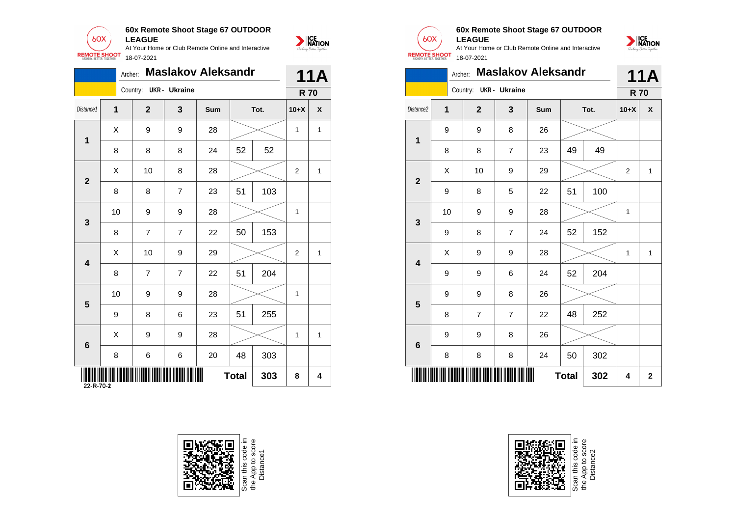

|                         | Archer:                   |                        |                | <b>Maslakov Aleksandr</b> |              |      |                | <b>11A</b>                |
|-------------------------|---------------------------|------------------------|----------------|---------------------------|--------------|------|----------------|---------------------------|
|                         |                           | Country: UKR - Ukraine |                |                           |              |      |                | <b>R70</b>                |
| Distance1               | 1                         | $\overline{2}$         | $\mathbf{3}$   | Sum                       |              | Tot. | $10+X$         | $\boldsymbol{\mathsf{X}}$ |
| 1                       | $\boldsymbol{\mathsf{X}}$ | 9                      | 9              | 28                        |              |      | $\overline{1}$ | $\mathbf{1}$              |
|                         | 8                         | 8                      | 8              | 24                        | 52           | 52   |                |                           |
| $\mathbf{2}$            | $\sf X$                   | 10                     | 8              | 28                        |              |      | $\overline{2}$ | $\mathbf{1}$              |
|                         | 8                         | 8                      | $\overline{7}$ | 23                        | 51           | 103  |                |                           |
|                         | 10                        | 9                      | $9\,$          | 28                        |              |      | $\overline{1}$ |                           |
| $\mathbf{3}$            | 8                         | $\overline{7}$         | $\overline{7}$ | 22                        | 50           | 153  |                |                           |
| $\overline{\mathbf{4}}$ | $\boldsymbol{\mathsf{X}}$ | 10                     | $9\,$          | 29                        |              |      | $\overline{2}$ | $\mathbf{1}$              |
|                         | 8                         | $\overline{7}$         | $\overline{7}$ | 22                        | 51           | 204  |                |                           |
|                         | 10                        | 9                      | $9\,$          | 28                        |              |      | $\overline{1}$ |                           |
| $5\phantom{1}$          | 9                         | 8                      | 6              | 23                        | 51           | 255  |                |                           |
| $6\phantom{a}$          | $\boldsymbol{\mathsf{X}}$ | $9\,$                  | 9              | 28                        |              |      | $\mathbf{1}$   | $\mathbf{1}$              |
|                         | 8                         | 6                      | 6              | 20                        | 48           | 303  |                |                           |
| 22-R-70-2               |                           |                        |                |                           | <b>Total</b> | 303  | 8              | 4                         |







| <b>NATION</b> |  |
|---------------|--|
|               |  |

|                         |    | <b>Maslakov Aleksandr</b><br>Archer: |                | <b>11A</b> |              |      |                |                         |
|-------------------------|----|--------------------------------------|----------------|------------|--------------|------|----------------|-------------------------|
|                         |    | Country: UKR - Ukraine               |                |            |              |      | <b>R70</b>     |                         |
| Distance2               | 1  | $\overline{2}$                       | 3              | Sum        |              | Tot. | $10+X$         | $\pmb{\mathsf{X}}$      |
| $\mathbf 1$             | 9  | 9                                    | 8              | 26         |              |      |                |                         |
|                         | 8  | 8                                    | $\overline{7}$ | 23         | 49           | 49   |                |                         |
| $\overline{2}$          | Χ  | 10                                   | 9              | 29         |              |      | $\overline{2}$ | $\mathbf{1}$            |
|                         | 9  | 8                                    | 5              | 22         | 51           | 100  |                |                         |
| 3                       | 10 | 9                                    | 9              | 28         |              |      | $\mathbf{1}$   |                         |
|                         | 9  | 8                                    | $\overline{7}$ | 24         | 52           | 152  |                |                         |
| $\overline{\mathbf{4}}$ | X  | 9                                    | 9              | 28         |              |      | 1              | 1                       |
|                         | 9  | 9                                    | 6              | 24         | 52           | 204  |                |                         |
| 5                       | 9  | 9                                    | 8              | 26         |              |      |                |                         |
|                         | 8  | $\overline{7}$                       | $\overline{7}$ | 22         | 48           | 252  |                |                         |
| 6                       | 9  | 9                                    | 8              | 26         |              |      |                |                         |
|                         | 8  | 8                                    | 8              | 24         | 50           | 302  |                |                         |
|                         |    |                                      |                |            | <b>Total</b> | 302  | 4              | $\overline{\mathbf{2}}$ |

**60x Remote Shoot Stage 67 OUTDOOR**

At Your Home or Club Remote Online and Interactive

**LEAGUE**

 $60X$ 

**REMOTE SHOOT** 

NATION

18-07-2021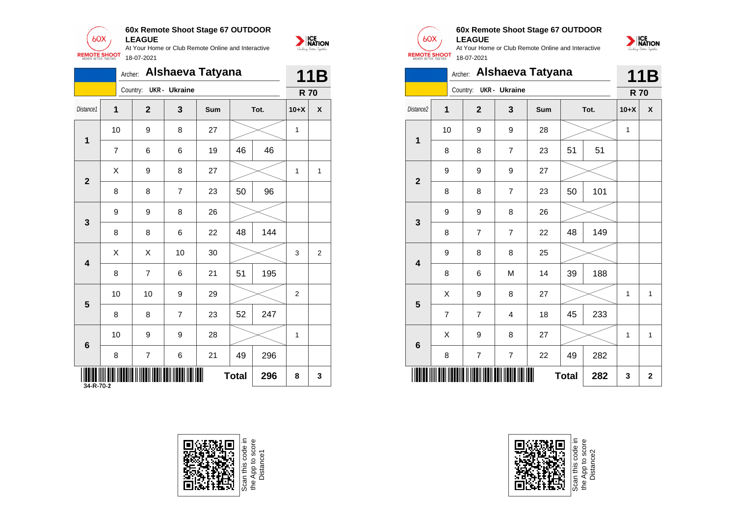

|             |                           |                        |                | Archer: Alshaeva Tatyana |              |      |                | <b>11B</b>                |
|-------------|---------------------------|------------------------|----------------|--------------------------|--------------|------|----------------|---------------------------|
|             |                           | Country: UKR - Ukraine |                |                          |              |      |                | <b>R70</b>                |
| Distance1   | 1                         | $\overline{2}$         | $\mathbf{3}$   | Sum                      |              | Tot. | $10+X$         | $\boldsymbol{\mathsf{x}}$ |
| $\mathbf 1$ | 10                        | 9                      | 8              | 27                       |              |      | $\mathbf{1}$   |                           |
|             | 7                         | 6                      | 6              | 19                       | 46           | 46   |                |                           |
|             | X                         | 9                      | 8              | 27                       |              |      | $\mathbf{1}$   | $\mathbf{1}$              |
|             | 8                         | 8                      | $\overline{7}$ | 23                       | 50           | 96   |                |                           |
|             | 9                         | 9                      | 8              | 26                       |              |      |                |                           |
|             | 8                         | 8                      | 6              | 22                       | 48           | 144  |                |                           |
|             | $\boldsymbol{\mathsf{X}}$ | $\mathsf{X}$           | 10             | 30                       |              |      | 3              | $\overline{c}$            |
|             | 8                         | $\overline{7}$         | 6              | 21                       | 51           | 195  |                |                           |
|             | 10                        | 10                     | 9              | 29                       |              |      | $\overline{2}$ |                           |
|             | 8                         | 8                      | $\overline{7}$ | 23                       | 52           | 247  |                |                           |
|             | 10                        | 9                      | 9              | 28                       |              |      | $\mathbf{1}$   |                           |
|             | 8                         | $\overline{7}$         | 6              | 21                       | 49           | 296  |                |                           |
|             | $34 - R - 70 - 2$         |                        |                |                          | <b>Total</b> | 296  | 8              | $\mathbf{3}$              |



Scan this code in<br>the App to score<br>Distance1



NATION

#### **60x Remote Shoot Stage 67 OUTDOOR LEAGUE**



|                         |                |                         | 11B            |     |              |      |            |              |
|-------------------------|----------------|-------------------------|----------------|-----|--------------|------|------------|--------------|
|                         |                | Country: UKR - Ukraine  |                |     |              |      | <b>R70</b> |              |
| Distance <sub>2</sub>   | 1              | $\overline{\mathbf{2}}$ | 3              | Sum |              | Tot. | $10+X$     | X            |
| $\overline{\mathbf{1}}$ | 10             | 9                       | 9              | 28  |              |      | 1          |              |
|                         | 8              | 8                       | 7              | 23  | 51           | 51   |            |              |
| $\overline{2}$          | 9              | 9                       | 9              | 27  |              |      |            |              |
|                         | 8              | 8                       | $\overline{7}$ | 23  | 50           | 101  |            |              |
| $\mathbf{3}$            | 9              | 9                       | 8              | 26  |              |      |            |              |
|                         | 8              | $\overline{7}$          | 7              | 22  | 48           | 149  |            |              |
| $\overline{\mathbf{4}}$ | 9              | 8                       | 8              | 25  |              |      |            |              |
|                         | 8              | 6                       | M              | 14  | 39           | 188  |            |              |
| 5                       | X              | 9                       | 8              | 27  |              |      | 1          | 1            |
|                         | $\overline{7}$ | $\overline{7}$          | 4              | 18  | 45           | 233  |            |              |
|                         | X              | 9                       | 8              | 27  |              |      | 1          | $\mathbf{1}$ |
| $\bf 6$                 | 8              | $\overline{7}$          | 7              | 22  | 49           | 282  |            |              |
|                         |                |                         |                |     | <b>Total</b> | 282  | 3          | $\mathbf 2$  |



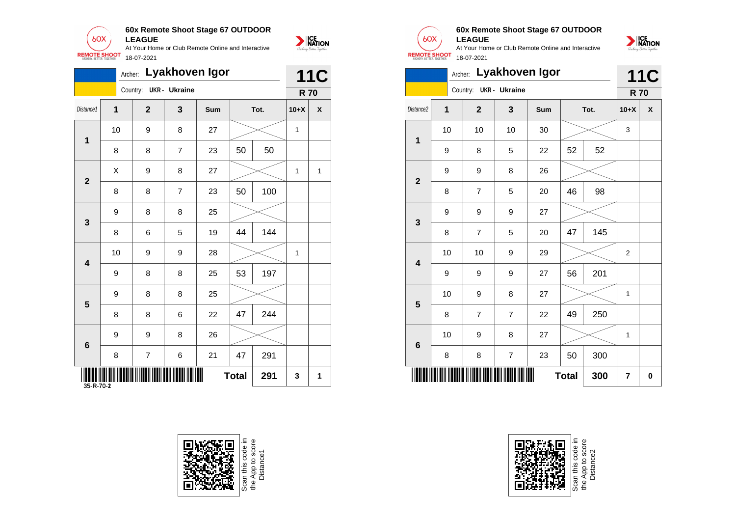

|                         |              |                  |                | Archer: Lyakhoven Igor |              |      |              | <b>11C</b>                |
|-------------------------|--------------|------------------|----------------|------------------------|--------------|------|--------------|---------------------------|
|                         |              | Country:         | UKR - Ukraine  |                        |              |      |              | <b>R70</b>                |
| Distance1               | 1            | $\mathbf{2}$     | $\mathbf{3}$   | Sum                    |              | Tot. | $10+X$       | $\boldsymbol{\mathsf{x}}$ |
|                         | 10           | 9                | 8              | 27                     |              |      | $\mathbf{1}$ |                           |
| $\mathbf{1}$            | 8            | 8                | $\overline{7}$ | 23                     | 50           | 50   |              |                           |
| $\overline{2}$          | $\mathsf{X}$ | $\boldsymbol{9}$ | 8              | 27                     |              |      | $\mathbf{1}$ | $\mathbf{1}$              |
|                         | 8            | 8                | $\overline{7}$ | 23                     | 50           | 100  |              |                           |
|                         | 9            | 8                | 8              | 25                     |              |      |              |                           |
| $\mathbf{3}$            | 8            | $\,6\,$          | 5              | 19                     | 44           | 144  |              |                           |
|                         | 10           | 9                | 9              | 28                     |              |      | $\mathbf{1}$ |                           |
| $\overline{\mathbf{4}}$ | 9            | 8                | 8              | 25                     | 53           | 197  |              |                           |
|                         | 9            | 8                | 8              | 25                     |              |      |              |                           |
| $5\phantom{1}$          | 8            | 8                | 6              | 22                     | 47           | 244  |              |                           |
|                         | 9            | 9                | 8              | 26                     |              |      |              |                           |
| $6\phantom{1}6$         | 8            | $\overline{7}$   | 6              | 21                     | 47           | 291  |              |                           |
| 35-R-70-2               |              |                  | <b>IIII</b>    |                        | <b>Total</b> | 291  | $\mathbf{3}$ | $\mathbf 1$               |





## **60x Remote Shoot Stage 67 OUTDOOR**

**LEAGUE** At Your Home or Club Remote Online and Interactive 18-07-2021



|                         |                         |                        |                | Archer: Lyakhoven Igor |              |      |                | <b>11C</b> |
|-------------------------|-------------------------|------------------------|----------------|------------------------|--------------|------|----------------|------------|
|                         |                         | Country: UKR - Ukraine |                |                        |              |      | <b>R70</b>     |            |
| Distance2               | $\overline{\mathbf{1}}$ | $\overline{2}$         | 3              | Sum                    |              | Tot. | $10+X$         | X          |
| 1                       | 10                      | 10                     | 10             | 30                     |              |      | 3              |            |
|                         | 9                       | 8                      | 5              | 22                     | 52           | 52   |                |            |
| $\overline{2}$          | 9                       | 9                      | 8              | 26                     |              |      |                |            |
|                         | 8                       | $\overline{7}$         | 5              | 20                     | 46           | 98   |                |            |
| 3                       | 9                       | 9                      | 9              | 27                     |              |      |                |            |
|                         | 8                       | 7                      | 5              | 20                     | 47           | 145  |                |            |
| $\overline{\mathbf{4}}$ | 10                      | 10                     | 9              | 29                     |              |      | $\overline{2}$ |            |
|                         | 9                       | 9                      | 9              | 27                     | 56           | 201  |                |            |
| 5                       | 10                      | 9                      | 8              | 27                     |              |      | 1              |            |
|                         | 8                       | $\overline{7}$         | $\overline{7}$ | 22                     | 49           | 250  |                |            |
| $6\phantom{1}$          | 10                      | 9                      | 8              | 27                     |              |      | 1              |            |
|                         | 8                       | 8                      | 7              | 23                     | 50           | 300  |                |            |
|                         |                         |                        |                |                        | <b>Total</b> | 300  | 7              | 0          |



Scan this code<br>the App to scor<br>Distance2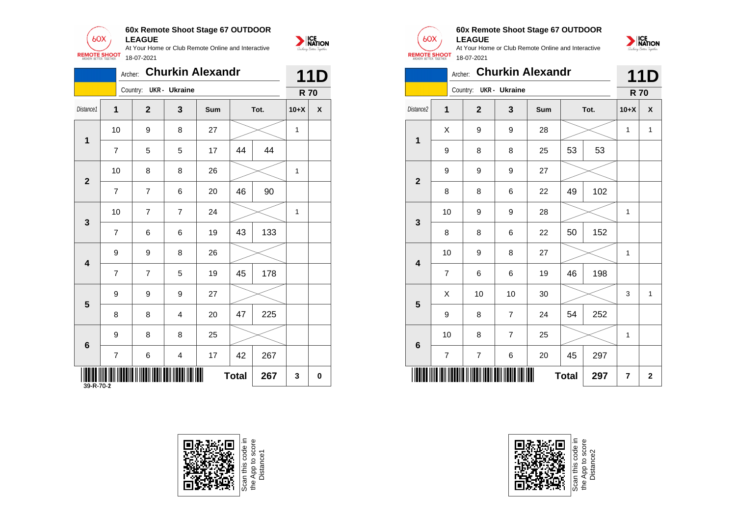

|                          | Archer:        |                        |                          | <b>Churkin Alexandr</b> |              |      |              | <b>11D</b>                |
|--------------------------|----------------|------------------------|--------------------------|-------------------------|--------------|------|--------------|---------------------------|
|                          |                | Country: UKR - Ukraine |                          |                         |              |      |              | <b>R70</b>                |
| Distance1                | 1              | $\overline{2}$         | $\mathbf{3}$             | Sum                     |              | Tot. | $10+X$       | $\boldsymbol{\mathsf{x}}$ |
| 1                        | 10             | 9                      | 8                        | 27                      |              |      | $\mathbf{1}$ |                           |
|                          | $\overline{7}$ | 5                      | 5                        | 17                      | 44           | 44   |              |                           |
|                          | 10             | 8                      | 8                        | 26                      |              |      | $\mathbf{1}$ |                           |
| $\overline{2}$           | $\overline{7}$ | $\overline{7}$         | 6                        | 20                      | 46           | 90   |              |                           |
|                          | 10             | $\overline{7}$         | $\overline{7}$           | 24                      |              |      | $\mathbf{1}$ |                           |
| $\mathbf{3}$             | $\overline{7}$ | 6                      | 6                        | 19                      | 43           | 133  |              |                           |
|                          | 9              | 9                      | 8                        | 26                      |              |      |              |                           |
| 4                        | $\overline{7}$ | $\overline{7}$         | 5                        | 19                      | 45           | 178  |              |                           |
|                          | 9              | 9                      | 9                        | 27                      |              |      |              |                           |
| $5\phantom{1}$           | 8              | 8                      | 4                        | 20                      | 47           | 225  |              |                           |
| $6\phantom{1}$           | 9              | 8                      | 8                        | 25                      |              |      |              |                           |
|                          | $\overline{7}$ | 6                      | 4                        | 17                      | 42           | 267  |              |                           |
| $\parallel$<br>39-R-70-2 |                |                        | <b>TIII IIIIIII IIII</b> |                         | <b>Total</b> | 267  | $\mathbf{3}$ | $\mathbf 0$               |







#### **60x Remote Shoot Stage 67 OUTDOOR LEAGUE**

At Your Home or Club Remote Online and Interactive 18-07-2021



|                         |                | Archer: |                |                        | <b>Churkin Alexandr</b> |              |      |            | <b>11D</b>   |
|-------------------------|----------------|---------|----------------|------------------------|-------------------------|--------------|------|------------|--------------|
|                         |                |         |                | Country: UKR - Ukraine |                         |              |      | <b>R70</b> |              |
| Distance2               | $\mathbf{1}$   |         | $\mathbf 2$    | 3                      | Sum                     |              | Tot. | $10+X$     | X            |
| 1                       | Χ              |         | 9              | 9                      | 28                      |              |      | 1          | $\mathbf{1}$ |
|                         | 9              |         | 8              | 8                      | 25                      | 53           | 53   |            |              |
| $\overline{\mathbf{2}}$ | 9              |         | 9              | 9                      | 27                      |              |      |            |              |
|                         | 8              |         | 8              | 6                      | 22                      | 49           | 102  |            |              |
| $\mathbf{3}$            | 10             |         | 9              | 9                      | 28                      |              |      | 1          |              |
|                         | 8              |         | 8              | 6                      | 22                      | 50           | 152  |            |              |
| $\overline{\mathbf{4}}$ | 10             |         | 9              | 8                      | 27                      |              |      | 1          |              |
|                         | 7              |         | 6              | 6                      | 19                      | 46           | 198  |            |              |
| $5\phantom{1}$          | Χ              |         | 10             | 10                     | 30                      |              |      | 3          | $\mathbf{1}$ |
|                         | 9              |         | 8              | $\overline{7}$         | 24                      | 54           | 252  |            |              |
| $\bf 6$                 | 10             |         | 8              | $\overline{7}$         | 25                      |              |      | 1          |              |
|                         | $\overline{7}$ |         | $\overline{7}$ | 6                      | 20                      | 45           | 297  |            |              |
|                         |                |         |                |                        |                         | <b>Total</b> | 297  | 7          | $\mathbf{2}$ |



Scan this code<br>the App to sco<br>Distance2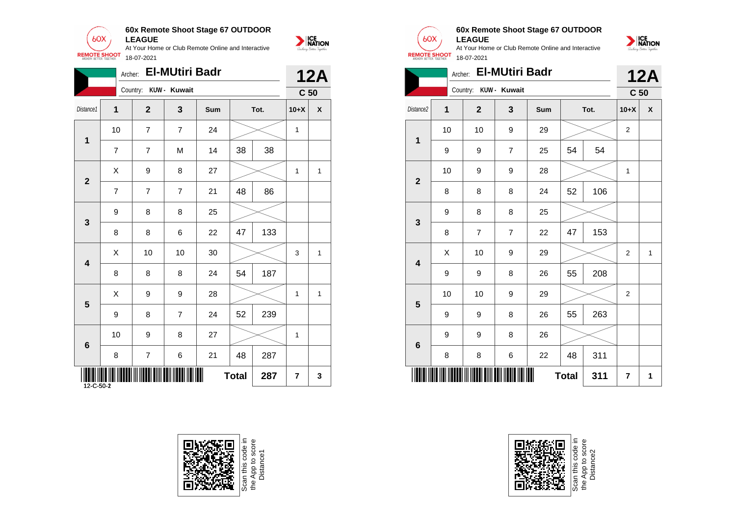

|                         | Archer:                  |                  | <b>El-MUtiri Badr</b> |     |    |      |                | <b>12A</b>      |
|-------------------------|--------------------------|------------------|-----------------------|-----|----|------|----------------|-----------------|
|                         |                          | Country:         | KUW - Kuwait          |     |    |      |                | C <sub>50</sub> |
| Distance1               | 1                        | $\overline{2}$   | $\mathbf{3}$          | Sum |    | Tot. | $10+X$         | $\pmb{\chi}$    |
|                         | 10                       | $\overline{7}$   | $\overline{7}$        | 24  |    |      | $\mathbf{1}$   |                 |
| $\mathbf{1}$            | $\overline{7}$           | $\overline{7}$   | M                     | 14  | 38 | 38   |                |                 |
| $\overline{2}$          | $\mathsf{X}$             | $\boldsymbol{9}$ | 8                     | 27  |    |      | $\mathbf{1}$   | $\mathbf{1}$    |
|                         | $\overline{7}$           | $\overline{7}$   | $\overline{7}$        | 21  | 48 | 86   |                |                 |
| $\mathbf{3}$            | 9                        | 8                | 8                     | 25  |    |      |                |                 |
|                         | 8                        | 8                | 6                     | 22  | 47 | 133  |                |                 |
|                         | $\sf X$                  | 10               | 10                    | 30  |    |      | 3              | $\mathbf{1}$    |
| $\overline{\mathbf{4}}$ | 8                        | 8                | 8                     | 24  | 54 | 187  |                |                 |
| $5\phantom{1}$          | $\mathsf{X}$             | 9                | 9                     | 28  |    |      | $\mathbf{1}$   | $\mathbf{1}$    |
|                         | 9                        | 8                | $\overline{7}$        | 24  | 52 | 239  |                |                 |
| 6                       | 10                       | $9\,$            | 8                     | 27  |    |      | $\mathbf{1}$   |                 |
|                         | 8                        | $\overline{7}$   | 6                     | 21  | 48 | 287  |                |                 |
| $12 - C - 50 - 2$       | W<br>287<br><b>Total</b> |                  |                       |     |    |      | $\overline{7}$ | 3               |







#### **60x Remote Shoot Stage 67 OUTDOOR LEAGUE**



|                         | <b>12A</b> |                       |                |     |              |      |                 |              |
|-------------------------|------------|-----------------------|----------------|-----|--------------|------|-----------------|--------------|
|                         |            | Country: KUW - Kuwait |                |     |              |      | C <sub>50</sub> |              |
| Distance <sub>2</sub>   | 1          | $\overline{2}$        | 3              | Sum |              | Tot. | $10+X$          | X            |
| 1                       | 10         | 10                    | 9              | 29  |              |      | $\overline{2}$  |              |
|                         | 9          | 9                     | $\overline{7}$ | 25  | 54           | 54   |                 |              |
| $\overline{2}$          | 10         | 9                     | 9              | 28  |              |      | 1               |              |
|                         | 8          | 8                     | 8              | 24  | 52           | 106  |                 |              |
| 3                       | 9          | 8                     | 8              | 25  |              |      |                 |              |
|                         | 8          | $\overline{7}$        | $\overline{7}$ | 22  | 47           | 153  |                 |              |
| $\overline{\mathbf{4}}$ | Χ          | 10                    | 9              | 29  |              |      | 2               | $\mathbf{1}$ |
|                         | 9          | 9                     | 8              | 26  | 55           | 208  |                 |              |
| 5                       | 10         | 10                    | 9              | 29  |              |      | $\overline{2}$  |              |
|                         | 9          | 9                     | 8              | 26  | 55           | 263  |                 |              |
| 6                       | 9          | 9                     | 8              | 26  |              |      |                 |              |
|                         | 8          | 8                     | 6              | 22  | 48           | 311  |                 |              |
|                         |            |                       |                |     | <b>Total</b> | 311  | 7               | 1            |



Scan this code<br>the App to sco<br>Distance2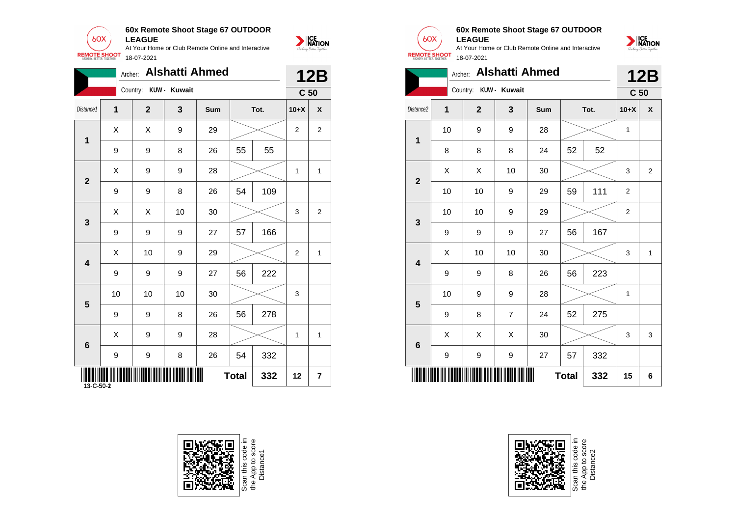

|                         | Archer:                        |                       | <b>Alshatti Ahmed</b> |       |              |      |                | <b>12B</b>       |                         |                  | Archer:          |                  | <b>Alshatti Ahmed</b> |              |      |  |
|-------------------------|--------------------------------|-----------------------|-----------------------|-------|--------------|------|----------------|------------------|-------------------------|------------------|------------------|------------------|-----------------------|--------------|------|--|
|                         |                                | Country: KUW - Kuwait |                       |       |              |      |                | C <sub>50</sub>  |                         |                  | Country:         | KUW - Kuwait     |                       |              |      |  |
| Distance1               | $\mathbf{1}$                   | $\mathbf{2}$          | $\mathbf{3}$          | Sum   |              | Tot. | $10+X$         | $\boldsymbol{x}$ | Distance2               | $\mathbf 1$      | $\mathbf{2}$     | $\mathbf{3}$     | Sum                   |              | Tot. |  |
|                         | $\mathsf{X}$                   | $\mathsf{X}$          | 9                     | 29    |              |      | $\overline{c}$ | $\overline{c}$   |                         | 10               | $\boldsymbol{9}$ | 9                | 28                    |              |      |  |
| $\mathbf{1}$            | 9                              | 9                     | 8                     | 26    | 55           | 55   |                |                  | $\mathbf 1$             | 8                | $\bf 8$          | 8                | 24                    | 52           | 52   |  |
|                         | $\mathsf X$                    | 9                     | $\boldsymbol{9}$      | 28    |              |      | $\mathbf{1}$   | $\mathbf{1}$     |                         | $\mathsf X$      | $\mathsf X$      | 10               | 30                    |              |      |  |
| $\mathbf{2}$            | 9                              | 9                     | 8                     | 26    | 54           | 109  |                |                  | $\mathbf{2}$            | 10               | 10               | 9                | 29                    | 59           | 111  |  |
|                         | $\mathsf X$                    | $\mathsf{X}$          | 10 <sup>1</sup>       | 30    |              |      | 3              | $\overline{a}$   |                         | 10               | 10               | 9                | 29                    |              |      |  |
| $\mathbf{3}$            | 9                              | 9                     | $\boldsymbol{9}$      | 27    | 57           | 166  |                |                  | $\mathbf{3}$            | $\boldsymbol{9}$ | $\boldsymbol{9}$ | $\boldsymbol{9}$ | 27                    | 56           | 167  |  |
|                         | $\mathsf{X}$                   | 10                    | 9                     | 29    |              |      | $\overline{2}$ | $\mathbf{1}$     |                         | $\mathsf X$      | 10               | 10               | 30                    |              |      |  |
| $\overline{\mathbf{4}}$ | $\boldsymbol{9}$               | 9                     | 9                     | 27    | 56           | 222  |                |                  | $\overline{\mathbf{4}}$ | $\boldsymbol{9}$ | $\boldsymbol{9}$ | 8                | 26                    | 56           | 223  |  |
| $5\phantom{1}$          | 10                             | 10                    | 10 <sup>1</sup>       | 30    |              |      | 3              |                  | $5\phantom{1}$          | 10               | 9                | 9                | 28                    |              |      |  |
|                         | $\boldsymbol{9}$               | 9                     | 8                     | 26    | 56           | 278  |                |                  |                         | 9                | $\bf 8$          | $\overline{7}$   | 24                    | 52           | 275  |  |
|                         | $\mathsf X$                    | 9                     | 9                     | 28    |              |      | $\mathbf{1}$   | $\mathbf{1}$     |                         | $\mathsf X$      | $\mathsf X$      | $\mathsf X$      | 30                    |              |      |  |
| $\boldsymbol{6}$        | 9                              | 9                     | 8                     | 26    | 54           | 332  |                |                  | $6\phantom{1}6$         | 9                | 9                | 9                | 27                    | 57           | 332  |  |
| 13-C-50-2               | <b>                       </b> |                       |                       | IIIII | <b>Total</b> | 332  | 12             | $\overline{7}$   |                         |                  |                  |                  |                       | <b>Total</b> | 332  |  |







#### **60x Remote Shoot Stage 67 OUTDOOR LEAGUE**



|                         |    | <b>12B</b>            |                |     |              |     |                 |                |
|-------------------------|----|-----------------------|----------------|-----|--------------|-----|-----------------|----------------|
|                         |    | Country: KUW - Kuwait |                |     |              |     | C <sub>50</sub> |                |
| Distance <sub>2</sub>   | 1  | $\overline{2}$        | 3              | Sum | Tot.         |     | $10+X$          | X              |
| 1                       | 10 | 9                     | 9              | 28  |              |     | 1               |                |
|                         | 8  | 8                     | 8              | 24  | 52           | 52  |                 |                |
| $\overline{2}$          | X  | X                     | 10             | 30  |              |     | 3               | $\overline{2}$ |
|                         | 10 | 10                    | 9              | 29  | 59           | 111 | $\overline{2}$  |                |
| 3                       | 10 | 10                    | 9              | 29  |              |     | $\overline{2}$  |                |
|                         | 9  | 9                     | 9              | 27  | 56           | 167 |                 |                |
| $\overline{\mathbf{4}}$ | X  | 10                    | 10             | 30  |              |     | 3               | $\mathbf{1}$   |
|                         | 9  | 9                     | 8              | 26  | 56           | 223 |                 |                |
| 5                       | 10 | 9                     | 9              | 28  |              |     | 1               |                |
|                         | 9  | 8                     | $\overline{7}$ | 24  | 52           | 275 |                 |                |
| 6                       | Χ  | Χ                     | Χ              | 30  |              |     | 3               | 3              |
|                         | 9  | 9                     | 9              | 27  | 57           | 332 |                 |                |
|                         |    |                       |                |     | <b>Total</b> | 332 | 15              | 6              |



Scan this code<br>the App to sco<br>Distance2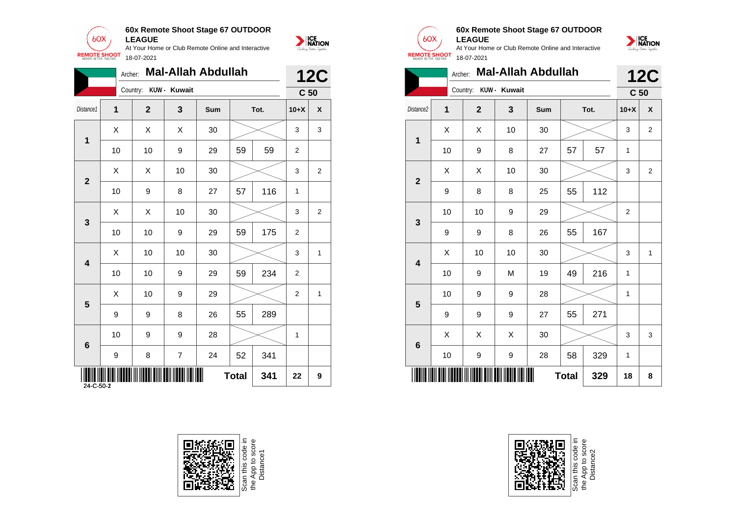



|                  | Archer:                   |                       |                | <b>Mal-Allah Abdullah</b> |              |      |                | <b>12C</b>                |
|------------------|---------------------------|-----------------------|----------------|---------------------------|--------------|------|----------------|---------------------------|
|                  |                           | Country: KUW - Kuwait |                |                           |              |      |                | C <sub>50</sub>           |
| Distance1        | 1                         | $\overline{2}$        | $\mathbf{3}$   | Sum                       |              | Tot. | $10+X$         | $\boldsymbol{\mathsf{x}}$ |
| $\mathbf 1$      | $\boldsymbol{\mathsf{X}}$ | X                     | X              | 30                        |              |      | 3              | 3                         |
|                  | 10                        | 10                    | 9              | 29                        | 59           | 59   | $\overline{2}$ |                           |
|                  | $\sf X$                   | $\mathsf{X}$          | 10             | 30                        |              |      | 3              | $\overline{c}$            |
| $\mathbf{2}$     | 10                        | 9                     | 8              | 27                        | 57           | 116  | $\mathbf{1}$   |                           |
|                  | $\sf X$                   | $\sf X$               | 10             | 30                        |              |      | 3              | $\overline{c}$            |
| $\mathbf{3}$     | 10                        | 10                    | 9              | 29                        | 59           | 175  | $\overline{2}$ |                           |
| $\boldsymbol{4}$ | $\sf X$                   | 10                    | 10             | 30                        |              |      | 3              | $\mathbf{1}$              |
|                  | 10                        | 10                    | 9              | 29                        | 59           | 234  | $\overline{2}$ |                           |
|                  | $\times$                  | 10                    | 9              | 29                        |              |      | $\overline{2}$ | $\mathbf{1}$              |
| $5\phantom{.0}$  | 9                         | 9                     | 8              | 26                        | 55           | 289  |                |                           |
| $6\phantom{a}$   | 10                        | 9                     | 9              | 28                        |              |      | $\overline{1}$ |                           |
|                  | 9                         | 8                     | $\overline{7}$ | 24                        | 52           | 341  |                |                           |
|                  |                           |                       |                |                           | <b>Total</b> | 341  | 22             | 9                         |







#### **60x Remote Shoot Stage 67 OUTDOOR LEAGUE**

At Your Home or Club Remote Online and Interactive 18-07-2021



|                         | <b>12C</b>       |              |                         |     |              |     |                 |                |
|-------------------------|------------------|--------------|-------------------------|-----|--------------|-----|-----------------|----------------|
|                         |                  | Country:     | KUW - Kuwait            |     |              |     | C <sub>50</sub> |                |
| Distance <sub>2</sub>   | 1                | $\mathbf{2}$ | $\overline{\mathbf{3}}$ | Sum | Tot.         |     | $10+X$          | X              |
| $\mathbf{1}$            | Χ                | Χ            | 10                      | 30  |              |     | 3               | 2              |
|                         | 10               | 9            | 8                       | 27  | 57           | 57  | 1               |                |
| $\mathbf{2}$            | X                | X            | 10                      | 30  |              |     | 3               | $\overline{2}$ |
|                         | $\boldsymbol{9}$ | 8            | 8                       | 25  | 55           | 112 |                 |                |
| 3                       | 10               | 10           | 9                       | 29  |              |     | 2               |                |
|                         | 9                | 9            | 8                       | 26  | 55           | 167 |                 |                |
| $\overline{\mathbf{4}}$ | X                | 10           | 10                      | 30  |              |     | 3               | 1              |
|                         | 10               | 9            | M                       | 19  | 49           | 216 | 1               |                |
| 5                       | 10               | 9            | 9                       | 28  |              |     | 1               |                |
|                         | 9                | 9            | 9                       | 27  | 55           | 271 |                 |                |
| $6\phantom{1}$          | X                | X            | X                       | 30  |              |     | 3               | 3              |
|                         | 10               | 9            | 9                       | 28  | 58<br>329    |     | 1               |                |
|                         |                  |              |                         |     | <b>Total</b> | 329 | 18              | 8              |



Scan this code<br>the App to scor<br>Distance2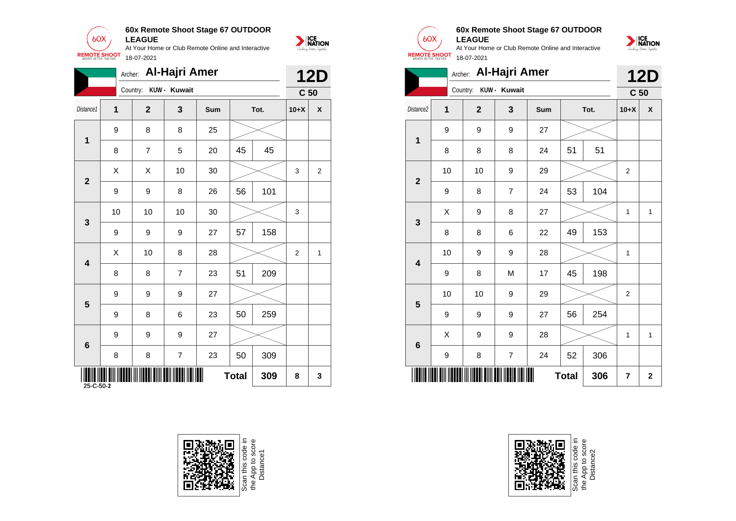

|                         | Archer:          |                           | <b>Al-Hajri Amer</b> |     |              |      |                | <b>12D</b>                |
|-------------------------|------------------|---------------------------|----------------------|-----|--------------|------|----------------|---------------------------|
|                         |                  | Country:                  | KUW - Kuwait         |     |              |      |                | C <sub>50</sub>           |
| Distance1               | $\mathbf 1$      | $\mathbf{2}$              | $\mathbf{3}$         | Sum |              | Tot. | $10+X$         | $\boldsymbol{\mathsf{x}}$ |
| $\mathbf{1}$            | 9                | 8                         | 8                    | 25  |              |      |                |                           |
|                         | $\, 8$           | $\overline{7}$            | 5                    | 20  | 45           | 45   |                |                           |
|                         | $\mathsf{X}$     | $\boldsymbol{\mathsf{X}}$ | 10                   | 30  |              |      | 3              | $\mathbf{2}$              |
| $\overline{2}$          | $\boldsymbol{9}$ | 9                         | 8                    | 26  | 56           | 101  |                |                           |
|                         | 10               | 10                        | 10                   | 30  |              |      | 3              |                           |
| $\mathbf{3}$            | $\boldsymbol{9}$ | 9                         | 9                    | 27  | 57           | 158  |                |                           |
|                         | $\mathsf{X}$     | 10                        | 8                    | 28  |              |      | $\overline{2}$ | $\mathbf{1}$              |
| $\overline{\mathbf{4}}$ | 8                | 8                         | $\overline{7}$       | 23  | 51           | 209  |                |                           |
| $5\phantom{1}$          | 9                | 9                         | 9                    | 27  |              |      |                |                           |
|                         | 9                | 8                         | 6                    | 23  | 50           | 259  |                |                           |
|                         | 9                | 9                         | 9                    | 27  |              |      |                |                           |
| $6\phantom{1}6$         | 8                | 8                         | $\overline{7}$       | 23  | 50           | 309  |                |                           |
| WW<br>25-C-50-2         |                  |                           |                      |     | <b>Total</b> | 309  | 8              | $\mathbf{3}$              |







#### **60x Remote Shoot Stage 67 OUTDOOR LEAGUE**



|                         | <b>Al-Hajri Amer</b><br>Archer:<br>Country: KUW - Kuwait |                |                |     |              |     |                 |              |  |  |  |  |  |
|-------------------------|----------------------------------------------------------|----------------|----------------|-----|--------------|-----|-----------------|--------------|--|--|--|--|--|
|                         |                                                          |                |                |     |              |     | C <sub>50</sub> |              |  |  |  |  |  |
| Distance2               | $\mathbf{1}$                                             | $\overline{2}$ | 3              | Sum | Tot.         |     | $10+X$          | X            |  |  |  |  |  |
| 1                       | 9                                                        | 9              | 9              | 27  |              |     |                 |              |  |  |  |  |  |
|                         | 8                                                        | 8              | 8              | 24  | 51           | 51  |                 |              |  |  |  |  |  |
| $\overline{\mathbf{2}}$ | 10                                                       | 10             | 9              | 29  |              |     | $\overline{2}$  |              |  |  |  |  |  |
|                         | $\boldsymbol{9}$                                         | 8              | $\overline{7}$ | 24  | 53           | 104 |                 |              |  |  |  |  |  |
| $\mathbf{3}$            | X                                                        | 9              | 8              | 27  |              |     | 1               | $\mathbf{1}$ |  |  |  |  |  |
|                         | 8                                                        | 8              | 6              | 22  | 49           | 153 |                 |              |  |  |  |  |  |
| $\overline{\mathbf{4}}$ | 10                                                       | 9              | 9              | 28  |              |     | 1               |              |  |  |  |  |  |
|                         | 9                                                        | 8              | M              | 17  | 45           | 198 |                 |              |  |  |  |  |  |
| $5\phantom{1}$          | 10                                                       | 10             | 9              | 29  |              |     | 2               |              |  |  |  |  |  |
|                         | 9                                                        | 9              | 9              | 27  | 56           | 254 |                 |              |  |  |  |  |  |
| 6                       | X                                                        | 9              | 9              | 28  |              |     | 1               | $\mathbf{1}$ |  |  |  |  |  |
|                         | 9                                                        | 8              | $\overline{7}$ | 24  | 52           | 306 |                 |              |  |  |  |  |  |
|                         |                                                          |                |                |     | <b>Total</b> | 306 | 7               | $\mathbf 2$  |  |  |  |  |  |

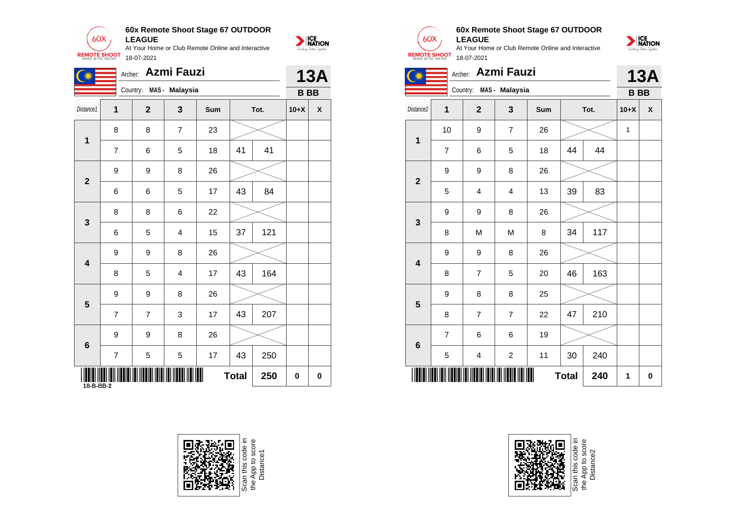**60x Remote Shoot Stage 67 OUTDOOR**  $60X$ **LEAGUE** At Your Home or Club Remote Online and Interactive

18-07-2021

**REMOTE SHOOT** 



| $\mathbb{C}^*$ |                  | Archer. Azmi Fauzi      |                |     |              |      |             | <b>13A</b>   |
|----------------|------------------|-------------------------|----------------|-----|--------------|------|-------------|--------------|
|                |                  | Country: MAS - Malaysia |                |     |              |      |             | <b>BBB</b>   |
| Distance1      | $\mathbf{1}$     | $\overline{2}$          | $\mathbf{3}$   | Sum |              | Tot. | $10+X$      | $\pmb{\chi}$ |
| $\mathbf 1$    | 8                | 8                       | $\overline{7}$ | 23  |              |      |             |              |
|                | $\overline{7}$   | 6                       | 5              | 18  | 41           | 41   |             |              |
|                | $\boldsymbol{9}$ | 9                       | 8              | 26  |              |      |             |              |
|                | 6                | 6                       | 5              | 17  | 43           | 84   |             |              |
|                | 8                | 8                       | 6              | 22  |              |      |             |              |
|                | 6                | 5                       | 4              | 15  | 37           | 121  |             |              |
|                | 9                | 9                       | 8              | 26  |              |      |             |              |
|                | 8                | 5                       | 4              | 17  | 43           | 164  |             |              |
|                | 9                | 9                       | 8              | 26  |              |      |             |              |
| $5\phantom{1}$ | $\overline{7}$   | $\overline{7}$          | 3              | 17  | 43           | 207  |             |              |
| $6\phantom{1}$ | 9                | 9                       | 8              | 26  |              |      |             |              |
|                | $\overline{7}$   | 5                       | 5              | 17  | 43           | 250  |             |              |
|                | 18-B-BB-2        |                         |                |     | <b>Total</b> | 250  | $\mathbf 0$ | $\mathbf 0$  |

18-B-BB-1





## **60x Remote Shoot Stage 67 OUTDOOR**

**LEAGUE** At Your Home or Club Remote Online and Interactive **REMOTE SHOOT** 18-07-2021



|                         | Archer:        | Azmi Fauzi              |                         |     | <b>13A</b>   |      |           |                    |
|-------------------------|----------------|-------------------------|-------------------------|-----|--------------|------|-----------|--------------------|
|                         |                | Country: MAS - Malaysia |                         |     |              |      | <b>BB</b> |                    |
| Distance2               | 1              | $\mathbf{2}$            | 3                       | Sum |              | Tot. | $10+X$    | $\pmb{\mathsf{X}}$ |
|                         | 10             | 9                       | $\overline{7}$          | 26  |              |      | 1         |                    |
| 1                       | $\overline{7}$ | 6                       | 5                       | 18  | 44           | 44   |           |                    |
| $\mathbf{2}$            | 9              | 9                       | 8                       | 26  |              |      |           |                    |
|                         | 5              | 4                       | $\overline{\mathbf{4}}$ | 13  | 39           | 83   |           |                    |
| 3                       | 9              | 9                       | 8                       | 26  |              |      |           |                    |
|                         | 8              | M                       | M                       | 8   | 34           | 117  |           |                    |
| $\overline{\mathbf{4}}$ | 9              | 9                       | 8                       | 26  |              |      |           |                    |
|                         | 8              | 7                       | 5                       | 20  | 46           | 163  |           |                    |
| 5                       | 9              | 8                       | 8                       | 25  |              |      |           |                    |
|                         | 8              | 7                       | $\overline{7}$          | 22  | 47           | 210  |           |                    |
| $6\phantom{1}$          | $\overline{7}$ | 6                       | 6                       | 19  |              |      |           |                    |
|                         | 5              | 4                       | $\overline{\mathbf{c}}$ | 11  | 240<br>30    |      |           |                    |
|                         |                |                         |                         |     | <b>Total</b> | 240  | 1         | $\bf{0}$           |



Scan this code in<br>the App to score<br>Distance2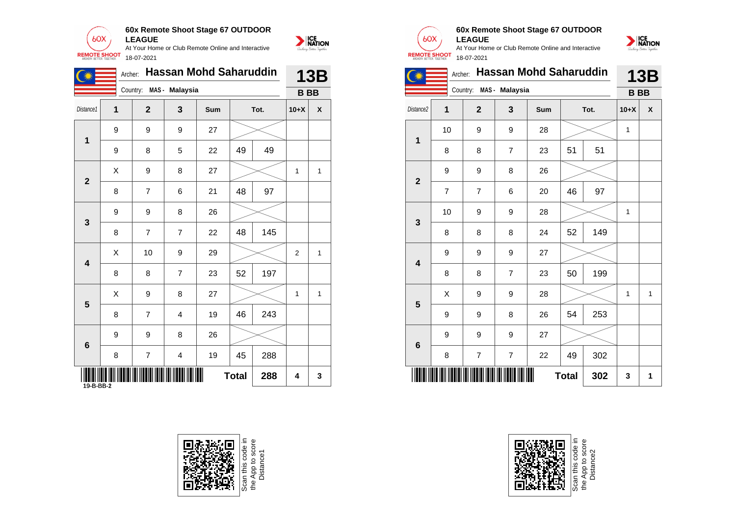

| <b>REMOTE SHOOT</b>               |         | 18-07-2021     |                |                               |    |      |                |     |  |
|-----------------------------------|---------|----------------|----------------|-------------------------------|----|------|----------------|-----|--|
|                                   | Archer: |                |                | <b>Hassan Mohd Saharuddin</b> |    |      |                | 13B |  |
|                                   |         | Country:       | MAS - Malaysia |                               |    |      | <b>BB</b>      |     |  |
| Distance1                         | 1       | $\mathbf{2}$   | 3              | Sum                           |    | Tot. | $10+X$         | X   |  |
|                                   | 9       | 9              | 9              | 27                            |    |      |                |     |  |
| 1                                 | 9       | 8              | 5              | 22                            | 49 | 49   |                |     |  |
| $\mathbf{2}$<br>$\mathbf{3}$<br>4 | X       | 9              | 8              | 27                            |    |      | 1              | 1   |  |
|                                   | 8       | $\overline{7}$ | 6              | 21                            | 48 | 97   |                |     |  |
|                                   | 9       | 9              | 8              | 26                            |    |      |                |     |  |
|                                   | 8       | $\overline{7}$ | $\overline{7}$ | 22                            | 48 | 145  |                |     |  |
|                                   | X       | 10             | 9              | 29                            |    |      | $\overline{2}$ | 1   |  |
|                                   | 8       | 8              | 7              | 23                            | 52 | 197  |                |     |  |
|                                   |         |                |                |                               |    |      |                |     |  |



NATION

#### **60x Remote Shoot Stage 67 OUTDOOR LEAGUE**

At Your Home or Club Remote Online and Interactive 18-07-2021



|                |                           | Archer: Hassan Mohd Saharuddin |                  |     |              |      |                | <b>13B</b>                |                       |                           |                |                         | Archer: Hassan Mohd Saharuddin |              |      | 13B          |              |
|----------------|---------------------------|--------------------------------|------------------|-----|--------------|------|----------------|---------------------------|-----------------------|---------------------------|----------------|-------------------------|--------------------------------|--------------|------|--------------|--------------|
|                |                           | Country: MAS - Malaysia        |                  |     |              |      |                | <b>BBB</b>                |                       |                           |                | Country: MAS - Malaysia |                                |              |      | <b>BBB</b>   |              |
| istance1       | 1                         | $\overline{2}$                 | $\mathbf{3}$     | Sum |              | Tot. | $10+X$         | $\boldsymbol{\mathsf{x}}$ | Distance <sub>2</sub> | $\mathbf 1$               | $\overline{2}$ | 3                       | Sum                            |              | Tot. | $10+X$       | $\mathbf{x}$ |
|                | 9                         | 9                              | 9                | 27  |              |      |                |                           |                       | 10                        | 9              | 9                       | 28                             |              |      | $\mathbf{1}$ |              |
| $\mathbf{1}$   | 9                         | 8                              | 5                | 22  | 49           | 49   |                |                           | 1                     | 8                         | 8              | $\overline{7}$          | 23                             | 51           | 51   |              |              |
|                | $\boldsymbol{\mathsf{X}}$ | 9                              | 8                | 27  |              |      | $\mathbf{1}$   | $\overline{1}$            |                       | 9                         | 9              | 8                       | 26                             |              |      |              |              |
| $\mathbf{2}$   | 8                         | $\overline{7}$                 | 6                | 21  | 48           | 97   |                |                           | $\mathbf{2}$          | $\overline{7}$            | $\overline{7}$ | 6                       | 20                             | 46           | 97   |              |              |
|                | 9                         | 9                              | 8                | 26  |              |      |                |                           |                       | 10                        | 9              | 9                       | 28                             |              |      | $\mathbf{1}$ |              |
| $\mathbf{3}$   | 8                         | $\overline{7}$                 | $\overline{7}$   | 22  | 48           | 145  |                |                           | $\mathbf{3}$          | 8                         | 8              | 8                       | 24                             | 52           | 149  |              |              |
|                | $\boldsymbol{\mathsf{X}}$ | 10                             | $\boldsymbol{9}$ | 29  |              |      | $\overline{2}$ | $\overline{1}$            |                       | 9                         | 9              | 9                       | 27                             |              |      |              |              |
| 4              | 8                         | 8                              | $\overline{7}$   | 23  | 52           | 197  |                |                           | 4                     | 8                         | 8              | $\overline{7}$          | 23                             | 50           | 199  |              |              |
|                | $\mathsf X$               | 9                              | 8                | 27  |              |      | $\mathbf{1}$   | $\overline{1}$            |                       | $\boldsymbol{\mathsf{X}}$ | 9              | 9                       | 28                             |              |      | $\mathbf{1}$ |              |
| $5\phantom{1}$ | 8                         | $\overline{7}$                 | 4                | 19  | 46           | 243  |                |                           | $5\phantom{1}$        | 9                         | 9              | 8                       | 26                             | 54           | 253  |              |              |
|                | 9                         | 9                              | 8                | 26  |              |      |                |                           |                       | 9                         | 9              | 9                       | 27                             |              |      |              |              |
| $6\phantom{1}$ | 8                         | $\overline{7}$                 | 4                | 19  | 45           | 288  |                |                           | 6                     | 8                         | $\overline{7}$ | $\overline{7}$          | 22                             | 49           | 302  |              |              |
| 19-B-BB-2      |                           |                                | <b>     </b>     |     | <b>Total</b> | 288  | 4              | 3                         |                       |                           |                |                         |                                | <b>Total</b> | 302  | $\mathbf{3}$ | $\mathbf 1$  |





Scan this code in<br>the App to score<br>Distance2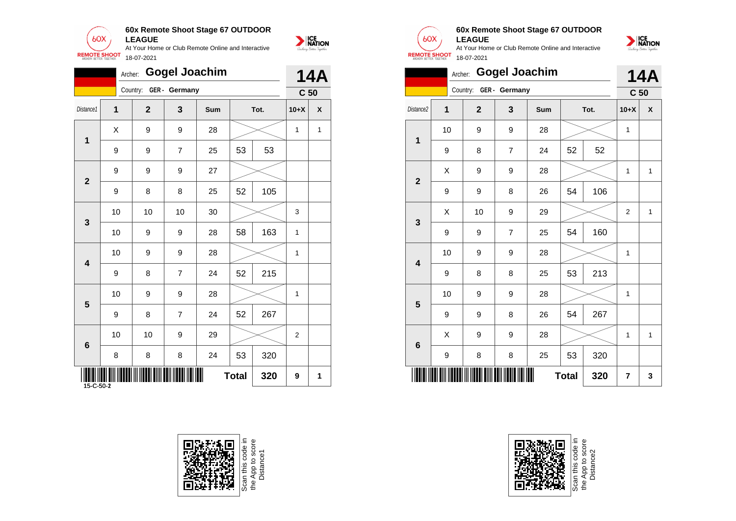

|                           | <b>Gogel Joachim</b><br>Archer:<br>Country: GER - Germany |                  |                  |     |              |      |                | <b>14A</b>       |                |                  | Archer:                |                  | <b>Gogel Joachim</b> |              |      | 14 <sub>l</sub> |                           |
|---------------------------|-----------------------------------------------------------|------------------|------------------|-----|--------------|------|----------------|------------------|----------------|------------------|------------------------|------------------|----------------------|--------------|------|-----------------|---------------------------|
|                           |                                                           |                  |                  |     |              |      |                | C <sub>50</sub>  |                |                  | Country: GER - Germany |                  |                      |              |      | C <sub>50</sub> |                           |
| Distance1                 | 1                                                         | $\overline{2}$   | $\mathbf{3}$     | Sum |              | Tot. | $10+X$         | $\boldsymbol{x}$ | Distance2      | $\mathbf{1}$     | $\mathbf{2}$           | $\mathbf{3}$     | Sum                  |              | Tot. | $10+X$          | $\boldsymbol{\mathsf{x}}$ |
| $\mathbf{1}$              | $\boldsymbol{\mathsf{X}}$                                 | $\boldsymbol{9}$ | $\boldsymbol{9}$ | 28  |              |      | $\mathbf{1}$   | $\mathbf{1}$     | 1              | 10               | 9                      | $\boldsymbol{9}$ | 28                   |              |      | $\mathbf{1}$    |                           |
|                           | 9                                                         | 9                | $\overline{7}$   | 25  | 53           | 53   |                |                  |                | $\boldsymbol{9}$ | 8                      | $\overline{7}$   | 24                   | 52           | 52   |                 |                           |
| $\mathbf{2}$              | 9                                                         | 9                | $\boldsymbol{9}$ | 27  |              |      |                |                  | $\mathbf{2}$   | X                | 9                      | $\boldsymbol{9}$ | 28                   |              |      | $\mathbf{1}$    | -1                        |
|                           | 9                                                         | 8                | 8                | 25  | 52           | 105  |                |                  |                | $\boldsymbol{9}$ | 9                      | 8                | 26                   | 54           | 106  |                 |                           |
| $\mathbf{3}$              | 10                                                        | 10               | 10               | 30  |              |      | 3              |                  | $\mathbf{3}$   | $\mathsf X$      | 10                     | $\boldsymbol{9}$ | 29                   |              |      | $\overline{2}$  | -1                        |
|                           | 10                                                        | $\boldsymbol{9}$ | $\boldsymbol{9}$ | 28  | 58           | 163  | $\mathbf{1}$   |                  |                | $\boldsymbol{9}$ | 9                      | $\overline{7}$   | 25                   | 54           | 160  |                 |                           |
|                           | 10                                                        | 9                | $\boldsymbol{9}$ | 28  |              |      | $\mathbf{1}$   |                  |                | 10               | 9                      | $\boldsymbol{9}$ | 28                   |              |      | $\mathbf{1}$    |                           |
| 4                         | 9                                                         | 8                | $\overline{7}$   | 24  | 52           | 215  |                |                  | 4              | $\boldsymbol{9}$ | 8                      | 8                | 25                   | 53           | 213  |                 |                           |
|                           | 10                                                        | 9                | 9                | 28  |              |      | $\mathbf{1}$   |                  | $5\phantom{1}$ | 10               | 9                      | 9                | 28                   |              |      | $\mathbf{1}$    |                           |
| $5\phantom{1}$            | 9                                                         | 8                | $\overline{7}$   | 24  | 52           | 267  |                |                  |                | $\boldsymbol{9}$ | 9                      | 8                | 26                   | 54           | 267  |                 |                           |
|                           | 10                                                        | 10               | $\boldsymbol{9}$ | 29  |              |      | $\overline{2}$ |                  |                | X                | 9                      | $\boldsymbol{9}$ | 28                   |              |      | $\mathbf{1}$    | -1                        |
| 6                         | 8                                                         | 8                | 8                | 24  | 53           | 320  |                |                  | $6\phantom{1}$ | $\boldsymbol{9}$ | 8                      | 8                | 25                   | 53           | 320  |                 |                           |
| IIII<br>$15 - C - 50 - 2$ |                                                           |                  |                  | ∭   | <b>Total</b> | 320  | 9              | $\mathbf{1}$     |                |                  |                        |                  |                      | <b>Total</b> | 320  | $\overline{7}$  | 3                         |



Scan this code in<br>the App to score<br>Distance1



NATION

# **60x Remote Shoot Stage 67 OUTDOOR**

**LEAGUE** At Your Home or Club Remote Online and Interactive 18-07-2021



|                         | Archer: |                |                        | <b>Gogel Joachim</b> |              |      |                 | <b>14A</b>   |
|-------------------------|---------|----------------|------------------------|----------------------|--------------|------|-----------------|--------------|
|                         |         |                | Country: GER - Germany |                      |              |      | C <sub>50</sub> |              |
| Distance <sub>2</sub>   | 1       | $\overline{2}$ | 3                      | Sum                  |              | Tot. | $10+X$          | X            |
| 1                       | 10      | 9              | 9                      | 28                   |              |      | 1               |              |
|                         | 9       | 8              | $\overline{7}$         | 24                   | 52           | 52   |                 |              |
| $\overline{2}$          | Χ       | 9              | 9                      | 28                   |              |      | 1               | $\mathbf{1}$ |
|                         | 9       | 9              | 8                      | 26                   | 54           | 106  |                 |              |
| 3                       | X       | 10             | 9                      | 29                   |              |      | 2               | 1            |
|                         | 9       | 9              | $\overline{7}$         | 25                   | 54           | 160  |                 |              |
| $\overline{\mathbf{4}}$ | 10      | 9              | 9                      | 28                   |              |      | 1               |              |
|                         | 9       | 8              | 8                      | 25                   | 53           | 213  |                 |              |
| 5                       | 10      | 9              | 9                      | 28                   |              |      | 1               |              |
|                         | 9       | 9              | 8                      | 26                   | 54           | 267  |                 |              |
| 6                       | Χ       | 9              | 9                      | 28                   |              |      | 1               | 1            |
|                         | 9       | 8              | 8                      | 25                   | 53           | 320  |                 |              |
|                         |         |                |                        |                      | <b>Total</b> | 320  | 7               | 3            |



Scan this code<br>the App to sco<br>Distance2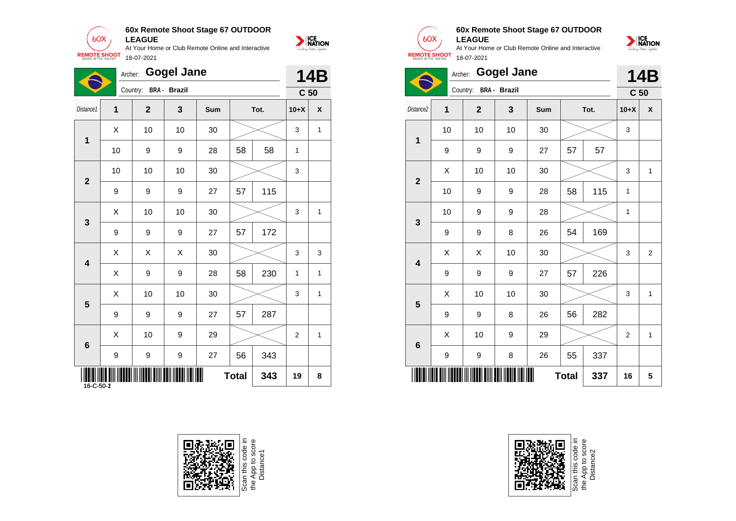**60x Remote Shoot Stage 67 OUTDOOR**  $60X$ **LEAGUE**



At Your Home or Club Remote Online and Interactive **REMOTE SHOOT** 18-07-2021

|                         |                           | Archer: Gogel Jane    |             |     |              |      |              | <b>14B</b>      |
|-------------------------|---------------------------|-----------------------|-------------|-----|--------------|------|--------------|-----------------|
|                         |                           | Country: BRA - Brazil |             |     |              |      |              | C <sub>50</sub> |
| Distance1               | $\mathbf{1}$              | $\overline{2}$        | 3           | Sum |              | Tot. | $10+X$       | $\pmb{\chi}$    |
|                         | $\boldsymbol{\mathsf{X}}$ | 10                    | 10          | 30  |              |      | 3            | $\mathbf{1}$    |
| 1                       | 10                        | 9                     | 9           | 28  | 58           | 58   | $\mathbf{1}$ |                 |
|                         | 10                        | 10                    | $10$        | 30  |              |      | 3            |                 |
| $\mathbf{2}$            | 9                         | 9                     | 9           | 27  | 57           | 115  |              |                 |
|                         | $\boldsymbol{\mathsf{X}}$ | 10                    | 10          | 30  |              |      | 3            | 1               |
| $\mathbf{3}$            | 9                         | 9                     | 9           | 27  | 57           | 172  |              |                 |
|                         | $\boldsymbol{\mathsf{X}}$ | $\mathsf X$           | $\mathsf X$ | 30  |              |      | 3            | 3               |
| 4                       | $\boldsymbol{\mathsf{X}}$ | 9                     | 9           | 28  | 58           | 230  | $\mathbf{1}$ | $\mathbf{1}$    |
|                         | $\boldsymbol{\mathsf{X}}$ | 10                    | 10          | 30  |              |      | 3            | $\mathbf{1}$    |
| $\overline{\mathbf{5}}$ | 9                         | 9                     | 9           | 27  | 57           | 287  |              |                 |
|                         | $\boldsymbol{\mathsf{X}}$ | 10                    | 9           | 29  |              |      | 2            | $\mathbf{1}$    |
| 6                       | 9                         | 9                     | 9           | 27  | 56           | 343  |              |                 |
|                         |                           |                       | ▓▓          |     | <b>Total</b> | 343  | 19           | 8               |





## **60x Remote Shoot Stage 67 OUTDOOR**

**LEAGUE** At Your Home or Club Remote Online and Interactive 18-07-2021



**14B**



| Distance2               |      | Country: BRA - Brazil |              |        |    |      | C <sub>50</sub> |                         |  |
|-------------------------|------|-----------------------|--------------|--------|----|------|-----------------|-------------------------|--|
|                         | 1    | $\mathbf{2}$          | $\mathbf{3}$ | Sum    |    | Tot. | $10+X$          | $\pmb{\mathsf{x}}$      |  |
| $\mathbf 1$             | 10   | 10                    | 10           | $30\,$ |    |      | 3               |                         |  |
|                         | 9    | 9                     | 9            | 27     | 57 | 57   |                 |                         |  |
| $\mathbf{2}$            | Χ    | 10                    | 10           | $30\,$ |    |      | 3               | 1                       |  |
|                         | $10$ | 9                     | 9            | 28     | 58 | 115  | 1               |                         |  |
| $\mathbf{3}$            | $10$ | 9                     | 9            | 28     |    |      | $\mathbf{1}$    |                         |  |
|                         | 9    | 9                     | 8            | 26     | 54 | 169  |                 |                         |  |
| $\overline{\mathbf{4}}$ | Χ    | X                     | 10           | $30\,$ |    |      | 3               | $\overline{\mathbf{c}}$ |  |
|                         | 9    | 9                     | 9            | 27     | 57 | 226  |                 |                         |  |
| $5\phantom{1}$          | Χ    | $10$                  | 10           | $30\,$ |    |      | 3               | $\mathbf{1}$            |  |
|                         | 9    | 9                     | 8            | 26     | 56 | 282  |                 |                         |  |
| $6\phantom{a}$          | Χ    | 10                    | 9            | 29     |    |      | 2               | $\mathbf{1}$            |  |
|                         |      |                       |              |        |    |      |                 |                         |  |



Scan this code in<br>the App to score<br>Distance2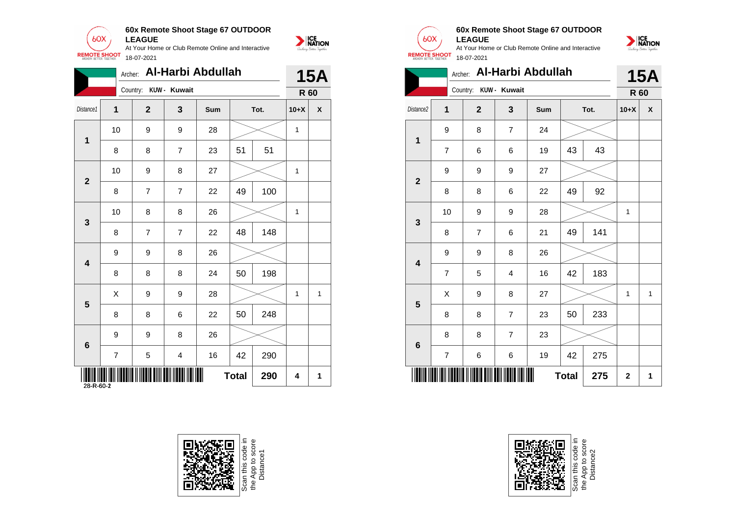

|                  | Archer:        |                |                | Al-Harbi Abdullah |              |      |              | <b>15A</b>                |
|------------------|----------------|----------------|----------------|-------------------|--------------|------|--------------|---------------------------|
|                  |                | Country:       | KUW - Kuwait   |                   |              |      |              | <b>R</b> 60               |
| Distance1        | 1              | $\mathbf{2}$   | $\mathbf{3}$   | Sum               |              | Tot. | $10+X$       | $\boldsymbol{\mathsf{x}}$ |
| $\mathbf 1$      | 10             | 9              | 9              | 28                |              |      | $\mathbf{1}$ |                           |
|                  | 8              | 8              | $\overline{7}$ | 23                | 51           | 51   |              |                           |
| $\mathbf{2}$     | 10             | 9              | 8              | 27                |              |      | $\mathbf{1}$ |                           |
|                  | 8              | $\overline{7}$ | $\overline{7}$ | 22                | 49           | 100  |              |                           |
| $\mathbf{3}$     | 10             | 8              | 8              | 26                |              |      | $\mathbf{1}$ |                           |
|                  | 8              | $\overline{7}$ | $\overline{7}$ | 22                | 48           | 148  |              |                           |
| $\boldsymbol{4}$ | 9              | 9              | 8              | 26                |              |      |              |                           |
|                  | 8              | 8              | 8              | 24                | 50           | 198  |              |                           |
|                  | X              | 9              | 9              | 28                |              |      | $\mathbf 1$  | $\mathbf{1}$              |
| $5\phantom{.0}$  | 8              | 8              | 6              | 22                | 50           | 248  |              |                           |
| $6\phantom{a}$   | 9              | 9              | 8              | 26                |              |      |              |                           |
|                  | $\overline{7}$ | 5              | 4              | 16                | 42           | 290  |              |                           |
|                  |                |                |                |                   | <b>Total</b> | 290  | 4            | $\mathbf 1$               |



Scan this code in<br>the App to score<br>Distance1



NATION

#### **60x Remote Shoot Stage 67 OUTDOOR LEAGUE**

At Your Home or Club Remote Online and Interactive 18-07-2021



|                         | Archer:        |                         |                | Al-Harbi Abdullah |              |      |             | <b>15A</b> |
|-------------------------|----------------|-------------------------|----------------|-------------------|--------------|------|-------------|------------|
|                         |                | Country: KUW - Kuwait   |                |                   |              |      | R 60        |            |
| Distance <sub>2</sub>   | 1              | $\overline{\mathbf{2}}$ | $\mathbf{3}$   | Sum               |              | Tot. | $10+X$      | X          |
| $\mathbf 1$             | 9              | 8                       | $\overline{7}$ | 24                |              |      |             |            |
|                         | $\overline{7}$ | 6                       | 6              | 19                | 43           | 43   |             |            |
| $\overline{2}$          | 9              | 9                       | 9              | 27                |              |      |             |            |
|                         | 8              | 8                       | 6              | 22                | 49           | 92   |             |            |
| $\mathbf{3}$            | 10             | 9                       | 9              | 28                |              |      | 1           |            |
|                         | 8              | $\overline{7}$          | 6              | 21                | 49           | 141  |             |            |
| $\overline{\mathbf{4}}$ | 9              | 9                       | 8              | 26                |              |      |             |            |
|                         | $\overline{7}$ | 5                       | $\overline{4}$ | 16                | 42           | 183  |             |            |
| $5\phantom{.0}$         | X              | 9                       | 8              | 27                |              |      | 1           | 1          |
|                         | 8              | 8                       | $\overline{7}$ | 23                | 50           | 233  |             |            |
| 6                       | 8              | 8                       | $\overline{7}$ | 23                |              |      |             |            |
|                         | $\overline{7}$ | 6                       | 6              | 19                | 42           | 275  |             |            |
|                         |                |                         |                |                   | <b>Total</b> | 275  | $\mathbf 2$ | 1          |



Scan this code<br>the App to sco<br>Distance2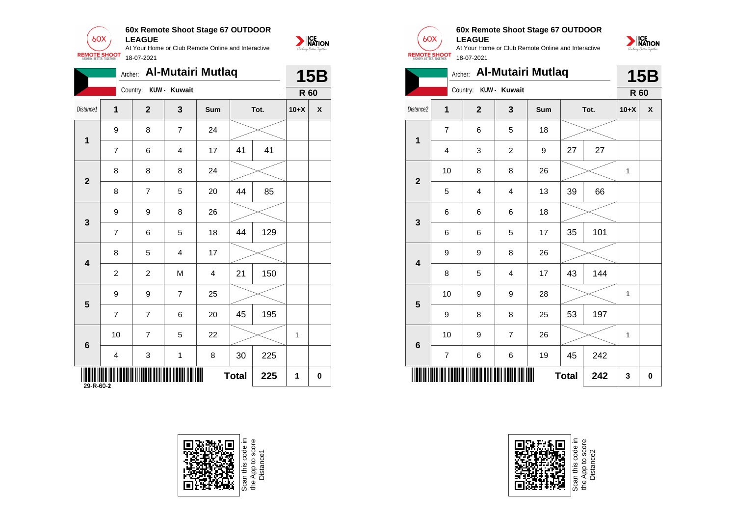

|                   |                |                  | Archer: Al-Mutairi Mutlaq |                |              |      |              | <b>15B</b>                |
|-------------------|----------------|------------------|---------------------------|----------------|--------------|------|--------------|---------------------------|
|                   |                |                  | Country: KUW - Kuwait     |                |              |      |              | <b>R</b> 60               |
| Distance1         | $\mathbf{1}$   | $\overline{2}$   | 3                         | Sum            |              | Tot. | $10+X$       | $\boldsymbol{\mathsf{X}}$ |
|                   | 9              | 8                | $\overline{7}$            | 24             |              |      |              |                           |
| 1                 | $\overline{7}$ | 6                | 4                         | 17             | 41           | 41   |              |                           |
|                   | 8              | 8                | 8                         | 24             |              |      |              |                           |
| $\overline{2}$    | 8              | $\overline{7}$   | 5                         | 20             | 44           | 85   |              |                           |
|                   | 9              | $\boldsymbol{9}$ | 8                         | 26             |              |      |              |                           |
| $\mathbf{3}$      | $\overline{7}$ | 6                | 5                         | 18             | 44           | 129  |              |                           |
|                   | 8              | 5                | 4                         | 17             |              |      |              |                           |
| 4                 | $\overline{c}$ | $\overline{2}$   | M                         | $\overline{4}$ | 21           | 150  |              |                           |
|                   | 9              | 9                | $\overline{7}$            | 25             |              |      |              |                           |
| ${\bf 5}$         | $\overline{7}$ | $\overline{7}$   | 6                         | 20             | 45           | 195  |              |                           |
|                   | 10             | $\overline{7}$   | 5                         | 22             |              |      | $\mathbf{1}$ |                           |
| $6\phantom{1}$    | 4              | $\mathbf{3}$     | $\mathbf{1}$              | 8              | 30           | 225  |              |                           |
| IIII<br>29-R-60-2 |                |                  | WW                        |                | <b>Total</b> | 225  | 1            | 0                         |



Scan this code in<br>the App to score<br>Distance1



NATION

#### **60x Remote Shoot Stage 67 OUTDOOR LEAGUE**

At Your Home or Club Remote Online and Interactive **REMOTE SHOOT** 18-07-2021



|                         |                | Archer: Al-Mutairi Mutlaq |                |     |              |      |        | <b>15B</b> |
|-------------------------|----------------|---------------------------|----------------|-----|--------------|------|--------|------------|
|                         |                | Country: KUW - Kuwait     |                |     |              |      | R 60   |            |
| Distance2               | 1              | $\mathbf{2}$              | 3              | Sum |              | Tot. | $10+X$ | X          |
| 1                       | $\overline{7}$ | 6                         | 5              | 18  |              |      |        |            |
|                         | 4              | 3                         | $\overline{c}$ | 9   | 27           | 27   |        |            |
| $\mathbf 2$             | 10             | 8                         | 8              | 26  |              |      | 1      |            |
|                         | 5              | $\overline{4}$            | $\overline{4}$ | 13  | 39           | 66   |        |            |
| 3                       | 6              | 6                         | 6              | 18  |              |      |        |            |
|                         | 6              | 6                         | 5              | 17  | 35           | 101  |        |            |
| $\overline{\mathbf{4}}$ | 9              | 9                         | 8              | 26  |              |      |        |            |
|                         | 8              | 5                         | 4              | 17  | 43           | 144  |        |            |
| 5                       | 10             | 9                         | 9              | 28  |              |      | 1      |            |
|                         | 9              | 8                         | 8              | 25  | 53           | 197  |        |            |
| 6                       | 10             | 9                         | $\overline{7}$ | 26  |              |      | 1      |            |
|                         | 7              | 6                         | 6              | 19  | 45           | 242  |        |            |
|                         |                |                           |                |     | <b>Total</b> | 242  | 3      | $\bf{0}$   |



Scan this code<br>the App to scor<br>Distance2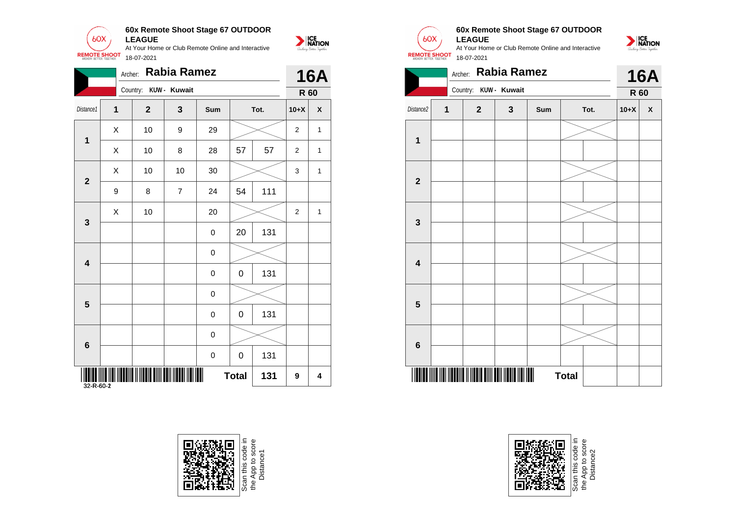

|                |                | Archer:               | <b>Rabia Ramez</b> |             |              |      |                  | <b>16A</b>                |                         |   | Archer: Rabia Ramez   |              |     |              |
|----------------|----------------|-----------------------|--------------------|-------------|--------------|------|------------------|---------------------------|-------------------------|---|-----------------------|--------------|-----|--------------|
|                |                | Country: KUW - Kuwait |                    |             |              |      |                  | <b>R</b> 60               |                         |   | Country: KUW - Kuwait |              |     |              |
| Distance1      | $\mathbf{1}$   | $\overline{2}$        | $\mathbf{3}$       | Sum         |              | Tot. | $10+X$           | $\boldsymbol{\mathsf{x}}$ | Distance2               | 1 | $\mathbf{2}$          | $\mathbf{3}$ | Sum |              |
|                | X              | 10                    | $\boldsymbol{9}$   | 29          |              |      | $\overline{a}$   | $\mathbf{1}$              |                         |   |                       |              |     |              |
| $\mathbf{1}$   | $\pmb{\times}$ | 10                    | 8                  | 28          | 57           | 57   | $\overline{c}$   | $\mathbf{1}$              | $\mathbf{1}$            |   |                       |              |     |              |
|                | $\mathsf X$    | 10                    | 10                 | 30          |              |      | 3                | $\mathbf{1}$              |                         |   |                       |              |     |              |
| $\mathbf{2}$   | 9              | 8                     | $\overline{7}$     | 24          | 54           | 111  |                  |                           | $\overline{2}$          |   |                       |              |     |              |
|                | $\mathsf{X}$   | $10$                  |                    | 20          |              |      | $\overline{a}$   | $\mathbf{1}$              |                         |   |                       |              |     |              |
| $\mathbf{3}$   |                |                       |                    | $\mathbf 0$ | 20           | 131  |                  |                           | $\mathbf{3}$            |   |                       |              |     |              |
|                |                |                       |                    | $\pmb{0}$   |              |      |                  |                           |                         |   |                       |              |     |              |
| 4              |                |                       |                    | $\mathbf 0$ | $\pmb{0}$    | 131  |                  |                           | $\overline{\mathbf{4}}$ |   |                       |              |     |              |
| $5\phantom{1}$ |                |                       |                    | $\mathbf 0$ |              |      |                  |                           | $5\phantom{1}$          |   |                       |              |     |              |
|                |                |                       |                    | $\mathbf 0$ | $\mathbf 0$  | 131  |                  |                           |                         |   |                       |              |     |              |
|                |                |                       |                    | $\pmb{0}$   |              |      |                  |                           |                         |   |                       |              |     |              |
| $\bf 6$        |                |                       |                    | $\mathbf 0$ | $\mathbf 0$  | 131  |                  |                           | $6\phantom{1}6$         |   |                       |              |     |              |
|                |                |                       | <b>TIIIIIIIII</b>  |             | <b>Total</b> | 131  | $\boldsymbol{9}$ | 4                         |                         |   |                       |              |     | <b>Total</b> |







#### **60x Remote Shoot Stage 67 OUTDOOR LEAGUE**





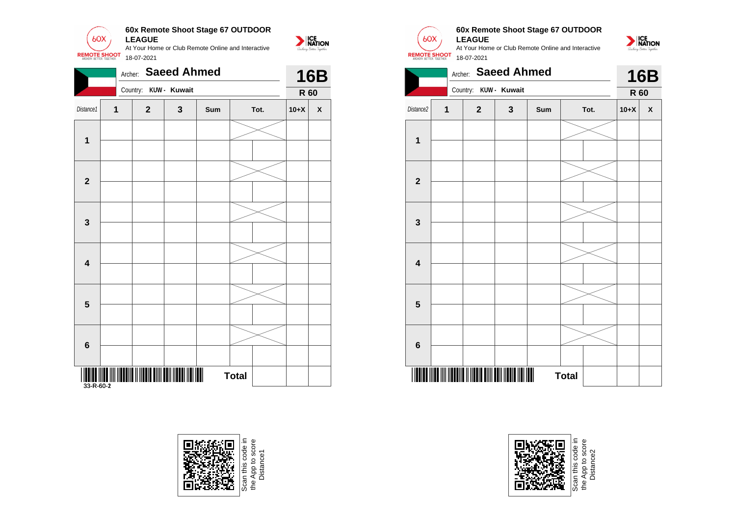

|                           |   | Archer:               | <b>Saeed Ahmed</b> |     |              |        | <b>16B</b>   |                         | Archer:               | <b>Saeed Ahmed</b>    |     |              |
|---------------------------|---|-----------------------|--------------------|-----|--------------|--------|--------------|-------------------------|-----------------------|-----------------------|-----|--------------|
|                           |   | Country: KUW - Kuwait |                    |     |              |        | <b>R</b> 60  |                         |                       | Country: KUW - Kuwait |     |              |
| Distance1                 | 1 | $\overline{2}$        | $\mathbf{3}$       | Sum | Tot.         | $10+X$ | $\pmb{\chi}$ | Distance2               | $\boldsymbol{2}$<br>1 | $\mathbf{3}$          | Sum |              |
| $\mathbf 1$               |   |                       |                    |     |              |        |              | $\mathbf 1$             |                       |                       |     |              |
| $\overline{2}$            |   |                       |                    |     |              |        |              | $\overline{2}$          |                       |                       |     |              |
| $\mathbf{3}$              |   |                       |                    |     |              |        |              | $\mathbf{3}$            |                       |                       |     |              |
| 4                         |   |                       |                    |     |              |        |              | $\overline{\mathbf{4}}$ |                       |                       |     |              |
| $5\phantom{1}$            |   |                       |                    |     |              |        |              | $5\phantom{1}$          |                       |                       |     |              |
| $6\phantom{1}6$           |   |                       |                    |     |              |        |              | $6\phantom{1}6$         |                       |                       |     |              |
| ITTIT IIITTI<br>33-R-60-2 |   |                       |                    |     | <b>Total</b> |        |              |                         |                       |                       |     | <b>Total</b> |





#### **60x Remote Shoot Stage 67 OUTDOOR LEAGUE**

NATION

At Your Home or Club Remote Online and Interactive 18-07-2021





Distance2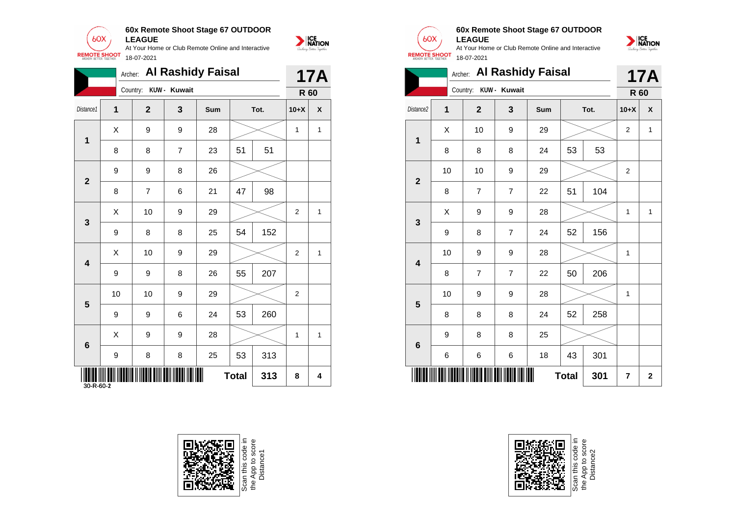

|                         |              |                  |                | Archer: Al Rashidy Faisal |              |      |                | <b>17A</b>   |
|-------------------------|--------------|------------------|----------------|---------------------------|--------------|------|----------------|--------------|
|                         |              | Country:         | KUW - Kuwait   |                           |              |      |                | <b>R</b> 60  |
| Distance1               | 1            | $\mathbf{2}$     | $\mathbf{3}$   | Sum                       |              | Tot. | $10+X$         | $\pmb{\chi}$ |
| $\mathbf{1}$            | $\mathsf{X}$ | 9                | 9              | 28                        |              |      | $\mathbf{1}$   | $\mathbf{1}$ |
|                         | 8            | 8                | $\overline{7}$ | 23                        | 51           | 51   |                |              |
| $\overline{2}$          | 9            | $\boldsymbol{9}$ | 8              | 26                        |              |      |                |              |
|                         | 8            | $\overline{7}$   | 6              | 21                        | 47           | 98   |                |              |
| $\mathbf{3}$            | $\mathsf{X}$ | 10               | 9              | 29                        |              |      | $\overline{2}$ | $\mathbf{1}$ |
|                         | 9            | 8                | 8              | 25                        | 54           | 152  |                |              |
|                         | $\mathsf{X}$ | 10               | 9              | 29                        |              |      | $\overline{2}$ | $\mathbf{1}$ |
| $\overline{\mathbf{4}}$ | 9            | 9                | 8              | 26                        | 55           | 207  |                |              |
| $5\phantom{1}$          | 10           | 10               | 9              | 29                        |              |      | $\overline{2}$ |              |
|                         | 9            | $9\,$            | 6              | 24                        | 53           | 260  |                |              |
| $6\phantom{1}6$         | $\mathsf{X}$ | 9                | 9              | 28                        |              |      | $\mathbf{1}$   | $\mathbf{1}$ |
|                         | 9            | 8                | 8              | 25                        | 53           | 313  |                |              |
| 30-R-60-2               |              |                  | WIT            |                           | <b>Total</b> | 313  | 8              | 4            |





#### **60x Remote Shoot Stage 67 OUTDOOR LEAGUE**



|                         |       |                |                | Archer: Al Rashidy Faisal |              |      |                | <b>17A</b>   |
|-------------------------|-------|----------------|----------------|---------------------------|--------------|------|----------------|--------------|
|                         |       | Country:       | KUW - Kuwait   |                           |              |      | R 60           |              |
| Distance <sub>2</sub>   | 1     | $\overline{2}$ | 3              | Sum                       |              | Tot. | $10+X$         | X            |
| 1                       | Χ     | 10             | 9              | 29                        |              |      | $\overline{2}$ | $\mathbf{1}$ |
|                         | 8     | 8              | 8              | 24                        | 53           | 53   |                |              |
|                         | 10    | 10             | 9              | 29                        |              |      | $\overline{c}$ |              |
| $\mathbf 2$             | 8     | $\overline{7}$ | $\overline{7}$ | 22                        | 51           | 104  |                |              |
|                         | X     | 9              | 9              | 28                        |              |      | 1              | $\mathbf{1}$ |
| 3                       | 9     | 8              | $\overline{7}$ | 24                        | 52           | 156  |                |              |
| $\overline{\mathbf{4}}$ | 10    | 9              | 9              | 28                        |              |      | 1              |              |
|                         | 8     | $\overline{7}$ | $\overline{7}$ | 22                        | 50           | 206  |                |              |
|                         | 10    | 9              | 9              | 28                        |              |      | 1              |              |
| 5                       | 8     | 8              | 8              | 24                        | 52           | 258  |                |              |
|                         | 9     | 8              | 8              | 25                        |              |      |                |              |
| $6\phantom{1}6$         | $\,6$ | 6              | 6              | 18                        | 43           | 301  |                |              |
|                         |       |                |                |                           | <b>Total</b> | 301  | 7              | $\mathbf 2$  |

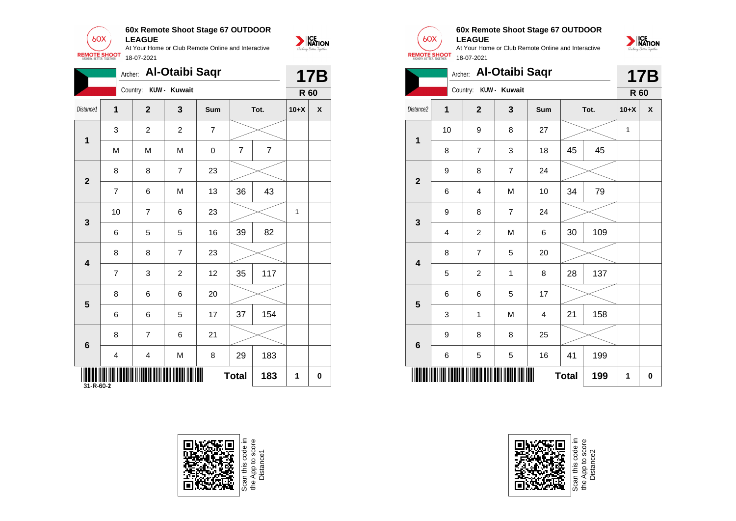

|                       |                |                | Archer: Al-Otaibi Saqr |                |                |                |              | <b>17B</b>         |                         |                  | Archer: Al-Otaibi Saqr |                       |                |              |      |  |
|-----------------------|----------------|----------------|------------------------|----------------|----------------|----------------|--------------|--------------------|-------------------------|------------------|------------------------|-----------------------|----------------|--------------|------|--|
|                       |                |                | Country: KUW - Kuwait  |                |                |                |              | <b>R</b> 60        |                         |                  | Country: KUW - Kuwait  |                       |                |              |      |  |
| Distance <sub>1</sub> | $\mathbf{1}$   | $\mathbf{2}$   | $\mathbf{3}$           | Sum            |                | Tot.           | $10+X$       | $\pmb{\mathsf{x}}$ | Distance <sub>2</sub>   | $\mathbf 1$      | $\mathbf{2}$           | $\mathbf{3}$          | Sum            |              | Tot. |  |
|                       | 3              | $\overline{2}$ | $\overline{2}$         | $\overline{7}$ |                |                |              |                    |                         | 10               | 9                      | 8                     | 27             |              |      |  |
| $\mathbf 1$           | M              | M              | M                      | $\mathsf 0$    | $\overline{7}$ | $\overline{7}$ |              |                    | $\mathbf 1$             | $\bf 8$          | $\overline{7}$         | $\mathbf{3}$          | 18             | 45           | 45   |  |
|                       | 8              | 8              | $\overline{7}$         | 23             |                |                |              |                    |                         | 9                | 8                      | $\overline{7}$        | 24             |              |      |  |
| $\boldsymbol{2}$      | $\overline{7}$ | 6              | M                      | 13             | 36             | 43             |              |                    | $\overline{\mathbf{2}}$ | 6                | 4                      | ${\sf M}$             | 10             | 34           | 79   |  |
|                       | 10             | $\overline{7}$ | $\,6$                  | 23             |                |                | $\mathbf{1}$ |                    |                         | $\boldsymbol{9}$ | 8                      | $\overline{7}$        | 24             |              |      |  |
| $\mathbf{3}$          | 6              | 5              | $5\phantom{.0}$        | 16             | 39             | 82             |              |                    | $\mathbf{3}$            | 4                | $\overline{a}$         | M                     | 6              | 30           | 109  |  |
|                       | 8              | 8              | $\overline{7}$         | 23             |                |                |              |                    |                         | $\bf 8$          | $\overline{7}$         | $\sqrt{5}$            | 20             |              |      |  |
| 4                     | $\overline{7}$ | 3              | $\overline{2}$         | 12             | 35             | 117            |              |                    | $\overline{\mathbf{4}}$ | $\sqrt{5}$       | $\overline{a}$         | $\mathbf{1}$          | 8              | 28           | 137  |  |
|                       | 8              | 6              | $\,6\,$                | 20             |                |                |              |                    |                         | 6                | 6                      | $\sqrt{5}$            | 17             |              |      |  |
| $5\phantom{1}$        | 6              | 6              | 5                      | 17             | 37             | 154            |              |                    | 5                       | 3                | $\mathbf{1}$           | M                     | $\overline{4}$ | 21           | 158  |  |
|                       | 8              | $\overline{7}$ | $\,6\,$                | 21             |                |                |              |                    |                         | $\boldsymbol{9}$ | 8                      | 8                     | 25             |              |      |  |
| $6\phantom{1}$        | $\overline{4}$ | 4              | M                      | 8              | 29             | 183            |              |                    | $6\phantom{1}6$         | 6                | 5                      | $\sqrt{5}$            | 16             | 41           | 199  |  |
| 31-R-60-2             |                |                | IIII                   |                | <b>Total</b>   | 183            | $\mathbf 1$  | $\mathbf 0$        |                         |                  |                        | <b>THE TELEVISION</b> |                | <b>Total</b> | 199  |  |



Scan this code in<br>the App to score<br>Distance1



NATION

#### **60x Remote Shoot Stage 67 OUTDOOR LEAGUE**



|                         |                |                         | Archer: Al-Otaibi Saqr |     |              |      |        | <b>17B</b> |
|-------------------------|----------------|-------------------------|------------------------|-----|--------------|------|--------|------------|
|                         |                | Country: KUW - Kuwait   |                        |     |              |      | R 60   |            |
| Distance2               | $\overline{1}$ | $\overline{\mathbf{2}}$ | 3                      | Sum |              | Tot. | $10+X$ | X          |
| $\mathbf 1$             | 10             | 9                       | 8                      | 27  |              |      | 1      |            |
|                         | 8              | $\overline{7}$          | 3                      | 18  | 45           | 45   |        |            |
| $\overline{2}$          | 9              | 8                       | 7                      | 24  |              |      |        |            |
|                         | 6              | 4                       | M                      | 10  | 34           | 79   |        |            |
| $\overline{\mathbf{3}}$ | 9              | 8                       | $\overline{7}$         | 24  |              |      |        |            |
|                         | 4              | $\overline{2}$          | M                      | 6   | 30           | 109  |        |            |
| $\overline{\mathbf{4}}$ | 8              | $\overline{7}$          | 5                      | 20  |              |      |        |            |
|                         | 5              | $\overline{c}$          | $\mathbf 1$            | 8   | 28           | 137  |        |            |
| 5                       | 6              | 6                       | 5                      | 17  |              |      |        |            |
|                         | 3              | 1                       | M                      | 4   | 21           | 158  |        |            |
| 6                       | 9              | 8                       | 8                      | 25  |              |      |        |            |
|                         | 6              | 5                       | 5                      | 16  | 41           | 199  |        |            |
|                         |                |                         |                        |     | <b>Total</b> | 199  | 1      | $\pmb{0}$  |



Scan this code<br>the App to sco<br>Distance2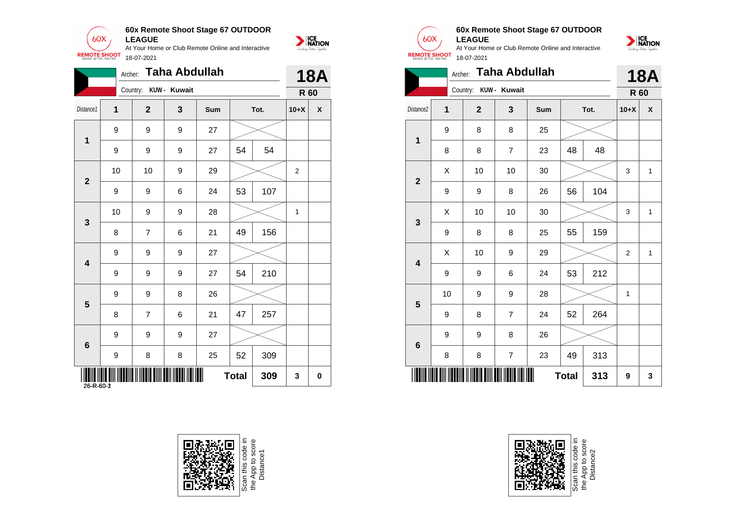

|                         | Archer:      |                       | <b>Taha Abdullah</b> |     |              |      |              | <b>18A</b>                |
|-------------------------|--------------|-----------------------|----------------------|-----|--------------|------|--------------|---------------------------|
|                         |              | Country: KUW - Kuwait |                      |     |              |      | <b>R</b> 60  |                           |
| Distance1               | $\mathbf{1}$ | $\overline{2}$        | $\mathbf{3}$         | Sum |              | Tot. | $10+X$       | $\boldsymbol{\mathsf{X}}$ |
|                         | 9            | 9                     | 9                    | 27  |              |      |              |                           |
| $\mathbf{1}$            | 9            | 9                     | 9                    | 27  | 54           | 54   |              |                           |
|                         | 10           | 10                    | 9                    | 29  |              |      | 2            |                           |
| $\overline{2}$          | 9            | 9                     | 6                    | 24  | 53           | 107  |              |                           |
|                         | 10           | 9                     | 9                    | 28  |              |      | $\mathbf{1}$ |                           |
| $\mathbf{3}$            | 8            | $\overline{7}$        | 6                    | 21  | 49           | 156  |              |                           |
|                         | 9            | 9                     | 9                    | 27  |              |      |              |                           |
| $\overline{\mathbf{4}}$ | 9            | 9                     | 9                    | 27  | 54           | 210  |              |                           |
|                         | 9            | 9                     | 8                    | 26  |              |      |              |                           |
| $\overline{\mathbf{5}}$ | 8            | $\overline{7}$        | 6                    | 21  | 47           | 257  |              |                           |
|                         | 9            | 9                     | 9                    | 27  |              |      |              |                           |
| $6\phantom{1}6$         | 9            | 8                     | 8                    | 25  | 52           | 309  |              |                           |
| IIIII<br>26-R-60-2      |              |                       | IIIII                |     | <b>Total</b> | 309  | $\mathbf 3$  | $\mathbf 0$               |





 $60X$ **REMOTE SHOOT** 

**SERVICE**<br>**NATION** 

#### **60x Remote Shoot Stage 67 OUTDOOR LEAGUE**

At Your Home or Club Remote Online and Interactive 18-07-2021



|                         | Archer: |                       | <b>Taha Abdullah</b> |     |              |      |                         | <b>18A</b>   |
|-------------------------|---------|-----------------------|----------------------|-----|--------------|------|-------------------------|--------------|
|                         |         | Country: KUW - Kuwait |                      |     |              |      | R 60                    |              |
| Distance <sub>2</sub>   | 1       | $\overline{2}$        | 3                    | Sum |              | Tot. | $10+X$                  | X            |
| 1                       | 9       | 8                     | 8                    | 25  |              |      |                         |              |
|                         | 8       | 8                     | $\overline{7}$       | 23  | 48           | 48   |                         |              |
| $\overline{\mathbf{2}}$ | X       | 10                    | 10                   | 30  |              |      | 3                       | $\mathbf{1}$ |
|                         | 9       | 9                     | 8                    | 26  | 56           | 104  |                         |              |
| 3                       | X       | 10                    | 10                   | 30  |              |      | 3                       | $\mathbf{1}$ |
|                         | 9       | 8                     | 8                    | 25  | 55           | 159  |                         |              |
| $\overline{\mathbf{4}}$ | Χ       | 10                    | 9                    | 29  |              |      | $\overline{\mathbf{c}}$ | $\mathbf{1}$ |
|                         | 9       | 9                     | 6                    | 24  | 53           | 212  |                         |              |
| 5                       | 10      | 9                     | 9                    | 28  |              |      | 1                       |              |
|                         | 9       | 8                     | $\overline{7}$       | 24  | 52           | 264  |                         |              |
| 6                       | 9       | 9                     | 8                    | 26  |              |      |                         |              |
|                         | 8       | 8                     | $\overline{7}$       | 23  | 49           | 313  |                         |              |
|                         |         |                       |                      |     | <b>Total</b> | 313  | 9                       | 3            |



Scan this code in<br>the App to score<br>Distance2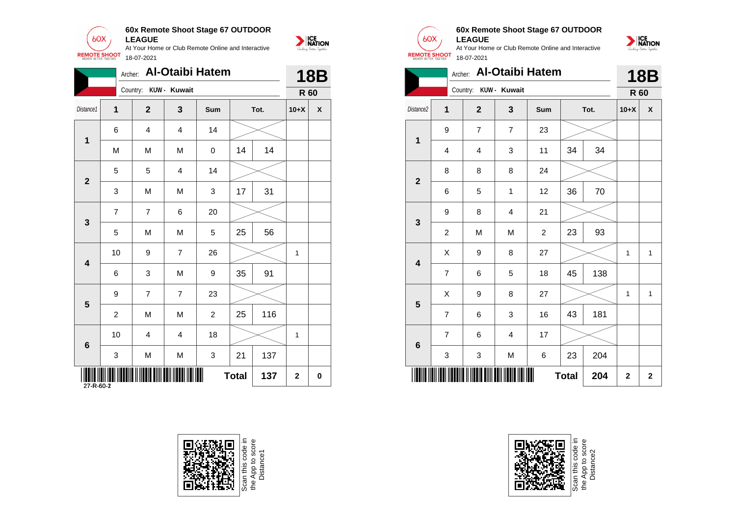

|                                    |                  |                       |                | Archer: Al-Otaibi Hatem |              |      |              | <b>18B</b>   |
|------------------------------------|------------------|-----------------------|----------------|-------------------------|--------------|------|--------------|--------------|
|                                    |                  | Country: KUW - Kuwait |                |                         |              |      |              | <b>R</b> 60  |
| Distance1                          | $\mathbf{1}$     | $\mathbf{2}$          | $\mathbf{3}$   | Sum                     |              | Tot. | $10+X$       | $\mathbf{x}$ |
|                                    | 6                | 4                     | 4              | 14                      |              |      |              |              |
| $\mathbf 1$                        | M                | ${\sf M}$             | ${\sf M}$      | $\mathsf{O}\xspace$     | 14           | 14   |              |              |
|                                    | 5                | 5                     | 4              | 14                      |              |      |              |              |
| $\overline{2}$                     | $\mathbf{3}$     | ${\sf M}$             | M              | 3                       | 17           | 31   |              |              |
|                                    | $\overline{7}$   | $\overline{7}$        | 6              | 20                      |              |      |              |              |
| $\mathbf{3}$                       | 5                | M                     | M              | 5                       | 25           | 56   |              |              |
|                                    | 10               | 9                     | $\overline{7}$ | 26                      |              |      | $\mathbf{1}$ |              |
| $\boldsymbol{4}$                   | 6                | 3                     | M              | 9                       | 35           | 91   |              |              |
| $\overline{\mathbf{5}}$            | $\boldsymbol{9}$ | $\overline{7}$        | $\overline{7}$ | 23                      |              |      |              |              |
|                                    | $\overline{2}$   | M                     | M              | $\overline{a}$          | 25           | 116  |              |              |
| 6                                  | 10               | $\overline{4}$        | $\overline{4}$ | 18                      |              |      | $\mathbf{1}$ |              |
|                                    | $\mathbf{3}$     | ${\sf M}$             | M              | 3                       | 21           | 137  |              |              |
| <b>THE TELEVISION</b><br>27-R-60-2 |                  |                       |                |                         | <b>Total</b> | 137  | $\mathbf{2}$ | $\mathbf 0$  |







**SERVICE**<br>**NATION** 

#### **60x Remote Shoot Stage 67 OUTDOOR LEAGUE**



|                         | Archer:        |                       |                         | <b>Al-Otaibi Hatem</b> |              |      |              | <b>18B</b>                |
|-------------------------|----------------|-----------------------|-------------------------|------------------------|--------------|------|--------------|---------------------------|
|                         |                | Country: KUW - Kuwait |                         |                        |              |      | R 60         |                           |
| Distance <sub>2</sub>   | 1              | $\overline{2}$        | $\mathbf{3}$            | Sum                    |              | Tot. | $10+X$       | $\boldsymbol{\mathsf{x}}$ |
| 1                       | 9              | $\overline{7}$        | $\overline{7}$          | 23                     |              |      |              |                           |
|                         | 4              | 4                     | 3                       | 11                     | 34           | 34   |              |                           |
| $\mathbf{2}$            | 8              | 8                     | 8                       | 24                     |              |      |              |                           |
|                         | 6              | 5                     | 1                       | 12                     | 36           | 70   |              |                           |
| 3                       | 9              | 8                     | $\overline{\mathbf{4}}$ | 21                     |              |      |              |                           |
|                         | $\overline{c}$ | M                     | M                       | $\overline{c}$         | 23           | 93   |              |                           |
| $\overline{\mathbf{4}}$ | Χ              | $\boldsymbol{9}$      | 8                       | 27                     |              |      | $\mathbf{1}$ | $\mathbf{1}$              |
|                         | $\overline{7}$ | 6                     | 5                       | 18                     | 45           | 138  |              |                           |
| 5                       | Χ              | $\boldsymbol{9}$      | 8                       | 27                     |              |      | $\mathbf{1}$ | $\mathbf{1}$              |
|                         | 7              | 6                     | 3                       | 16                     | 43           | 181  |              |                           |
| $\bf 6$                 | $\overline{7}$ | 6                     | $\overline{\mathbf{4}}$ | 17                     |              |      |              |                           |
|                         | 3              | 3                     | M                       | 6                      | 23           | 204  |              |                           |
|                         |                |                       |                         |                        | <b>Total</b> | 204  | $\mathbf 2$  | $\mathbf 2$               |



Scan this code<br>the App to sco<br>Distance2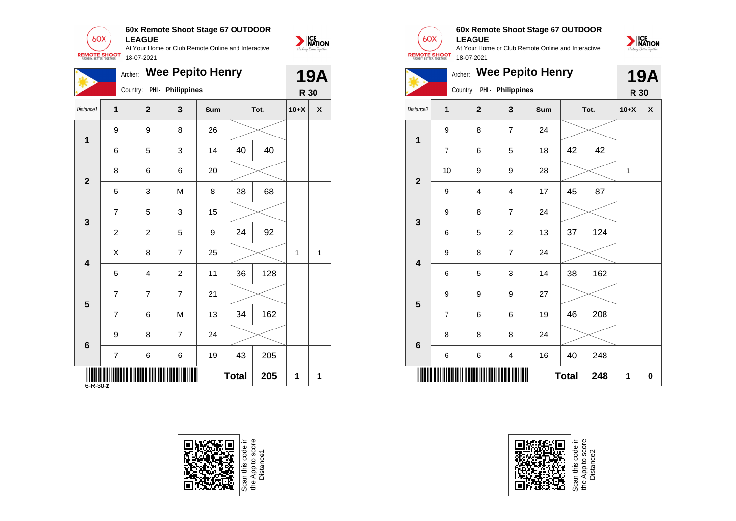

|                         |                | Archer: Wee Pepito Henry   |                |     |              |      |              | <b>19A</b>   |                         |                | Archer:                    |                         | <b>Wee Pepito Henry</b> |              |      | 19/          |                           |
|-------------------------|----------------|----------------------------|----------------|-----|--------------|------|--------------|--------------|-------------------------|----------------|----------------------------|-------------------------|-------------------------|--------------|------|--------------|---------------------------|
|                         |                | Country: PHI - Philippines |                |     |              |      |              | <b>R</b> 30  |                         |                | Country: PHI - Philippines |                         |                         |              |      |              | R 30                      |
| Distance1               | $\mathbf{1}$   | 2 <sup>1</sup>             | $\mathbf{3}$   | Sum |              | Tot. | $10+X$       | $\pmb{\chi}$ | Distance2               | $\mathbf{1}$   | $\overline{2}$             | $\mathbf{3}$            | Sum                     |              | Tot. | $10+X$       | $\boldsymbol{\mathsf{x}}$ |
|                         | 9              | 9                          | 8              | 26  |              |      |              |              |                         | 9              | 8                          | $\overline{7}$          | 24                      |              |      |              |                           |
| $\mathbf 1$             | 6              | 5                          | 3              | 14  | 40           | 40   |              |              | $\mathbf 1$             | $\overline{7}$ | $\,6$                      | 5                       | 18                      | 42           | 42   |              |                           |
|                         | 8              | 6                          | 6              | 20  |              |      |              |              |                         | 10             | $\boldsymbol{9}$           | $\boldsymbol{9}$        | 28                      |              |      | $\mathbf{1}$ |                           |
| $\overline{2}$          | 5              | 3                          | M              | 8   | 28           | 68   |              |              | $\mathbf{2}$            | 9              | $\overline{4}$             | $\overline{\mathbf{4}}$ | 17                      | 45           | 87   |              |                           |
|                         | $\overline{7}$ | 5                          | 3              | 15  |              |      |              |              |                         | 9              | $\bf 8$                    | $\overline{7}$          | 24                      |              |      |              |                           |
| $\mathbf{3}$            | $\overline{2}$ | $\overline{2}$             | 5              | 9   | 24           | 92   |              |              | $\mathbf{3}$            | 6              | 5                          | $\overline{2}$          | 13                      | 37           | 124  |              |                           |
|                         | $\mathsf{X}$   | 8                          | $\overline{7}$ | 25  |              |      | $\mathbf{1}$ | $\mathbf{1}$ |                         | 9              | 8                          | $\overline{7}$          | 24                      |              |      |              |                           |
| $\overline{\mathbf{4}}$ | 5              | 4                          | $\overline{2}$ | 11  | 36           | 128  |              |              | $\overline{\mathbf{4}}$ | 6              | $\sqrt{5}$                 | $\sqrt{3}$              | 14                      | 38           | 162  |              |                           |
|                         | $\overline{7}$ | $\overline{7}$             | $\overline{7}$ | 21  |              |      |              |              |                         | 9              | $\boldsymbol{9}$           | $9\,$                   | 27                      |              |      |              |                           |
| $5\phantom{1}$          | $\overline{7}$ | 6                          | M              | 13  | 34           | 162  |              |              | 5                       | $\overline{7}$ | $\,6$                      | $\,6\,$                 | 19                      | 46           | 208  |              |                           |
|                         | 9              | 8                          | $\overline{7}$ | 24  |              |      |              |              |                         | 8              | 8                          | 8                       | 24                      |              |      |              |                           |
| $\bf 6$                 | $\overline{7}$ | 6                          | 6              | 19  | 43           | 205  |              |              | $6\phantom{1}6$         | 6              | 6                          | 4                       | 16                      | 40           | 248  |              |                           |
| $6 - R - 30 - 2$        |                |                            | IIII           |     | <b>Total</b> | 205  | 1            | $\mathbf{1}$ |                         |                |                            | <b>HILL</b>             |                         | <b>Total</b> | 248  | $\mathbf{1}$ | 0                         |







#### **60x Remote Shoot Stage 67 OUTDOOR LEAGUE**



|                         | Archer:        |                            |                | <b>Wee Pepito Henry</b> |              |      |        | <b>19A</b> |
|-------------------------|----------------|----------------------------|----------------|-------------------------|--------------|------|--------|------------|
|                         |                | Country: PHI - Philippines |                |                         |              |      | R 30   |            |
| Distance <sub>2</sub>   | 1              | $\mathbf{2}$               | 3              | <b>Sum</b>              |              | Tot. | $10+X$ | X          |
| 1                       | 9              | 8                          | $\overline{7}$ | 24                      |              |      |        |            |
|                         | $\overline{7}$ | 6                          | 5              | 18                      | 42           | 42   |        |            |
| $\overline{\mathbf{2}}$ | 10             | 9                          | 9              | 28                      |              |      | 1      |            |
|                         | 9              | 4                          | $\overline{4}$ | 17                      | 45           | 87   |        |            |
| 3                       | 9              | 8                          | $\overline{7}$ | 24                      |              |      |        |            |
|                         | 6              | 5                          | $\overline{c}$ | 13                      | 37           | 124  |        |            |
| $\overline{\mathbf{4}}$ | 9              | 8                          | $\overline{7}$ | 24                      |              |      |        |            |
|                         | 6              | 5                          | 3              | 14                      | 38           | 162  |        |            |
| 5                       | 9              | 9                          | 9              | 27                      |              |      |        |            |
|                         | $\overline{7}$ | 6                          | 6              | 19                      | 46           | 208  |        |            |
| $6\phantom{1}6$         | 8              | 8                          | 8              | 24                      |              |      |        |            |
|                         | 6              | 6                          | 4              | 16                      | 40           | 248  |        |            |
|                         |                |                            |                |                         | <b>Total</b> | 248  | 1      | 0          |

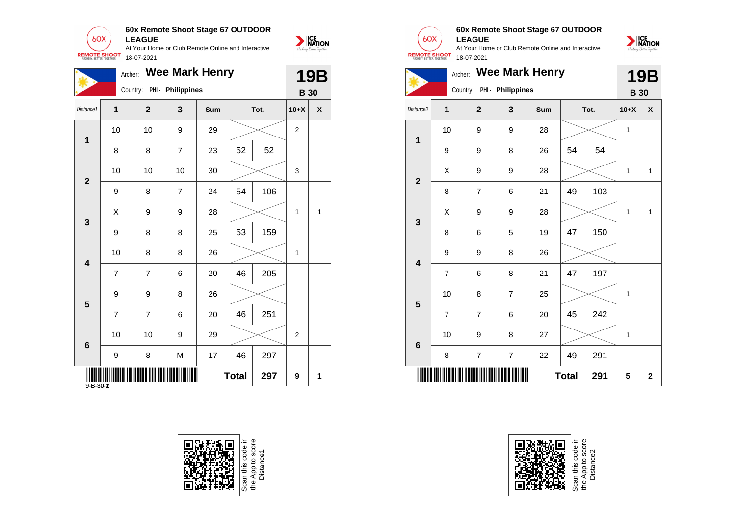

At Your Home or Club Remote Online and Interactive 18-07-2021 Archer: **Wee Mark Henry** Country: **PHI - Philippines**



| 美                | ruviui.        |                |                            |     |              |      |                | 19D            |                         |                  | <b><i><u>TILLE</u></i></b><br>- - |                  | 7   |              |      | I J L           |
|------------------|----------------|----------------|----------------------------|-----|--------------|------|----------------|----------------|-------------------------|------------------|-----------------------------------|------------------|-----|--------------|------|-----------------|
|                  |                |                | Country: PHI - Philippines |     |              |      | <b>B</b> 30    |                |                         |                  | Country: PHI - Philippines        |                  |     |              |      | <b>B</b> 30     |
| Distance1        | 1              | $\mathbf{2}$   | $\mathbf{3}$               | Sum |              | Tot. | $10+X$         | $\pmb{\chi}$   | Distance2               | 1                | $\overline{2}$                    | $\mathbf{3}$     | Sum |              | Tot. | $10+X$          |
|                  | 10             | 10             | $\boldsymbol{9}$           | 29  |              |      | $\overline{2}$ |                |                         | 10               | 9                                 | $\boldsymbol{9}$ | 28  |              |      | $\mathbf{1}$    |
| 1                | 8              | 8              | $\overline{7}$             | 23  | 52           | 52   |                |                | 1                       | $\boldsymbol{9}$ | 9                                 | 8                | 26  | 54           | 54   |                 |
| $\mathbf{2}$     | 10             | 10             | 10                         | 30  |              |      | 3              |                | $\overline{\mathbf{2}}$ | $\mathsf{X}$     | 9                                 | $\boldsymbol{9}$ | 28  |              |      | $\mathbf{1}$    |
|                  | 9              | 8              | $\overline{7}$             | 24  | 54           | 106  |                |                |                         | 8                | $\overline{7}$                    | 6                | 21  | 49           | 103  |                 |
| $\mathbf{3}$     | $\mathsf{X}$   | 9              | 9                          | 28  |              |      | $\mathbf{1}$   | $\overline{1}$ | $\mathbf{3}$            | $\mathsf{X}$     | 9                                 | $\boldsymbol{9}$ | 28  |              |      | $\mathbf{1}$    |
|                  | 9              | 8              | 8                          | 25  | 53           | 159  |                |                |                         | 8                | 6                                 | 5                | 19  | 47           | 150  |                 |
|                  | 10             | 8              | 8                          | 26  |              |      | $\mathbf{1}$   |                |                         | $\boldsymbol{9}$ | 9                                 | 8                | 26  |              |      |                 |
| 4                | $\overline{7}$ | $\overline{7}$ | 6                          | 20  | 46           | 205  |                |                | $\overline{\mathbf{4}}$ | $\overline{7}$   | 6                                 | 8                | 21  | 47           | 197  |                 |
| $5\phantom{1}$   | 9              | 9              | 8                          | 26  |              |      |                |                | 5                       | 10               | 8                                 | $\overline{7}$   | 25  |              |      | $\mathbf{1}$    |
|                  | $\overline{7}$ | $\overline{7}$ | $\,6\,$                    | 20  | 46           | 251  |                |                |                         | $\overline{7}$   | $\overline{7}$                    | $\,6$            | 20  | 45           | 242  |                 |
| $\bf 6$          | 10             | 10             | $\boldsymbol{9}$           | 29  |              |      | $\overline{2}$ |                | $6\phantom{1}$          | $10$             | 9                                 | 8                | 27  |              |      | $\mathbf{1}$    |
|                  | 9              | 8              | M                          | 17  | 46           | 297  |                |                |                         | 8                | $\overline{7}$                    | $\overline{7}$   | 22  | 49           | 291  |                 |
| $9 - B - 30 - 2$ |                |                |                            |     | <b>Total</b> | 297  | 9              | 1              |                         |                  |                                   | <b>THE REAL</b>  |     | <b>Total</b> | 291  | $5\phantom{.0}$ |







#### **60x Remote Shoot Stage 67 OUTDOOR LEAGUE**



|                         | Archer:        |                |                   | <b>Wee Mark Henry</b> |              |      |             | <b>19B</b>   |
|-------------------------|----------------|----------------|-------------------|-----------------------|--------------|------|-------------|--------------|
|                         |                | Country:       | PHI - Philippines |                       |              |      | <b>B</b> 30 |              |
| Distance <sub>2</sub>   | $\mathbf{1}$   | $\overline{2}$ | 3                 | Sum                   |              | Tot. | $10+X$      | X            |
| 1                       | 10             | 9              | 9                 | 28                    |              |      | 1           |              |
|                         | 9              | 9              | 8                 | 26                    | 54           | 54   |             |              |
| $\overline{2}$          | X              | 9              | 9                 | 28                    |              |      | 1           | $\mathbf{1}$ |
|                         | 8              | $\overline{7}$ | 6                 | 21                    | 49           | 103  |             |              |
| 3                       | X              | 9              | 9                 | 28                    |              |      | 1           | $\mathbf{1}$ |
|                         | 8              | 6              | 5                 | 19                    | 47           | 150  |             |              |
| $\overline{\mathbf{4}}$ | 9              | 9              | 8                 | 26                    |              |      |             |              |
|                         | $\overline{7}$ | 6              | 8                 | 21                    | 47           | 197  |             |              |
| 5                       | 10             | 8              | $\overline{7}$    | 25                    |              |      | 1           |              |
|                         | $\overline{7}$ | $\overline{7}$ | 6                 | 20                    | 45           | 242  |             |              |
| $6\phantom{1}6$         | 10             | 9              | 8                 | 27                    |              |      | 1           |              |
|                         | 8              | $\overline{7}$ | $\overline{7}$    | 22                    | 49           | 291  |             |              |
|                         |                |                |                   |                       | <b>Total</b> | 291  | 5           | $\mathbf{2}$ |



Scan this code<br>the App to scor<br>Distance2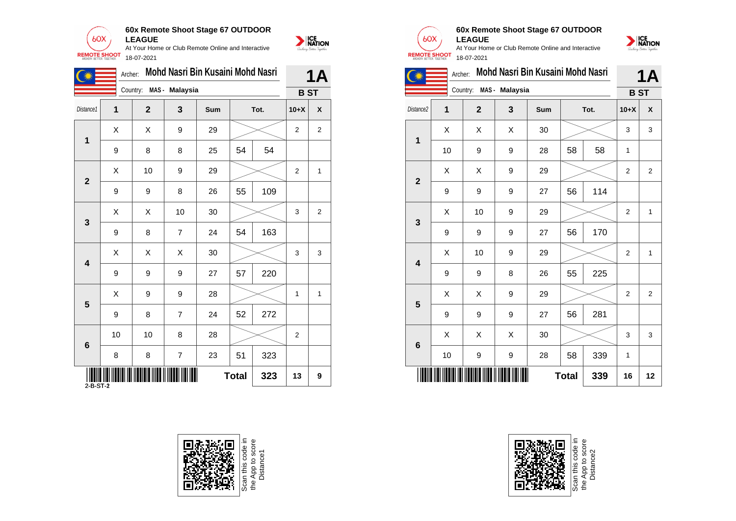

**60x Remote Shoot Stage 67 OUTDOOR LEAGUE**

At Your Home or Club Remote Online and Interactive 18-07-2021

|                 | Archer:      |                         |                | Mohd Nasri Bin Kusaini Mohd Nasri |              |      |                | 1A                        |
|-----------------|--------------|-------------------------|----------------|-----------------------------------|--------------|------|----------------|---------------------------|
|                 |              | Country: MAS - Malaysia |                |                                   |              |      |                | <b>BST</b>                |
| Distance1       | $\mathbf 1$  | $\overline{2}$          | $\mathbf{3}$   | Sum                               |              | Tot. | $10+X$         | $\boldsymbol{\mathsf{X}}$ |
|                 | $\mathsf{X}$ | $\mathsf{X}$            | 9              | 29                                |              |      | $\overline{c}$ | $\overline{a}$            |
| $\mathbf 1$     | 9            | 8                       | 8              | 25                                | 54           | 54   |                |                           |
| $\mathbf{2}$    | X            | 10                      | 9              | 29                                |              |      | $\overline{2}$ | $\mathbf{1}$              |
|                 | 9            | 9                       | 8              | 26                                | 55           | 109  |                |                           |
| $\mathbf{3}$    | X            | $\pmb{\times}$          | 10             | 30                                |              |      | 3              | $\overline{a}$            |
|                 | 9            | 8                       | $\overline{7}$ | 24                                | 54           | 163  |                |                           |
| 4               | X            | $\mathsf{X}$            | X              | 30                                |              |      | 3              | 3                         |
|                 | 9            | 9                       | 9              | 27                                | 57           | 220  |                |                           |
| $5\phantom{.0}$ | X            | 9                       | 9              | 28                                |              |      | $\mathbf{1}$   | 1                         |
|                 | 9            | 8                       | $\overline{7}$ | 24                                | 52           | 272  |                |                           |
| $6\phantom{1}$  | 10           | 10                      | 8              | 28                                |              |      | $\overline{2}$ |                           |
|                 | 8            | 8                       | $\overline{7}$ | 23                                | 51           | 323  |                |                           |
| $2-B-ST-2$      |              |                         | III III        |                                   | <b>Total</b> | 323  | 13             | $\bf{9}$                  |





 $60X$ 

NATION



At Your Home or Club Remote Online and Interactive **REMOTE SHOOT** 18-07-2021



|                         | <b>1A</b>               |              |                |     |              |      |                |                |
|-------------------------|-------------------------|--------------|----------------|-----|--------------|------|----------------|----------------|
|                         |                         | Country:     | MAS - Malaysia |     |              |      | <b>BST</b>     |                |
| Distance <sub>2</sub>   | $\overline{\mathbf{1}}$ | $\mathbf{2}$ | 3              | Sum |              | Tot. | $10+X$         | X              |
| 1                       | X                       | X            | X              | 30  |              |      | 3              | 3              |
|                         | 10                      | 9            | 9              | 28  | 58           | 58   | $\mathbf{1}$   |                |
| $\overline{2}$          | X                       | X            | 9              | 29  |              |      | $\overline{2}$ | $\mathbf{2}$   |
|                         | 9                       | 9            | 9              | 27  | 56           | 114  |                |                |
| 3                       | X                       | 10           | 9              | 29  |              |      | $\overline{2}$ | $\mathbf{1}$   |
|                         | 9                       | 9            | 9              | 27  | 56           | 170  |                |                |
| $\overline{\mathbf{4}}$ | X                       | 10           | 9              | 29  |              |      | $\overline{2}$ | $\mathbf{1}$   |
|                         | 9                       | 9            | 8              | 26  | 55           | 225  |                |                |
| 5                       | X                       | X            | 9              | 29  |              |      | $\overline{2}$ | $\overline{2}$ |
|                         | 9                       | 9            | 9              | 27  | 56           | 281  |                |                |
| $6\phantom{1}$          | X                       | Χ            | Χ              | 30  |              |      | 3              | 3              |
|                         | 10                      | 9            | 9              | 28  | 58           | 339  | 1              |                |
|                         |                         |              |                |     | <b>Total</b> | 339  | 16             | 12             |



Scan this code<br>the App to scor<br>Distance2

the App to score<br>Distance1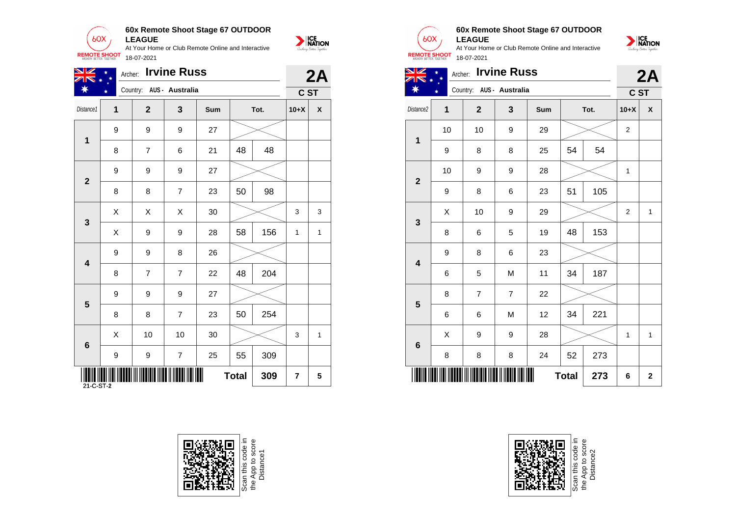

| <u>NK</u><br>ZIN *      | Archer: Irvine Russ<br>$\ast$<br>Country: AUS - Australia |                |                |     |              |      |                | 2A                        |
|-------------------------|-----------------------------------------------------------|----------------|----------------|-----|--------------|------|----------------|---------------------------|
| ☀                       |                                                           |                |                |     |              |      |                | C ST                      |
| Distance1               | 1                                                         | $\overline{2}$ | 3              | Sum |              | Tot. | $10+X$         | $\boldsymbol{\mathsf{X}}$ |
|                         | 9                                                         | 9              | 9              | 27  |              |      |                |                           |
| 1                       | 8                                                         | $\overline{7}$ | 6              | 21  | 48           | 48   |                |                           |
| $\overline{2}$          | 9                                                         | 9              | 9              | 27  |              |      |                |                           |
|                         | 8                                                         | 8              | $\overline{7}$ | 23  | 50           | 98   |                |                           |
|                         | $\boldsymbol{\mathsf{X}}$                                 | X              | X              | 30  |              |      | 3              | 3                         |
| $\mathbf{3}$            | $\boldsymbol{\mathsf{X}}$                                 | 9              | 9              | 28  | 58           | 156  | $\mathbf{1}$   | $\mathbf{1}$              |
|                         | 9                                                         | 9              | 8              | 26  |              |      |                |                           |
| 4                       | 8                                                         | $\overline{7}$ | $\overline{7}$ | 22  | 48           | 204  |                |                           |
|                         | 9                                                         | 9              | 9              | 27  |              |      |                |                           |
| $\overline{\mathbf{5}}$ | 8                                                         | 8              | $\overline{7}$ | 23  | 50           | 254  |                |                           |
| 6                       | $\boldsymbol{\mathsf{X}}$                                 | 10             | 10             | 30  |              |      | 3              | $\mathbf{1}$              |
|                         | 9                                                         | 9              | $\overline{7}$ | 25  | 55           | 309  |                |                           |
| 21-C-ST-2               | 'IIII                                                     |                |                |     | <b>Total</b> | 309  | $\overline{7}$ | 5                         |







### **60x Remote Shoot Stage 67 OUTDOOR**





| $\overline{\mathbf{1}}$ | $10$ | 10               | 9                        | 29 |              |     | $\sqrt{2}$ |              |
|-------------------------|------|------------------|--------------------------|----|--------------|-----|------------|--------------|
|                         | 9    | 8                | 8                        | 25 | 54           | 54  |            |              |
| $\overline{2}$          | 10   | 9                | 9                        | 28 |              |     | 1          |              |
|                         | 9    | 8                | 6                        | 23 | 51           | 105 |            |              |
| $\mathbf{3}$            | Χ    | 10               | 9                        | 29 |              |     | $\sqrt{2}$ | $\mathbf{1}$ |
|                         | 8    | 6                | 5                        | 19 | 48           | 153 |            |              |
| $\overline{\mathbf{4}}$ | 9    | 8                | 6                        | 23 |              |     |            |              |
|                         | 6    | 5                | ${\sf M}$                | 11 | 34           | 187 |            |              |
| $5\phantom{1}$          | 8    | $\boldsymbol{7}$ | $\overline{\mathcal{I}}$ | 22 |              |     |            |              |
|                         | 6    | 6                | ${\sf M}$                | 12 | 34           | 221 |            |              |
| $\bf 6$                 | Χ    | 9                | 9                        | 28 |              |     | 1          | $\mathbf{1}$ |
|                         | 8    | 8                | 8                        | 24 | 52           | 273 |            |              |
|                         |      |                  |                          |    | <b>Total</b> | 273 | 6          | $\mathbf 2$  |



Scan this code in<br>the App to score<br>Distance2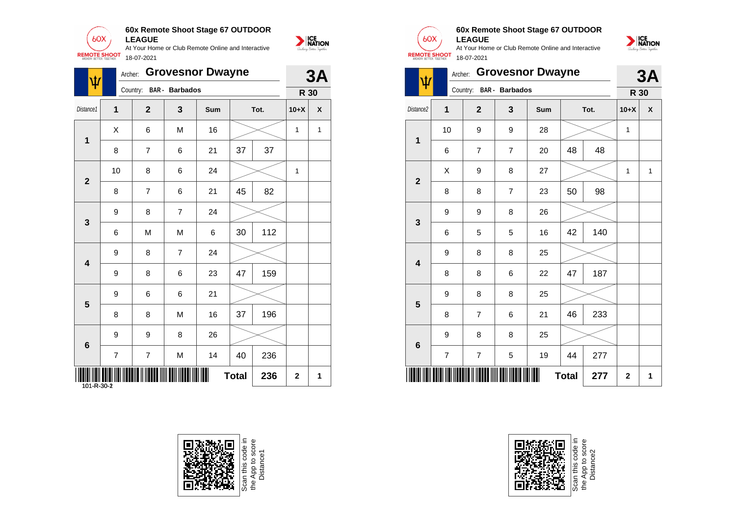

| $\psi$                  | Archer:                   |                |                       | <b>Grovesnor Dwayne</b> |              |      |              | 3A                        | $\vert \psi \vert$ |                | Archer:          |                       | <b>Grovesnor Dwayne</b> |              |      |              | 3/ |
|-------------------------|---------------------------|----------------|-----------------------|-------------------------|--------------|------|--------------|---------------------------|--------------------|----------------|------------------|-----------------------|-------------------------|--------------|------|--------------|----|
|                         |                           | Country:       | <b>BAR</b> - Barbados |                         |              |      |              | <b>R</b> 30               |                    |                | Country:         | <b>BAR</b> - Barbados |                         |              |      | R 30         |    |
| Distance1               | 1                         | $\overline{2}$ | 3                     | <b>Sum</b>              |              | Tot. | $10+X$       | $\boldsymbol{\mathsf{X}}$ | Distance2          | $\mathbf 1$    | $\boldsymbol{2}$ | $\mathbf{3}$          | <b>Sum</b>              |              | Tot. | $10+X$       |    |
|                         | $\boldsymbol{\mathsf{X}}$ | 6              | M                     | 16                      |              |      | $\mathbf{1}$ | $\mathbf{1}$              |                    | 10             | $\boldsymbol{9}$ | $\boldsymbol{9}$      | 28                      |              |      | $\mathbf{1}$ |    |
| $\mathbf 1$             | 8                         | $\overline{7}$ | 6                     | 21                      | 37           | 37   |              |                           | $\mathbf 1$        | 6              | $\overline{7}$   | $\overline{7}$        | 20                      | 48           | 48   |              |    |
|                         | 10                        | 8              | 6                     | 24                      |              |      | $\mathbf{1}$ |                           |                    | $\mathsf X$    | $\boldsymbol{9}$ | $\, 8$                | 27                      |              |      | $\mathbf{1}$ |    |
| $\overline{2}$          | 8                         | $\overline{7}$ | 6                     | 21                      | 45           | 82   |              |                           | $\overline{2}$     | 8              | 8                | $\overline{7}$        | 23                      | 50           | 98   |              |    |
|                         | 9                         | 8              | $\overline{7}$        | 24                      |              |      |              |                           |                    | 9              | $\boldsymbol{9}$ | $\bf 8$               | 26                      |              |      |              |    |
| $\mathbf{3}$            | 6                         | M              | M                     | 6                       | 30           | 112  |              |                           | $\mathbf{3}$       | 6              | 5                | $\sqrt{5}$            | 16                      | 42           | 140  |              |    |
|                         | 9                         | 8              | $\overline{7}$        | 24                      |              |      |              |                           |                    | 9              | 8                | 8                     | 25                      |              |      |              |    |
| 4                       | 9                         | 8              | 6                     | 23                      | 47           | 159  |              |                           | 4                  | 8              | $\bf 8$          | 6                     | 22                      | 47           | 187  |              |    |
|                         | 9                         | 6              | 6                     | 21                      |              |      |              |                           |                    | 9              | $\bf 8$          | 8                     | 25                      |              |      |              |    |
| $\overline{\mathbf{5}}$ | 8                         | 8              | ${\sf M}$             | 16                      | 37           | 196  |              |                           | 5                  | 8              | $\overline{7}$   | 6                     | 21                      | 46           | 233  |              |    |
|                         | 9                         | 9              | 8                     | 26                      |              |      |              |                           |                    | 9              | 8                | 8                     | 25                      |              |      |              |    |
| $6\phantom{1}$          | $\overline{7}$            | $\overline{7}$ | M                     | 14                      | 40           | 236  |              |                           | $6\phantom{1}6$    | $\overline{7}$ | $\overline{7}$   | $\sqrt{5}$            | 19                      | 44           | 277  |              |    |
| IIII<br>101-R-30-2      |                           |                |                       |                         | <b>Total</b> | 236  | $\mathbf 2$  | $\mathbf{1}$              |                    |                |                  | <b>THE REAL</b>       |                         | <b>Total</b> | 277  | $\mathbf 2$  |    |





At Your Home or Club Remote Online and Interactive

**60x Remote Shoot Stage 67 OUTDOOR**

**LEAGUE**

 $60X$ 

**REMOTE SHOOT** 



| <b>REMOTE SHOOT</b><br>18-07-2021 |                |                         |                |                         |              |      |             |    |  |  |  |  |
|-----------------------------------|----------------|-------------------------|----------------|-------------------------|--------------|------|-------------|----|--|--|--|--|
|                                   |                | Archer:                 |                | <b>Grovesnor Dwayne</b> |              |      |             | 3A |  |  |  |  |
|                                   |                | Country: BAR - Barbados |                |                         |              |      | R 30        |    |  |  |  |  |
| Distance2                         | 1              | $\overline{2}$          | 3              | Sum                     |              | Tot. | $10+X$      | X  |  |  |  |  |
| $\mathbf{1}$                      | 10             | 9                       | 9              | 28                      |              |      | 1           |    |  |  |  |  |
|                                   | 6              | $\overline{7}$          | $\overline{7}$ | 20                      | 48           | 48   |             |    |  |  |  |  |
| $\overline{2}$                    | Χ              | 9                       | 8              | 27                      |              |      | 1           | 1  |  |  |  |  |
|                                   | 8              | 8                       | $\overline{7}$ | 23                      | 50           | 98   |             |    |  |  |  |  |
| 3                                 | 9              | 9                       | 8              | 26                      |              |      |             |    |  |  |  |  |
|                                   | 6              | 5                       | 5              | 16                      | 42           | 140  |             |    |  |  |  |  |
| $\overline{\mathbf{4}}$           | 9              | 8                       | 8              | 25                      |              |      |             |    |  |  |  |  |
|                                   | 8              | 8                       | 6              | 22                      | 47           | 187  |             |    |  |  |  |  |
| 5                                 | 9              | 8                       | 8              | 25                      |              |      |             |    |  |  |  |  |
|                                   | 8              | $\overline{7}$          | 6              | 21                      | 46           | 233  |             |    |  |  |  |  |
| 6                                 | 9              | 8                       | 8              | 25                      |              |      |             |    |  |  |  |  |
|                                   | $\overline{7}$ | $\overline{7}$          | 5              | 19                      | 44           | 277  |             |    |  |  |  |  |
|                                   |                |                         |                |                         | <b>Total</b> | 277  | $\mathbf 2$ | 1  |  |  |  |  |



Scan this code<br>the App to sco<br>Distance2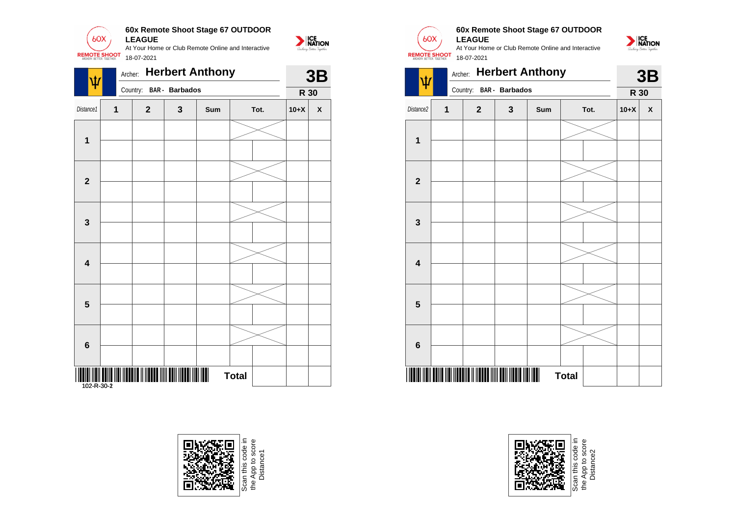

| $\overline{\Psi}$       |   | Archer:        |                       | <b>Herbert Anthony</b> |              |        | 3B           | $\vert \psi \vert$ |   | Archer: Herbert Anthony |                       |     |              |
|-------------------------|---|----------------|-----------------------|------------------------|--------------|--------|--------------|--------------------|---|-------------------------|-----------------------|-----|--------------|
|                         |   | Country:       | <b>BAR</b> - Barbados |                        |              |        | R 30         |                    |   | Country:                | <b>BAR</b> - Barbados |     |              |
| Distance1               | 1 | $\overline{2}$ | $\mathbf{3}$          | Sum                    | Tot.         | $10+X$ | $\pmb{\chi}$ | Distance2          | 1 | $\boldsymbol{2}$        | $\mathbf{3}$          | Sum |              |
| $\mathbf 1$             |   |                |                       |                        |              |        |              | 1                  |   |                         |                       |     |              |
| $\overline{2}$          |   |                |                       |                        |              |        |              | $\overline{2}$     |   |                         |                       |     |              |
| $\mathbf{3}$            |   |                |                       |                        |              |        |              | $\mathbf{3}$       |   |                         |                       |     |              |
| $\overline{\mathbf{4}}$ |   |                |                       |                        |              |        |              | 4                  |   |                         |                       |     |              |
| $5\phantom{1}$          |   |                |                       |                        |              |        |              | 5                  |   |                         |                       |     |              |
| $\bf 6$                 |   |                |                       |                        |              |        |              | 6                  |   |                         |                       |     |              |
|                         |   |                |                       |                        | <b>Total</b> |        |              |                    |   |                         |                       |     | <b>Total</b> |



e App to score<br>Distance1



NATION

#### **60x Remote Shoot Stage 67 OUTDOOR LEAGUE**

At Your Home or Club Remote Online and Interactive 18-07-2021



|                         | Archer: |                | <b>Herbert Anthony</b>  |                |              |      |        | 3B |
|-------------------------|---------|----------------|-------------------------|----------------|--------------|------|--------|----|
|                         |         |                | Country: BAR - Barbados |                |              |      | R 30   |    |
| Distance2               | 1       | $\overline{2}$ | $\mathbf{3}$            | Sum            |              | Tot. | $10+X$ | X  |
|                         |         |                |                         |                |              |      |        |    |
| $\mathbf{1}$            |         |                |                         |                |              |      |        |    |
|                         |         |                |                         |                |              |      |        |    |
| $\overline{2}$          |         |                |                         |                |              |      |        |    |
|                         |         |                |                         |                |              |      |        |    |
| $\mathbf{3}$            |         |                |                         |                |              |      |        |    |
|                         |         |                |                         |                |              |      |        |    |
|                         |         |                |                         |                |              |      |        |    |
| $\overline{\mathbf{4}}$ |         |                |                         |                |              |      |        |    |
|                         |         |                |                         |                |              |      |        |    |
| 5                       |         |                |                         |                |              |      |        |    |
|                         |         |                |                         |                |              |      |        |    |
| $6\phantom{1}$          |         |                |                         |                |              |      |        |    |
|                         |         |                |                         |                |              |      |        |    |
|                         |         |                |                         | $\blacksquare$ | <b>Total</b> |      |        |    |



App to sco<br>Distance2 Distance2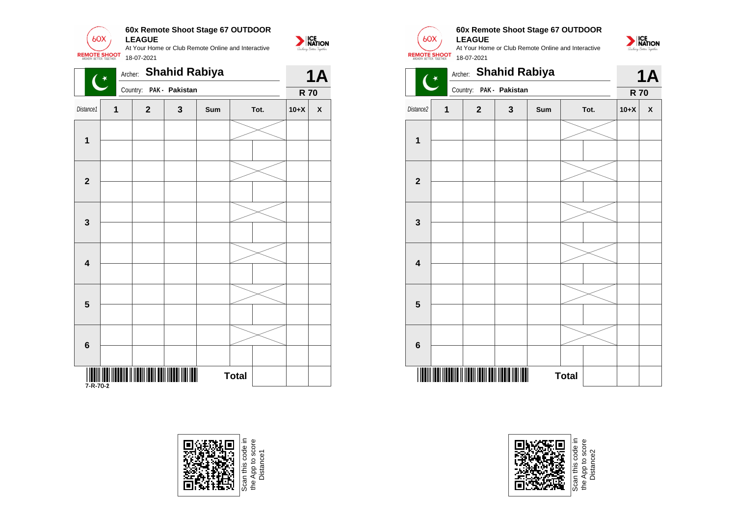

|                         | $($ *        |                         |              | Archer: <b>Shanid Rabiya</b> |              |      |        | <b>1A</b>    |
|-------------------------|--------------|-------------------------|--------------|------------------------------|--------------|------|--------|--------------|
|                         |              | Country: PAK - Pakistan |              |                              |              |      |        | <b>R70</b>   |
| Distance1               | $\mathbf{1}$ | $\overline{2}$          | $\mathbf{3}$ | Sum                          |              | Tot. | $10+X$ | $\pmb{\chi}$ |
| $\mathbf 1$             |              |                         |              |                              |              |      |        |              |
| $\mathbf{2}$            |              |                         |              |                              |              |      |        |              |
| $\mathbf{3}$            |              |                         |              |                              |              |      |        |              |
| 4                       |              |                         |              |                              |              |      |        |              |
| $\overline{\mathbf{5}}$ |              |                         |              |                              |              |      |        |              |
| $\bf 6$                 |              |                         |              |                              |              |      |        |              |
|                         |              |                         |              |                              | <b>Total</b> |      |        |              |





#### **60x Remote Shoot Stage 67 OUTDOOR LEAGUE**

At Your Home or Club Remote Online and Interactive 18-07-2021







e App to score<br>Distance2 Distance2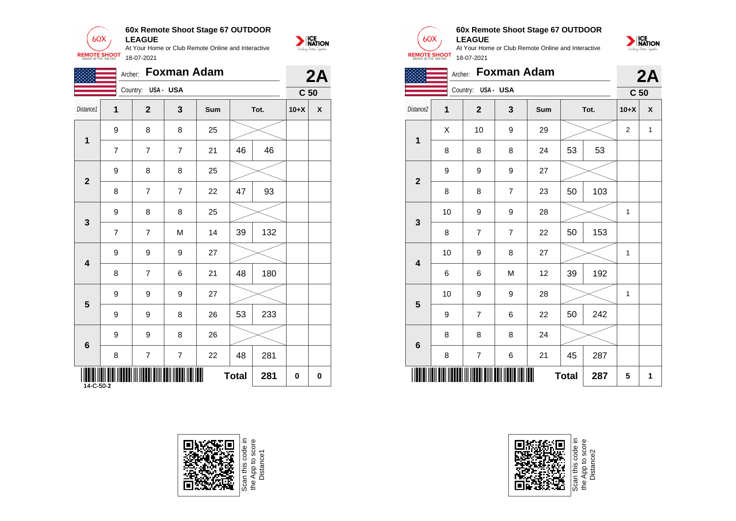

|                            |                |                    | Archer: Foxman Adam |         |              |      |        | 2A              |
|----------------------------|----------------|--------------------|---------------------|---------|--------------|------|--------|-----------------|
|                            |                | Country: USA - USA |                     |         |              |      |        | C <sub>50</sub> |
| Distance1                  | 1              | $2^{1}$            | $\mathbf{3}$        | Sum     |              | Tot. | $10+X$ | $\pmb{\chi}$    |
|                            | 9              | 8                  | 8                   | 25      |              |      |        |                 |
| $\mathbf 1$                | $\overline{7}$ | $\overline{7}$     | $\overline{7}$      | 21      | 46           | 46   |        |                 |
|                            | 9              | 8                  | 8                   | 25      |              |      |        |                 |
| $\overline{2}$             | 8              | $\overline{7}$     | $\overline{7}$      | 22      | 47           | 93   |        |                 |
|                            | 9              | 8                  | 8                   | 25      |              |      |        |                 |
| $\mathbf{3}$               | $\overline{7}$ | $\overline{7}$     | M                   | 14      | 39           | 132  |        |                 |
|                            | 9              | 9                  | 9                   | 27      |              |      |        |                 |
| 4                          | 8              | $\overline{7}$     | 6                   | 21      | 48           | 180  |        |                 |
|                            | 9              | 9                  | 9                   | 27      |              |      |        |                 |
| $5\phantom{1}$             | 9              | 9                  | 8                   | 26      | 53           | 233  |        |                 |
|                            | 9              | 9                  | 8                   | 26      |              |      |        |                 |
| $6\phantom{1}6$            | 8              | $\overline{7}$     | $\overline{7}$      | 22      | 48           | 281  |        |                 |
| <b>WILLIA</b><br>14-C-50-2 |                |                    |                     | III III | <b>Total</b> | 281  | 0      | 0               |







## **60x Remote Shoot Stage 67 OUTDOOR**

**LEAGUE** At Your Home or Club Remote Online and Interactive 18-07-2021



|                         | 2A |                    |                |     |              |      |                 |                    |
|-------------------------|----|--------------------|----------------|-----|--------------|------|-----------------|--------------------|
|                         |    | Country: USA - USA |                |     |              |      | C <sub>50</sub> |                    |
| Distance <sub>2</sub>   | 1  | $\overline{2}$     | $\mathbf{3}$   | Sum |              | Tot. | $10+X$          | $\pmb{\mathsf{X}}$ |
|                         | X  | 10                 | 9              | 29  |              |      | $\overline{2}$  | $\mathbf{1}$       |
| $\mathbf 1$             | 8  | 8                  | 8              | 24  | 53           | 53   |                 |                    |
|                         | 9  | 9                  | 9              | 27  |              |      |                 |                    |
| $\overline{\mathbf{2}}$ | 8  | 8                  | $\overline{7}$ | 23  | 50           | 103  |                 |                    |
|                         | 10 | $\boldsymbol{9}$   | 9              | 28  |              |      | 1               |                    |
| 3                       | 8  | $\overline{7}$     | $\overline{7}$ | 22  | 50           | 153  |                 |                    |
|                         | 10 | $\boldsymbol{9}$   | 8              | 27  |              |      | 1               |                    |
| $\overline{\mathbf{4}}$ | 6  | 6                  | M              | 12  | 39           | 192  |                 |                    |
|                         | 10 | $\boldsymbol{9}$   | 9              | 28  |              |      | 1               |                    |
| 5                       | 9  | $\overline{7}$     | 6              | 22  | 50           | 242  |                 |                    |
|                         | 8  | 8                  | 8              | 24  |              |      |                 |                    |
| $\bf 6$                 | 8  | $\overline{7}$     | $\,6$          | 21  | 45           | 287  |                 |                    |
|                         |    |                    |                |     | <b>Total</b> | 287  | 5               | 1                  |



Scan this code<br>the App to sco<br>Distance2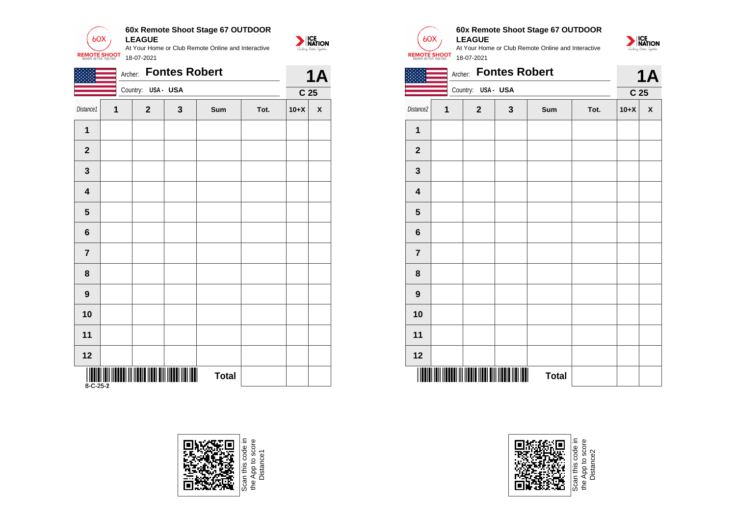

|                         |              |                    | Archer: Fontes Robert |              |      |                 | <b>1A</b>          |                         | Archer: Fontes Robert |                    |              |              |  |  |
|-------------------------|--------------|--------------------|-----------------------|--------------|------|-----------------|--------------------|-------------------------|-----------------------|--------------------|--------------|--------------|--|--|
|                         |              | Country: USA - USA |                       |              |      | C <sub>25</sub> |                    |                         |                       | Country: USA - USA |              |              |  |  |
| Distance1               | $\mathbf{1}$ | $\mathbf{2}$       | $\mathbf{3}$          | Sum          | Tot. | $10+X$          | $\pmb{\mathsf{x}}$ | Distance2               | $\mathbf 1$           | $\mathbf 2$        | $\mathbf{3}$ | Sum          |  |  |
| $\mathbf 1$             |              |                    |                       |              |      |                 |                    | $\mathbf 1$             |                       |                    |              |              |  |  |
| $\mathbf{2}$            |              |                    |                       |              |      |                 |                    | $\boldsymbol{2}$        |                       |                    |              |              |  |  |
| $\mathbf{3}$            |              |                    |                       |              |      |                 |                    | $\mathbf{3}$            |                       |                    |              |              |  |  |
| $\overline{\mathbf{4}}$ |              |                    |                       |              |      |                 |                    | $\overline{\mathbf{4}}$ |                       |                    |              |              |  |  |
| $5\phantom{.0}$         |              |                    |                       |              |      |                 |                    | $5\phantom{1}$          |                       |                    |              |              |  |  |
| $\bf 6$                 |              |                    |                       |              |      |                 |                    | $\bf 6$                 |                       |                    |              |              |  |  |
| $\overline{7}$          |              |                    |                       |              |      |                 |                    | $\overline{7}$          |                       |                    |              |              |  |  |
| $\bf 8$                 |              |                    |                       |              |      |                 |                    | 8                       |                       |                    |              |              |  |  |
| $\boldsymbol{9}$        |              |                    |                       |              |      |                 |                    | $\boldsymbol{9}$        |                       |                    |              |              |  |  |
| 10                      |              |                    |                       |              |      |                 |                    | 10                      |                       |                    |              |              |  |  |
| 11                      |              |                    |                       |              |      |                 |                    | 11                      |                       |                    |              |              |  |  |
| $12$                    |              |                    |                       |              |      |                 |                    | 12                      |                       |                    |              |              |  |  |
|                         |              |                    |                       | <b>Total</b> |      |                 |                    |                         |                       |                    |              | <b>Total</b> |  |  |



e App to score<br>Distance1



NATION

#### **60x Remote Shoot Stage 67 OUTDOOR LEAGUE**



|                         | <b>Fontes Robert</b><br>Archer: |              |                              |              |      |        |                    |  |
|-------------------------|---------------------------------|--------------|------------------------------|--------------|------|--------|--------------------|--|
|                         | Country: USA - USA              |              | <b>1A</b><br>C <sub>25</sub> |              |      |        |                    |  |
| Distance2               | 1                               | $\mathbf{2}$ | $\mathbf 3$                  | Sum          | Tot. | $10+X$ | $\pmb{\mathsf{X}}$ |  |
| $\mathbf 1$             |                                 |              |                              |              |      |        |                    |  |
| $\mathbf 2$             |                                 |              |                              |              |      |        |                    |  |
| $\mathbf{3}$            |                                 |              |                              |              |      |        |                    |  |
| $\overline{\mathbf{4}}$ |                                 |              |                              |              |      |        |                    |  |
| $5\phantom{.0}$         |                                 |              |                              |              |      |        |                    |  |
| 6                       |                                 |              |                              |              |      |        |                    |  |
| $\overline{7}$          |                                 |              |                              |              |      |        |                    |  |
| 8                       |                                 |              |                              |              |      |        |                    |  |
| $\boldsymbol{9}$        |                                 |              |                              |              |      |        |                    |  |
| 10                      |                                 |              |                              |              |      |        |                    |  |
| 11                      |                                 |              |                              |              |      |        |                    |  |
| 12                      |                                 |              |                              |              |      |        |                    |  |
|                         |                                 | WW           | Ш<br>Ш                       | <b>Total</b> |      |        |                    |  |



the App to score e App to score<br>Distance2 Distance2the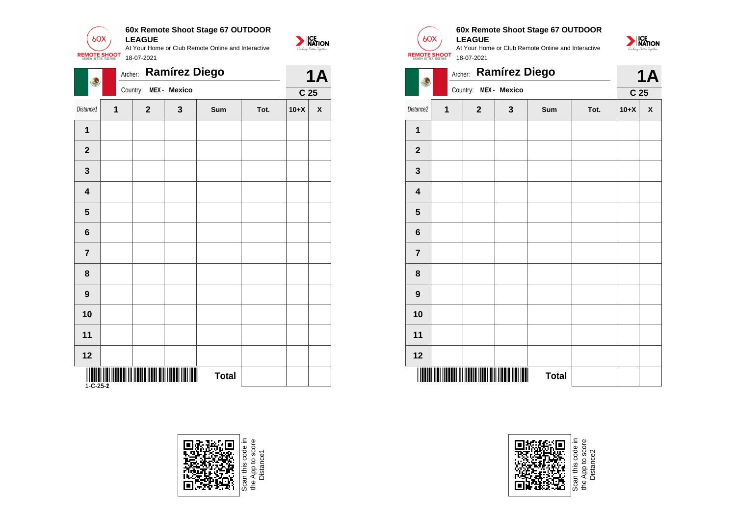

| \$                          | Archer: Ramírez Diego |                       |              |              |      |        | <b>1A</b>          |                         |             | Archer: Ramírez Diego |              |              |  |
|-----------------------------|-----------------------|-----------------------|--------------|--------------|------|--------|--------------------|-------------------------|-------------|-----------------------|--------------|--------------|--|
|                             |                       | Country: MEX - Mexico |              |              |      |        |                    | \$                      |             | Country: MEX - Mexico |              |              |  |
| Distance1                   | $\mathbf{1}$          | $\mathbf{2}$          | $\mathbf{3}$ | Sum          | Tot. | $10+X$ | $\pmb{\mathsf{X}}$ | Distance2               | $\mathbf 1$ | $\mathbf 2$           | $\mathbf{3}$ | Sum          |  |
| $\mathbf{1}$                |                       |                       |              |              |      |        |                    | $\mathbf 1$             |             |                       |              |              |  |
| $\overline{\mathbf{2}}$     |                       |                       |              |              |      |        |                    | $\mathbf{2}$            |             |                       |              |              |  |
| $\mathbf{3}$                |                       |                       |              |              |      |        |                    | $\mathbf{3}$            |             |                       |              |              |  |
| $\overline{\mathbf{4}}$     |                       |                       |              |              |      |        |                    | $\overline{\mathbf{4}}$ |             |                       |              |              |  |
| $5\phantom{.0}$             |                       |                       |              |              |      |        |                    | $5\phantom{.0}$         |             |                       |              |              |  |
| $\bf 6$                     |                       |                       |              |              |      |        |                    | $\bf 6$                 |             |                       |              |              |  |
| $\overline{7}$              |                       |                       |              |              |      |        |                    | $\overline{7}$          |             |                       |              |              |  |
| $\pmb{8}$                   |                       |                       |              |              |      |        |                    | $\pmb{8}$               |             |                       |              |              |  |
| $\boldsymbol{9}$            |                       |                       |              |              |      |        |                    | $\boldsymbol{9}$        |             |                       |              |              |  |
| 10                          |                       |                       |              |              |      |        |                    | 10                      |             |                       |              |              |  |
| 11                          |                       |                       |              |              |      |        |                    | 11                      |             |                       |              |              |  |
| 12                          |                       |                       |              |              |      |        |                    | 12                      |             |                       |              |              |  |
| <b>THEFT HE</b><br>1-C-25-2 |                       |                       |              | <b>Total</b> |      |        |                    |                         |             |                       |              | <b>Total</b> |  |





#### **60x Remote Shoot Stage 67 OUTDOOR LEAGUE**

At Your Home or Club Remote Online and Interactive 18-07-2021



|                         |                                                            | Archer:      | Ramírez Diego | <b>1A</b> |      |                 |                    |  |  |  |  |  |
|-------------------------|------------------------------------------------------------|--------------|---------------|-----------|------|-----------------|--------------------|--|--|--|--|--|
|                         |                                                            | Country:     | MEX - Mexico  |           |      | C <sub>25</sub> |                    |  |  |  |  |  |
| Distance2               | 1                                                          | $\mathbf{2}$ | 3             | Sum       | Tot. | $10+X$          | $\pmb{\mathsf{x}}$ |  |  |  |  |  |
| 1                       |                                                            |              |               |           |      |                 |                    |  |  |  |  |  |
| $\mathbf{2}$            |                                                            |              |               |           |      |                 |                    |  |  |  |  |  |
| $\mathbf{3}$            |                                                            |              |               |           |      |                 |                    |  |  |  |  |  |
| $\overline{\mathbf{4}}$ |                                                            |              |               |           |      |                 |                    |  |  |  |  |  |
| 5                       |                                                            |              |               |           |      |                 |                    |  |  |  |  |  |
| 6                       |                                                            |              |               |           |      |                 |                    |  |  |  |  |  |
| $\overline{7}$          |                                                            |              |               |           |      |                 |                    |  |  |  |  |  |
| 8                       |                                                            |              |               |           |      |                 |                    |  |  |  |  |  |
| 9                       |                                                            |              |               |           |      |                 |                    |  |  |  |  |  |
| 10                      |                                                            |              |               |           |      |                 |                    |  |  |  |  |  |
| 11                      |                                                            |              |               |           |      |                 |                    |  |  |  |  |  |
| 12                      |                                                            |              |               |           |      |                 |                    |  |  |  |  |  |
| ║║                      | <u> A BENDARIA (BARA) A BENDARIA (BARA</u><br><b>Total</b> |              |               |           |      |                 |                    |  |  |  |  |  |



e App to score<br>Distance2 the App to score Distance2the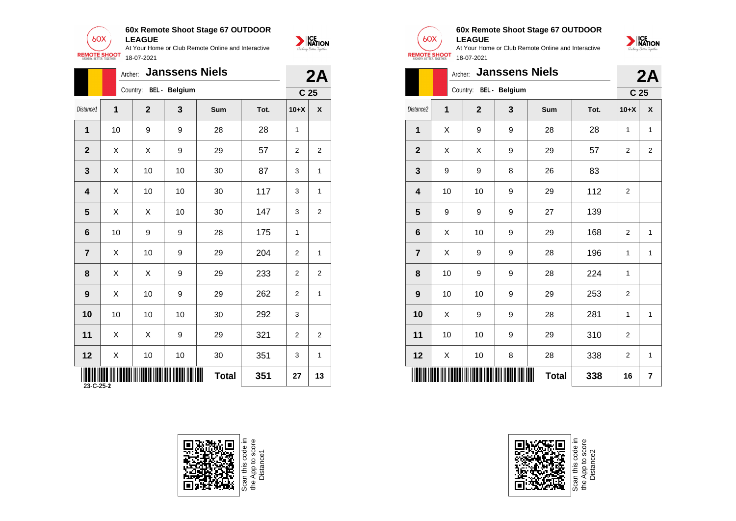

|                |                 |                                         | Archer: Janssens Niels |              |      |                | 2A              |
|----------------|-----------------|-----------------------------------------|------------------------|--------------|------|----------------|-----------------|
|                |                 |                                         | Country: BEL - Belgium |              |      |                | C <sub>25</sub> |
| Distance1      | $\mathbf{1}$    | $\overline{2}$                          | $\mathbf{3}$           | Sum          | Tot. | $10+X$         | $\pmb{\chi}$    |
| $\mathbf 1$    | 10 <sup>1</sup> | 9                                       | 9                      | 28           | 28   | $\mathbf{1}$   |                 |
| $\overline{2}$ | X               | $\mathsf{X}$                            | 9                      | 29           | 57   | $\overline{2}$ | $\overline{2}$  |
| $\mathbf{3}$   | $\mathsf{X}$    | 10                                      | 10                     | 30           | 87   | 3              | $\mathbf{1}$    |
| 4              | $\mathsf{X}$    | 10                                      | 10                     | 30           | 117  | 3              | $\mathbf{1}$    |
| 5              | $\mathsf{X}$    | $\mathsf{X}$                            | 10                     | 30           | 147  | 3              | $\overline{a}$  |
| 6              | 10              | 9                                       | 9                      | 28           | 175  | $\mathbf{1}$   |                 |
| $\overline{7}$ | $\mathsf{X}$    | 10                                      | 9                      | 29           | 204  | $\overline{2}$ | $\mathbf{1}$    |
| 8              | $\mathsf{X}$    | $\boldsymbol{\mathsf{X}}$               | 9                      | 29           | 233  | 2              | $\overline{2}$  |
| 9              | $\mathsf{X}$    | 10                                      | 9                      | 29           | 262  | 2              | $\mathbf{1}$    |
| 10             | 10              | 10                                      | 10                     | 30           | 292  | 3              |                 |
| 11             | $\mathsf X$     | $\boldsymbol{\mathsf{X}}$               | 9                      | 29           | 321  | $\overline{a}$ | $\overline{c}$  |
| 12             | $\mathsf{X}$    | 10                                      | 10                     | 30           | 351  | 3              | $\mathbf{1}$    |
|                |                 | I ITONI INDO INI INDONI IN INDO NDO DIN |                        | <b>Total</b> | 351  | 27             | 13              |







#### **60x Remote Shoot Stage 67 OUTDOOR LEAGUE**



|                         | 2A       |                |                        |              |      |                         |                |  |
|-------------------------|----------|----------------|------------------------|--------------|------|-------------------------|----------------|--|
|                         |          |                | Country: BEL - Belgium |              |      | C <sub>25</sub>         |                |  |
| Distance <sub>2</sub>   | 1        | $\overline{2}$ | 3                      | Sum          | Tot. | $10+X$                  | X              |  |
| $\mathbf{1}$            | X        | 9              | 9                      | 28           | 28   | 1                       | 1              |  |
| $\mathbf{2}$            | X        | Χ              | 9                      | 29           | 57   | 2                       | 2              |  |
| $\mathbf{3}$            | 9<br>9   |                | 8                      | 26           | 83   |                         |                |  |
| $\overline{\mathbf{4}}$ | 10<br>10 |                | 9                      | 29           | 112  | $\overline{2}$          |                |  |
| 5                       | 9        | 9              |                        | 27           | 139  |                         |                |  |
| 6                       | 10<br>X  |                | 9                      | 29           | 168  | $\overline{2}$          | 1              |  |
| $\overline{7}$          | X        | 9              | 9                      | 28           | 196  | 1                       | 1              |  |
| 8                       | 10<br>9  |                | 9                      | 28           | 224  | 1                       |                |  |
| $\boldsymbol{9}$        | 10       | 10             | 9                      | 29           | 253  | 2                       |                |  |
| 10                      | X        | 9              | 9                      | 28           | 281  | 1                       | 1              |  |
| 11                      | 10       | 10             | 9                      | 29           | 310  | 2                       |                |  |
| 12                      | Χ        | 10             | 8                      | 28           | 338  | $\overline{\mathbf{c}}$ | 1              |  |
|                         |          |                |                        | <b>Total</b> | 338  | 16                      | $\overline{7}$ |  |